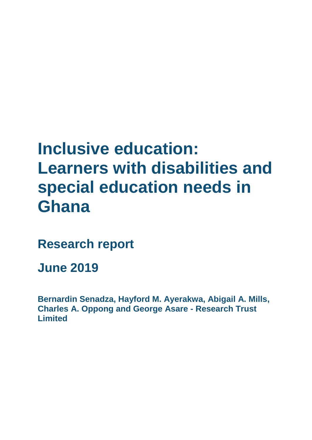# **Inclusive education: Learners with disabilities and special education needs in Ghana**

**Research report** 

**June 2019**

**Bernardin Senadza, Hayford M. Ayerakwa, Abigail A. Mills, Charles A. Oppong and George Asare - Research Trust Limited**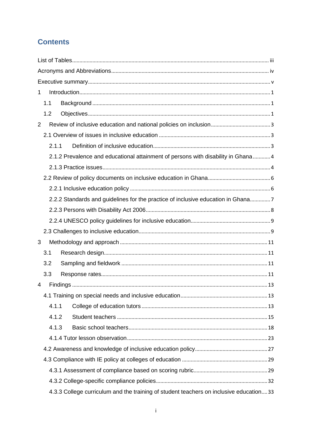# **Contents**

| 1              |       |                                                                                        |  |
|----------------|-------|----------------------------------------------------------------------------------------|--|
|                | 1.1   |                                                                                        |  |
|                | 1.2   |                                                                                        |  |
| $\overline{2}$ |       |                                                                                        |  |
|                |       |                                                                                        |  |
|                | 2.1.1 |                                                                                        |  |
|                |       | 2.1.2 Prevalence and educational attainment of persons with disability in Ghana  4     |  |
|                |       |                                                                                        |  |
|                |       |                                                                                        |  |
|                |       |                                                                                        |  |
|                |       | 2.2.2 Standards and guidelines for the practice of inclusive education in Ghana        |  |
|                |       |                                                                                        |  |
|                |       |                                                                                        |  |
|                |       |                                                                                        |  |
| 3              |       |                                                                                        |  |
|                | 3.1   |                                                                                        |  |
|                | 3.2   |                                                                                        |  |
|                | 3.3   |                                                                                        |  |
| 4              |       |                                                                                        |  |
|                |       |                                                                                        |  |
|                | 4.1.1 |                                                                                        |  |
|                | 4.1.2 |                                                                                        |  |
|                | 4.1.3 |                                                                                        |  |
|                |       |                                                                                        |  |
|                |       |                                                                                        |  |
|                |       |                                                                                        |  |
|                |       |                                                                                        |  |
|                |       |                                                                                        |  |
|                |       | 4.3.3 College curriculum and the training of student teachers on inclusive education33 |  |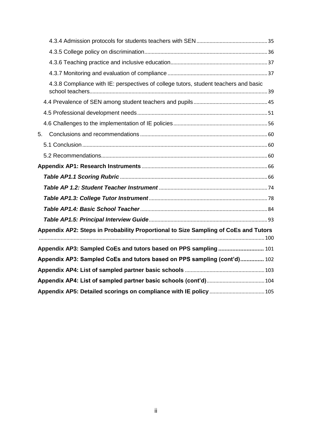| 4.3.8 Compliance with IE: perspectives of college tutors, student teachers and basic |  |
|--------------------------------------------------------------------------------------|--|
|                                                                                      |  |
|                                                                                      |  |
|                                                                                      |  |
| 5.                                                                                   |  |
|                                                                                      |  |
|                                                                                      |  |
|                                                                                      |  |
|                                                                                      |  |
|                                                                                      |  |
|                                                                                      |  |
|                                                                                      |  |
|                                                                                      |  |
| Appendix AP2: Steps in Probability Proportional to Size Sampling of CoEs and Tutors  |  |
| Appendix AP3: Sampled CoEs and tutors based on PPS sampling  101                     |  |
| Appendix AP3: Sampled CoEs and tutors based on PPS sampling (cont'd) 102             |  |
|                                                                                      |  |
|                                                                                      |  |
|                                                                                      |  |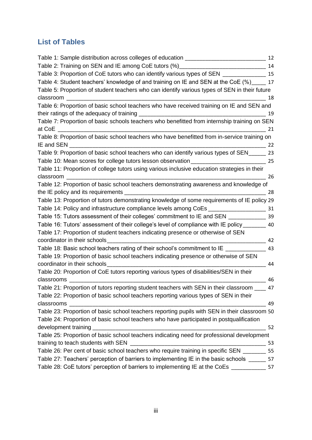# <span id="page-4-0"></span>**List of Tables**

| Table 1: Sample distribution across colleges of education _______________________                     | 12 |
|-------------------------------------------------------------------------------------------------------|----|
| Table 2: Training on SEN and IE among CoE tutors (%)                                                  | 14 |
| $\overline{\phantom{a}15}$<br>Table 3: Proportion of CoE tutors who can identify various types of SEN |    |
| Table 4: Student teachers' knowledge of and training on IE and SEN at the CoE (%) 17                  |    |
| Table 5: Proportion of student teachers who can identify various types of SEN in their future         |    |
| classroom                                                                                             | 18 |
| Table 6: Proportion of basic school teachers who have received training on IE and SEN and             |    |
|                                                                                                       | 19 |
| Table 7: Proportion of basic schools teachers who benefitted from internship training on SEN          |    |
| at CoE                                                                                                | 21 |
| Table 8: Proportion of basic school teachers who have benefitted from in-service training on          |    |
| IE and SEN                                                                                            | 22 |
| Table 9: Proportion of basic school teachers who can identify various types of SEN 23                 |    |
| Table 10: Mean scores for college tutors lesson observation                                           | 25 |
| Table 11: Proportion of college tutors using various inclusive education strategies in their          |    |
| classroom<br><u> 1980 - Jan Barbarat, manala</u>                                                      | 26 |
| Table 12: Proportion of basic school teachers demonstrating awareness and knowledge of                |    |
|                                                                                                       | 28 |
| Table 13: Proportion of tutors demonstrating knowledge of some requirements of IE policy 29           |    |
| Table 14: Policy and infrastructure compliance levels among CoEs ______________________ 31            |    |
| Table 15: Tutors assessment of their colleges' commitment to IE and SEN                               | 39 |
| Table 16: Tutors' assessment of their college's level of compliance with IE policy______              | 40 |
| Table 17: Proportion of student teachers indicating presence or otherwise of SEN                      |    |
| coordinator in their schools                                                                          | 42 |
| Table 18: Basic school teachers rating of their school's commitment to IE                             | 43 |
| Table 19: Proportion of basic school teachers indicating presence or otherwise of SEN                 |    |
| coordinator in their schools                                                                          | 44 |
| Table 20: Proportion of CoE tutors reporting various types of disabilities/SEN in their               |    |
| classrooms                                                                                            | 46 |
| Table 21: Proportion of tutors reporting student teachers with SEN in their classroom ____ 47         |    |
| Table 22: Proportion of basic school teachers reporting various types of SEN in their                 |    |
| classrooms                                                                                            | 49 |
| Table 23: Proportion of basic school teachers reporting pupils with SEN in their classroom 50         |    |
| Table 24: Proportion of basic school teachers who have participated in postqualification              |    |
| development training                                                                                  | 52 |
| Table 25: Proportion of basic school teachers indicating need for professional development            |    |
| training to teach students with SEN                                                                   | 53 |
| Table 26: Per cent of basic school teachers who require training in specific SEN ______               | 55 |
| Table 27: Teachers' perception of barriers to implementing IE in the basic schools _______ 57         |    |
| Table 28: CoE tutors' perception of barriers to implementing IE at the CoEs                           | 57 |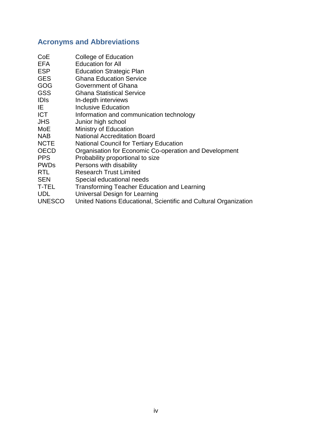# <span id="page-5-0"></span>**Acronyms and Abbreviations**

| CoE         | College of Education                                   |
|-------------|--------------------------------------------------------|
| <b>EFA</b>  | <b>Education for All</b>                               |
| <b>ESP</b>  | <b>Education Strategic Plan</b>                        |
| <b>GES</b>  | <b>Ghana Education Service</b>                         |
| GOG         | Government of Ghana                                    |
| <b>GSS</b>  | <b>Ghana Statistical Service</b>                       |
| <b>IDIS</b> | In-depth interviews                                    |
| IE.         | Inclusive Education                                    |
| <b>ICT</b>  | Information and communication technology               |
| <b>JHS</b>  | Junior high school                                     |
| MoE         | Ministry of Education                                  |
| <b>NAB</b>  | <b>National Accreditation Board</b>                    |
| <b>NCTE</b> | <b>National Council for Tertiary Education</b>         |
| <b>OECD</b> | Organisation for Economic Co-operation and Development |
| <b>PPS</b>  | Probability proportional to size                       |
| <b>PWDs</b> | Persons with disability                                |
| <b>RTL</b>  | <b>Research Trust Limited</b>                          |
| <b>SEN</b>  | Special educational needs                              |
| T-TEL       | <b>Transforming Teacher Education and Learning</b>     |
| <b>UDL</b>  | Universal Design for Learning                          |

UNESCO United Nations Educational, Scientific and Cultural Organization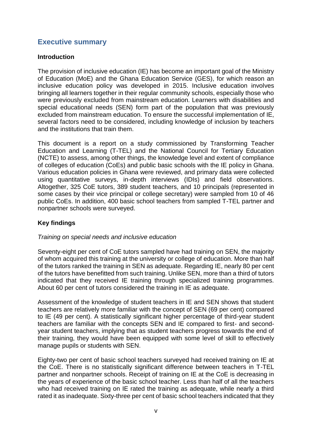# <span id="page-6-0"></span>**Executive summary**

## **Introduction**

The provision of inclusive education (IE) has become an important goal of the Ministry of Education (MoE) and the Ghana Education Service (GES), for which reason an inclusive education policy was developed in 2015. Inclusive education involves bringing all learners together in their regular community schools, especially those who were previously excluded from mainstream education. Learners with disabilities and special educational needs (SEN) form part of the population that was previously excluded from mainstream education. To ensure the successful implementation of IE, several factors need to be considered, including knowledge of inclusion by teachers and the institutions that train them.

This document is a report on a study commissioned by Transforming Teacher Education and Learning (T-TEL) and the National Council for Tertiary Education (NCTE) to assess, among other things, the knowledge level and extent of compliance of colleges of education (CoEs) and public basic schools with the IE policy in Ghana. Various education policies in Ghana were reviewed, and primary data were collected using quantitative surveys, in-depth interviews (IDIs) and field observations. Altogether, 325 CoE tutors, 389 student teachers, and 10 principals (represented in some cases by their vice principal or college secretary) were sampled from 10 of 46 public CoEs. In addition, 400 basic school teachers from sampled T-TEL partner and nonpartner schools were surveyed.

# **Key findings**

#### *Training on special needs and inclusive education*

Seventy-eight per cent of CoE tutors sampled have had training on SEN, the majority of whom acquired this training at the university or college of education. More than half of the tutors ranked the training in SEN as adequate. Regarding IE, nearly 80 per cent of the tutors have benefitted from such training. Unlike SEN, more than a third of tutors indicated that they received IE training through specialized training programmes. About 60 per cent of tutors considered the training in IE as adequate.

Assessment of the knowledge of student teachers in IE and SEN shows that student teachers are relatively more familiar with the concept of SEN (69 per cent) compared to IE (49 per cent). A statistically significant higher percentage of third-year student teachers are familiar with the concepts SEN and IE compared to first- and secondyear student teachers, implying that as student teachers progress towards the end of their training, they would have been equipped with some level of skill to effectively manage pupils or students with SEN.

Eighty-two per cent of basic school teachers surveyed had received training on IE at the CoE. There is no statistically significant difference between teachers in T-TEL partner and nonpartner schools. Receipt of training on IE at the CoE is decreasing in the years of experience of the basic school teacher. Less than half of all the teachers who had received training on IE rated the training as adequate, while nearly a third rated it as inadequate. Sixty-three per cent of basic school teachers indicated that they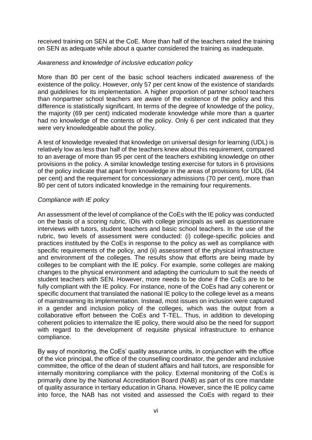received training on SEN at the CoE. More than half of the teachers rated the training on SEN as adequate while about a quarter considered the training as inadequate.

#### *Awareness and knowledge of inclusive education policy*

More than 80 per cent of the basic school teachers indicated awareness of the existence of the policy. However, only 57 per cent know of the existence of standards and guidelines for its implementation. A higher proportion of partner school teachers than nonpartner school teachers are aware of the existence of the policy and this difference is statistically significant. In terms of the degree of knowledge of the policy, the majority (69 per cent) indicated moderate knowledge while more than a quarter had no knowledge of the contents of the policy. Only 6 per cent indicated that they were very knowledgeable about the policy.

A test of knowledge revealed that knowledge on universal design for learning (UDL) is relatively low as less than half of the teachers knew about this requirement, compared to an average of more than 95 per cent of the teachers exhibiting knowledge on other provisions in the policy. A similar knowledge testing exercise for tutors in 6 provisions of the policy indicate that apart from knowledge in the areas of provisions for UDL (64 per cent) and the requirement for concessionary admissions (70 per cent), more than 80 per cent of tutors indicated knowledge in the remaining four requirements.

# *Compliance with IE policy*

An assessment of the level of compliance of the CoEs with the IE policy was conducted on the basis of a scoring rubric, IDIs with college principals as well as questionnaire interviews with tutors, student teachers and basic school teachers. In the use of the rubric, two levels of assessment were conducted: (i) college-specific policies and practices instituted by the CoEs in response to the policy as well as compliance with specific requirements of the policy, and (ii) assessment of the physical infrastructure and environment of the colleges. The results show that efforts are being made by colleges to be compliant with the IE policy. For example, some colleges are making changes to the physical environment and adapting the curriculum to suit the needs of student teachers with SEN. However, more needs to be done if the CoEs are to be fully compliant with the IE policy. For instance, none of the CoEs had any coherent or specific document that translated the national IE policy to the college level as a means of mainstreaming its implementation. Instead, most issues on inclusion were captured in a gender and inclusion policy of the colleges, which was the output from a collaborative effort between the CoEs and T-TEL. Thus, in addition to developing coherent policies to internalize the IE policy, there would also be the need for support with regard to the development of requisite physical infrastructure to enhance compliance.

By way of monitoring, the CoEs' quality assurance units, in conjunction with the office of the vice principal, the office of the counselling coordinator, the gender and inclusive committee, the office of the dean of student affairs and hall tutors, are responsible for internally monitoring compliance with the policy. External monitoring of the CoEs is primarily done by the National Accreditation Board (NAB) as part of its core mandate of quality assurance in tertiary education in Ghana. However, since the IE policy came into force, the NAB has not visited and assessed the CoEs with regard to their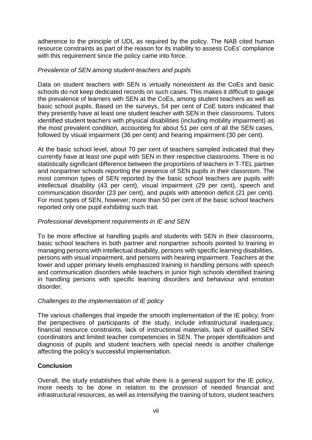adherence to the principle of UDL as required by the policy. The NAB cited human resource constraints as part of the reason for its inability to assess CoEs' compliance with this requirement since the policy came into force.

# *Prevalence of SEN among student-teachers and pupils*

Data on student teachers with SEN is virtually nonexistent as the CoEs and basic schools do not keep dedicated records on such cases. This makes it difficult to gauge the prevalence of learners with SEN at the CoEs, among student teachers as well as basic school pupils. Based on the surveys, 54 per cent of CoE tutors indicated that they presently have at least one student teacher with SEN in their classrooms. Tutors identified student teachers with physical disabilities (including mobility impairment) as the most prevalent condition, accounting for about 51 per cent of all the SEN cases, followed by visual impairment (36 per cent) and hearing impairment (30 per cent).

At the basic school level, about 70 per cent of teachers sampled indicated that they currently have at least one pupil with SEN in their respective classrooms. There is no statistically significant difference between the proportions of teachers in T-TEL partner and nonpartner schools reporting the presence of SEN pupils in their classroom. The most common types of SEN reported by the basic school teachers are pupils with intellectual disability (43 per cent), visual impairment (29 per cent), speech and communication disorder (23 per cent), and pupils with attention deficit (21 per cent). For most types of SEN, however, more than 50 per cent of the basic school teachers reported only one pupil exhibiting such trait.

# *Professional development requirements in IE and SEN*

To be more effective at handling pupils and students with SEN in their classrooms, basic school teachers in both partner and nonpartner schools pointed to training in managing persons with intellectual disability, persons with specific learning disabilities, persons with visual impairment, and persons with hearing impairment. Teachers at the lower and upper primary levels emphasized training in handling persons with speech and communication disorders while teachers in junior high schools identified training in handling persons with specific learning disorders and behaviour and emotion disorder.

#### *Challenges to the implementation of IE policy*

The various challenges that impede the smooth implementation of the IE policy, from the perspectives of participants of the study, include infrastructural inadequacy, financial resource constraints, lack of instructional materials, lack of qualified SEN coordinators and limited teacher competencies in SEN. The proper identification and diagnosis of pupils and student teachers with special needs is another challenge affecting the policy's successful implementation.

# **Conclusion**

Overall, the study establishes that while there is a general support for the IE policy, more needs to be done in relation to the provision of needed financial and infrastructural resources, as well as intensifying the training of tutors, student teachers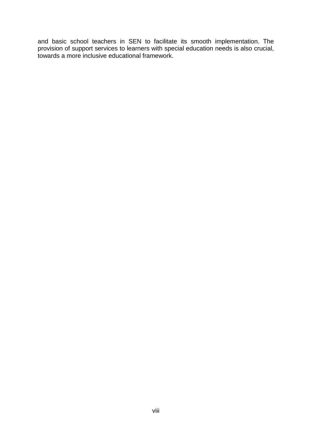and basic school teachers in SEN to facilitate its smooth implementation. The provision of support services to learners with special education needs is also crucial, towards a more inclusive educational framework.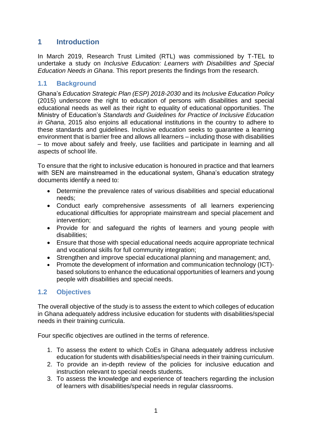# <span id="page-10-0"></span>**1 Introduction**

In March 2019, Research Trust Limited (RTL) was commissioned by T-TEL to undertake a study on *Inclusive Education: Learners with Disabilities and Special Education Needs in Ghana*. This report presents the findings from the research.

# <span id="page-10-1"></span>**1.1 Background**

Ghana's *Education Strategic Plan (ESP) 2018-2030* and its *Inclusive Education Policy* (2015) underscore the right to education of persons with disabilities and special educational needs as well as their right to equality of educational opportunities. The Ministry of Education's *Standards and Guidelines for Practice of Inclusive Education in Ghana*, 2015 also enjoins all educational institutions in the country to adhere to these standards and guidelines. Inclusive education seeks to guarantee a learning environment that is barrier free and allows all learners – including those with disabilities – to move about safely and freely, use facilities and participate in learning and all aspects of school life.

To ensure that the right to inclusive education is honoured in practice and that learners with SEN are mainstreamed in the educational system, Ghana's education strategy documents identify a need to:

- Determine the prevalence rates of various disabilities and special educational needs;
- Conduct early comprehensive assessments of all learners experiencing educational difficulties for appropriate mainstream and special placement and intervention;
- Provide for and safeguard the rights of learners and young people with disabilities;
- Ensure that those with special educational needs acquire appropriate technical and vocational skills for full community integration;
- Strengthen and improve special educational planning and management; and,
- Promote the development of information and communication technology (ICT) based solutions to enhance the educational opportunities of learners and young people with disabilities and special needs.

# <span id="page-10-2"></span>**1.2 Objectives**

The overall objective of the study is to assess the extent to which colleges of education in Ghana adequately address inclusive education for students with disabilities/special needs in their training curricula.

Four specific objectives are outlined in the terms of reference.

- 1. To assess the extent to which CoEs in Ghana adequately address inclusive education for students with disabilities/special needs in their training curriculum.
- 2. To provide an in-depth review of the policies for inclusive education and instruction relevant to special needs students.
- 3. To assess the knowledge and experience of teachers regarding the inclusion of learners with disabilities/special needs in regular classrooms.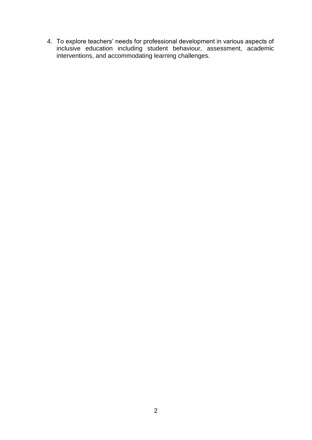4. To explore teachers' needs for professional development in various aspects of inclusive education including student behaviour, assessment, academic interventions, and accommodating learning challenges.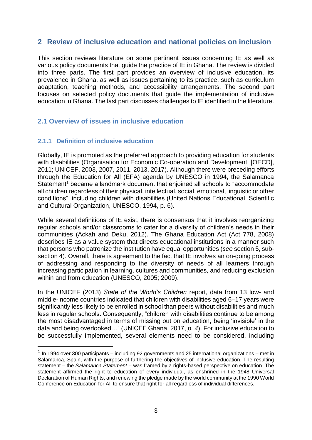# <span id="page-12-0"></span>**2 Review of inclusive education and national policies on inclusion**

This section reviews literature on some pertinent issues concerning IE as well as various policy documents that guide the practice of IE in Ghana. The review is divided into three parts. The first part provides an overview of inclusive education, its prevalence in Ghana, as well as issues pertaining to its practice, such as curriculum adaptation, teaching methods, and accessibility arrangements. The second part focuses on selected policy documents that guide the implementation of inclusive education in Ghana. The last part discusses challenges to IE identified in the literature.

# <span id="page-12-1"></span>**2.1 Overview of issues in inclusive education**

# <span id="page-12-2"></span>**2.1.1 Definition of inclusive education**

1

Globally, IE is promoted as the preferred approach to providing education for students with disabilities (Organisation for Economic Co-operation and Development, [OECD], 2011; UNICEF, 2003, 2007, 2011, 2013, 2017). Although there were preceding efforts through the Education for All (EFA) agenda by UNESCO in 1994, the Salamanca Statement<sup>1</sup> became a landmark document that enjoined all schools to "accommodate" all children regardless of their physical, intellectual, social, emotional, linguistic or other conditions", including children with disabilities (United Nations Educational, Scientific and Cultural Organization, UNESCO, 1994, p. 6).

While several definitions of IE exist, there is consensus that it involves reorganizing regular schools and/or classrooms to cater for a diversity of children's needs in their communities (Ackah and Deku, 2012). The Ghana Education Act (Act 778, 2008) describes IE as a value system that directs educational institutions in a manner such that persons who patronize the institution have equal opportunities (*see* section 5, subsection 4). Overall, there is agreement to the fact that IE involves an on-going process of addressing and responding to the diversity of needs of all learners through increasing participation in learning, cultures and communities, and reducing exclusion within and from education (UNESCO, 2005; 2009).

In the UNICEF (2013) *State of the World's Children* report, data from 13 low- and middle-income countries indicated that children with disabilities aged 6–17 years were significantly less likely to be enrolled in school than peers without disabilities and much less in regular schools. Consequently, "children with disabilities continue to be among the most disadvantaged in terms of missing out on education, being 'invisible' in the data and being overlooked…" (UNICEF Ghana, 2017, *p. 4*). For inclusive education to be successfully implemented, several elements need to be considered, including

 $1$  In 1994 over 300 participants – including 92 governments and 25 international organizations – met in Salamanca, Spain, with the purpose of furthering the objectives of inclusive education. The resulting statement – the *Salamanca Statement* – was framed by a rights-based perspective on education. The statement affirmed the right to education of every individual, as enshrined in the 1948 Universal Declaration of Human Rights, and renewing the pledge made by the world community at the 1990 World Conference on Education for All to ensure that right for all regardless of individual differences.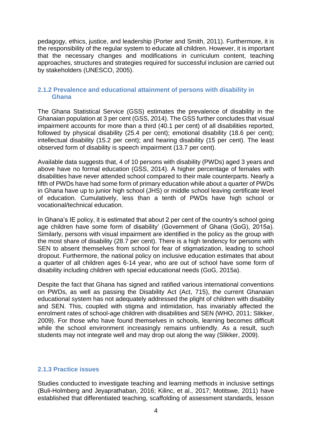pedagogy, ethics, justice, and leadership (Porter and Smith, 2011). Furthermore, it is the responsibility of the regular system to educate all children. However, it is important that the necessary changes and modifications in curriculum content, teaching approaches, structures and strategies required for successful inclusion are carried out by stakeholders (UNESCO, 2005).

#### <span id="page-13-0"></span>**2.1.2 Prevalence and educational attainment of persons with disability in Ghana**

The Ghana Statistical Service (GSS) estimates the prevalence of disability in the Ghanaian population at 3 per cent (GSS, 2014). The GSS further concludes that visual impairment accounts for more than a third (40.1 per cent) of all disabilities reported, followed by physical disability (25.4 per cent); emotional disability (18.6 per cent); intellectual disability (15.2 per cent); and hearing disability (15 per cent). The least observed form of disability is speech impairment (13.7 per cent).

Available data suggests that, 4 of 10 persons with disability (PWDs) aged 3 years and above have no formal education (GSS, 2014). A higher percentage of females with disabilities have never attended school compared to their male counterparts. Nearly a fifth of PWDs have had some form of primary education while about a quarter of PWDs in Ghana have up to junior high school (JHS) or middle school leaving certificate level of education. Cumulatively, less than a tenth of PWDs have high school or vocational/technical education.

In Ghana's IE policy, it is estimated that about 2 per cent of the country's school going age children have some form of disability' (Government of Ghana (GoG), 2015a). Similarly, persons with visual impairment are identified in the policy as the group with the most share of disability (28.7 per cent). There is a high tendency for persons with SEN to absent themselves from school for fear of stigmatization, leading to school dropout. Furthermore, the national policy on inclusive education estimates that about a quarter of all children ages 6-14 year, who are out of school have some form of disability including children with special educational needs (GoG, 2015a).

Despite the fact that Ghana has signed and ratified various international conventions on PWDs, as well as passing the Disability Act (Act, 715), the current Ghanaian educational system has not adequately addressed the plight of children with disability and SEN. This, coupled with stigma and intimidation, has invariably affected the enrolment rates of school-age children with disabilities and SEN (WHO, 2011; Slikker, 2009). For those who have found themselves in schools, learning becomes difficult while the school environment increasingly remains unfriendly. As a result, such students may not integrate well and may drop out along the way (Slikker, 2009).

#### <span id="page-13-1"></span>**2.1.3 Practice issues**

Studies conducted to investigate teaching and learning methods in inclusive settings (Buli-Holmberg and Jeyaprathaban, 2016; Kilinc, et al., 2017; Motitswe, 2011) have established that differentiated teaching, scaffolding of assessment standards, lesson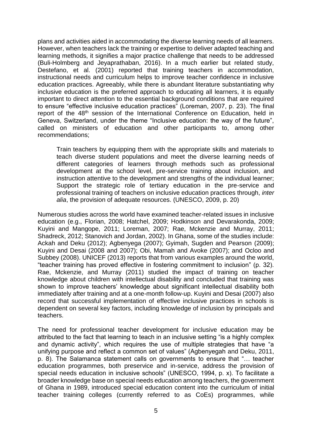plans and activities aided in accommodating the diverse learning needs of all learners. However, when teachers lack the training or expertise to deliver adapted teaching and learning methods, it signifies a major practice challenge that needs to be addressed (Buli-Holmberg and Jeyaprathaban, 2016). In a much earlier but related study, Destefano, et al. (2001) reported that training teachers in accommodation, instructional needs and curriculum helps to improve teacher confidence in inclusive education practices. Agreeably, while there is abundant literature substantiating why inclusive education is the preferred approach to educating all learners, it is equally important to direct attention to the essential background conditions that are required to ensure "effective inclusive education practices" (Loreman, 2007, p. 23). The final report of the 48<sup>th</sup> session of the International Conference on Education, held in Geneva, Switzerland, under the theme "Inclusive education: the way of the future", called on ministers of education and other participants to, among other recommendations;

Train teachers by equipping them with the appropriate skills and materials to teach diverse student populations and meet the diverse learning needs of different categories of learners through methods such as professional development at the school level, pre-service training about inclusion, and instruction attentive to the development and strengths of the individual learner; Support the strategic role of tertiary education in the pre-service and professional training of teachers on inclusive education practices through, *inter alia*, the provision of adequate resources. (UNESCO, 2009, p. 20)

Numerous studies across the world have examined teacher-related issues in inclusive education (e.g., Florian, 2008; Hatchel, 2009; Hodkinson and Devarakonda, 2009; Kuyini and Mangope, 2011; Loreman, 2007; Rae, Mckenzie and Murray, 2011; Shadreck, 2012; Stanovich and Jordan, 2002). In Ghana, some of the studies include: Ackah and Deku (2012); Agbenyega (2007); Gyimah, Sugden and Pearson (2009); Kuyini and Desai (2008 and 2007); Obi, Mamah and Avoke (2007); and Ocloo and Subbey (2008). UNICEF (2013) reports that from various examples around the world, "teacher training has proved effective in fostering commitment to inclusion" (p. 32). Rae, Mckenzie, and Murray (2011) studied the impact of training on teacher knowledge about children with intellectual disability and concluded that training was shown to improve teachers' knowledge about significant intellectual disability both immediately after training and at a one-month follow-up. Kuyini and Desai (2007) also record that successful implementation of effective inclusive practices in schools is dependent on several key factors, including knowledge of inclusion by principals and teachers.

The need for professional teacher development for inclusive education may be attributed to the fact that learning to teach in an inclusive setting "is a highly complex and dynamic activity", which requires the use of multiple strategies that have "a unifying purpose and reflect a common set of values" (Agbenyegah and Deku, 2011, p. 8). The Salamanca statement calls on governments to ensure that "… teacher education programmes, both preservice and in-service, address the provision of special needs education in inclusive schools" (UNESCO, 1994, p. x). To facilitate a broader knowledge base on special needs education among teachers, the government of Ghana in 1989, introduced special education content into the curriculum of initial teacher training colleges (currently referred to as CoEs) programmes, while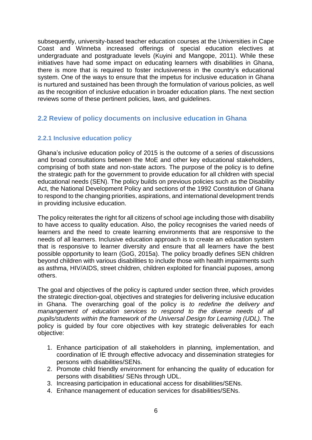subsequently, university-based teacher education courses at the Universities in Cape Coast and Winneba increased offerings of special education electives at undergraduate and postgraduate levels (Kuyini and Mangope, 2011). While these initiatives have had some impact on educating learners with disabilities in Ghana, there is more that is required to foster inclusiveness in the country's educational system. One of the ways to ensure that the impetus for inclusive education in Ghana is nurtured and sustained has been through the formulation of various policies, as well as the recognition of inclusive education in broader education plans. The next section reviews some of these pertinent policies, laws, and guidelines.

# <span id="page-15-0"></span>**2.2 Review of policy documents on inclusive education in Ghana**

# <span id="page-15-1"></span>**2.2.1 Inclusive education policy**

Ghana's inclusive education policy of 2015 is the outcome of a series of discussions and broad consultations between the MoE and other key educational stakeholders, comprising of both state and non-state actors. The purpose of the policy is to define the strategic path for the government to provide education for all children with special educational needs (SEN). The policy builds on previous policies such as the Disability Act, the National Development Policy and sections of the 1992 Constitution of Ghana to respond to the changing priorities, aspirations, and international development trends in providing inclusive education.

The policy reiterates the right for all citizens of school age including those with disability to have access to quality education. Also, the policy recognises the varied needs of learners and the need to create learning environments that are responsive to the needs of all learners. Inclusive education approach is to create an education system that is responsive to learner diversity and ensure that all learners have the best possible opportunity to learn (GoG, 2015a). The policy broadly defines SEN children beyond children with various disabilities to include those with health impairments such as asthma, HIV/AIDS, street children, children exploited for financial puposes, among others.

The goal and objectives of the policy is captured under section three, which provides the strategic direction-goal, objectives and strategies for delivering inclusive education in Ghana. The overarching goal of the policy is *to redefine the delivery and*  manangement of education services to respond to the diverse needs of all *pupils/students within the framework of the Universal Design for Learning (UDL).* The policy is guided by four core objectives with key strategic deliverables for each objective:

- 1. Enhance participation of all stakeholders in planning, implementation, and coordination of IE through effective advocacy and dissemination strategies for persons with disabilities/SENs.
- 2. Promote child friendly environment for enhancing the quality of education for persons with disabilities/ SENs through UDL.
- 3. Increasing participation in educational access for disabilities/SENs.
- 4. Enhance management of education services for disabilities/SENs.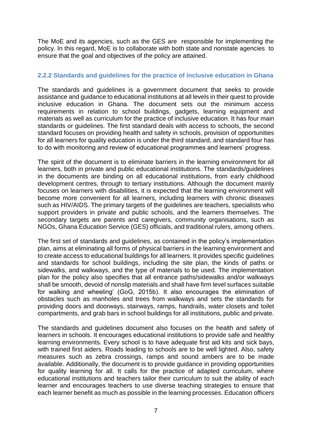The MoE and its agencies, such as the GES are responsible for implementing the policy. In this regard, MoE is to collaborate with both state and nonstate agencies to ensure that the goal and objectives of the policy are attained.

# <span id="page-16-0"></span>**2.2.2 Standards and guidelines for the practice of inclusive education in Ghana**

The standards and guidelines is a government document that seeks to provide assistance and guidance to educational institutions at all levels in their quest to provide inclusive education in Ghana. The document sets out the minimum access requirements in relation to school buildings, gadgets, learning equipment and materials as well as curriculum for the practice of inclusive education. It has four main standards or guidelines. The first standard deals with access to schools, the second standard focuses on providing health and safety in schools, provision of opportunities for all learners for quality education is under the third standard, and standard four has to do with monitoring and review of educational programmes and learners' progress.

The spirit of the document is to eliminate barriers in the learning environment for all learners, both in private and public educational institutions. The standards/guidelines in the documents are binding on all educational institutions, from early childhood development centres, through to tertiary institutions. Although the document mainly focuses on learners with disabilities, it is expected that the learning environment will become more convenient for all learners, including learners with chronic diseases such as HIV/AIDS. The primary targets of the guidelines are teachers, specialists who support providers in private and public schools, and the learners themselves. The secondary targets are parents and caregivers, community organisations, such as NGOs, Ghana Education Service (GES) officials, and traditional rulers, among others.

The first set of standards and guidelines, as contained in the policy's implementation plan, aims at eliminating all forms of physical barriers in the learning environment and to create access to educational buildings for all learners. It provides specific guidelines and standards for school buildings, including the site plan, the kinds of paths or sidewalks, and walkways, and the type of materials to be used. The implementation plan for the policy also specifies that all entrance paths/sidewalks and/or walkways shall be smooth, devoid of nonslip materials and shall have firm level surfaces suitable for walking and wheeling' (GoG, 2015b). It also encourages the elimination of obstacles such as manholes and trees from walkways and sets the standards for providing doors and doorways, stairways, ramps, handrails, water closets and toilet compartments, and grab bars in school buildings for all institutions, public and private.

The standards and guidelines document also focuses on the health and safety of learners in schools. It encourages educational institutions to provide safe and healthy learning environments. Every school is to have adequate first aid kits and sick bays, with trained first aiders. Roads leading to schools are to be well lighted. Also, safety measures such as zebra crossings, ramps and sound ambers are to be made available. Additionally, the document is to provide guidance in providing opportunities for quality learning for all. It calls for the practice of adapted curriculum, where educational institutions and teachers tailor their curriculum to suit the ability of each learner and encourages teachers to use diverse teaching strategies to ensure that each learner benefit as much as possible in the learning processes. Education officers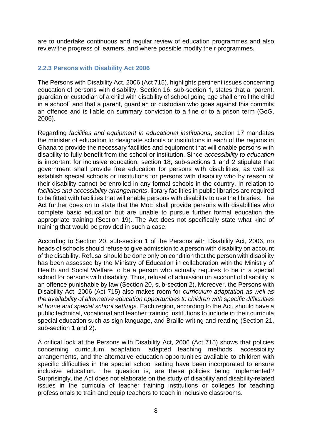are to undertake continuous and regular review of education programmes and also review the progress of learners, and where possible modify their programmes.

# <span id="page-17-0"></span>**2.2.3 Persons with Disability Act 2006**

The Persons with Disability Act, 2006 (Act 715), highlights pertinent issues concerning education of persons with disability. Section 16, sub-section 1, states that a "parent, guardian or custodian of a child with disability of school going age shall enroll the child in a school" and that a parent, guardian or custodian who goes against this commits an offence and is liable on summary conviction to a fine or to a prison term (GoG, 2006).

Regarding *facilities and equipment in educational institutions*, section 17 mandates the minister of education to designate schools or institutions in each of the regions in Ghana to provide the necessary facilities and equipment that will enable persons with disability to fully benefit from the school or institution. Since *accessibility to education* is important for inclusive education, section 18, sub-sections 1 and 2 stipulate that government shall provide free education for persons with disabilities, as well as establish special schools or institutions for persons with disability who by reason of their disability cannot be enrolled in any formal schools in the country. In relation to *facilities and accessibility arrangements*, library facilities in public libraries are required to be fitted with facilities that will enable persons with disability to use the libraries. The Act further goes on to state that the MoE shall provide persons with disabilities who complete basic education but are unable to pursue further formal education the appropriate training (Section 19). The Act does not specifically state what kind of training that would be provided in such a case.

According to Section 20, sub-section 1 of the Persons with Disability Act, 2006, no heads of schools should refuse to give admission to a person with disability on account of the disability. Refusal should be done only on condition that the person with disability has been assessed by the Ministry of Education in collaboration with the Ministry of Health and Social Welfare to be a person who actually requires to be in a special school for persons with disability. Thus, refusal of admission on account of disability is an offence punishable by law (Section 20, sub-section 2). Moreover, the Persons with Disability Act, 2006 (Act 715) also makes room for *curriculum adaptation as well as the availability of alternative education opportunities to children with specific difficulties at home and special school settings.* Each region, according to the Act, should have a public technical, vocational and teacher training institutions to include in their curricula special education such as sign language, and Braille writing and reading (Section 21, sub-section 1 and 2).

A critical look at the Persons with Disability Act, 2006 (Act 715) shows that policies concerning curriculum adaptation, adapted teaching methods, accessibility arrangements, and the alternative education opportunities available to children with specific difficulties in the special school setting have been incorporated to ensure inclusive education. The question is, are these policies being implemented? Surprisingly, the Act does not elaborate on the study of disability and disability-related issues in the curricula of teacher training institutions or colleges for teaching professionals to train and equip teachers to teach in inclusive classrooms.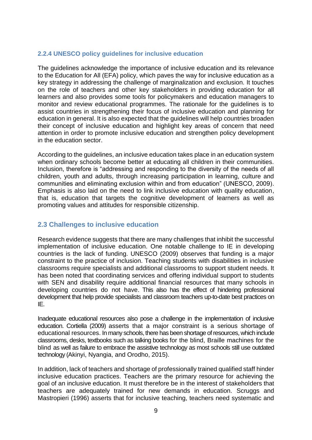# <span id="page-18-0"></span>**2.2.4 UNESCO policy guidelines for inclusive education**

The guidelines acknowledge the importance of inclusive education and its relevance to the Education for All (EFA) policy, which paves the way for inclusive education as a key strategy in addressing the challenge of marginalization and exclusion. It touches on the role of teachers and other key stakeholders in providing education for all learners and also provides some tools for policymakers and education managers to monitor and review educational programmes. The rationale for the guidelines is to assist countries in strengthening their focus of inclusive education and planning for education in general. It is also expected that the guidelines will help countries broaden their concept of inclusive education and highlight key areas of concern that need attention in order to promote inclusive education and strengthen policy development in the education sector.

According to the guidelines, an inclusive education takes place in an education system when ordinary schools become better at educating all children in their communities. Inclusion, therefore is "addressing and responding to the diversity of the needs of all children, youth and adults, through increasing participation in learning, culture and communities and eliminating exclusion within and from education" (UNESCO, 2009). Emphasis is also laid on the need to link inclusive education with quality education, that is, education that targets the cognitive development of learners as well as promoting values and attitudes for responsible citizenship.

# <span id="page-18-1"></span>**2.3 Challenges to inclusive education**

Research evidence suggests that there are many challenges that inhibit the successful implementation of inclusive education. One notable challenge to IE in developing countries is the lack of funding. UNESCO (2009) observes that funding is a major constraint to the practice of inclusion. Teaching students with disabilities in inclusive classrooms require specialists and additional classrooms to support student needs. It has been noted that coordinating services and offering individual support to students with SEN and disability require additional financial resources that many schools in developing countries do not have. This also has the effect of hindering professional development that help provide specialists and classroom teachers up-to-date best practices on IE.

Inadequate educational resources also pose a challenge in the implementation of inclusive education. Cortiella (2009) asserts that a major constraint is a serious shortage of educational resources. In many schools, there has been shortage of resources, which include classrooms, desks, textbooks such as talking books for the blind, Braille machines for the blind as well as failure to embrace the assistive technology as most schools still use outdated technology (Akinyi, Nyangia, and Orodho, 2015).

In addition, lack of teachers and shortage of professionally trained qualified staff hinder inclusive education practices. Teachers are the primary resource for achieving the goal of an inclusive education. It must therefore be in the interest of stakeholders that teachers are adequately trained for new demands in education. Scruggs and Mastropieri (1996) asserts that for inclusive teaching, teachers need systematic and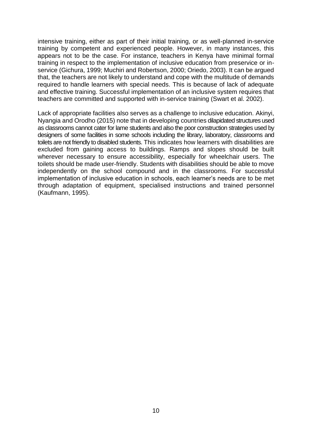intensive training, either as part of their initial training, or as well-planned in-service training by competent and experienced people. However, in many instances, this appears not to be the case. For instance, teachers in Kenya have minimal formal training in respect to the implementation of inclusive education from preservice or inservice (Gichura, 1999; Muchiri and Robertson, 2000; Oriedo, 2003). It can be argued that, the teachers are not likely to understand and cope with the multitude of demands required to handle learners with special needs. This is because of lack of adequate and effective training. Successful implementation of an inclusive system requires that teachers are committed and supported with in-service training (Swart et al. 2002).

Lack of appropriate facilities also serves as a challenge to inclusive education. Akinyi, Nyangia and Orodho (2015) note that in developing countries dilapidated structures used as classrooms cannot cater for lame students and also the poor construction strategies used by designers of some facilities in some schools including the library, laboratory, classrooms and toilets are not friendly to disabled students. This indicates how learners with disabilities are excluded from gaining access to buildings. Ramps and slopes should be built wherever necessary to ensure accessibility, especially for wheelchair users. The toilets should be made user-friendly. Students with disabilities should be able to move independently on the school compound and in the classrooms. For successful implementation of inclusive education in schools, each learner's needs are to be met through adaptation of equipment, specialised instructions and trained personnel (Kaufmann, 1995).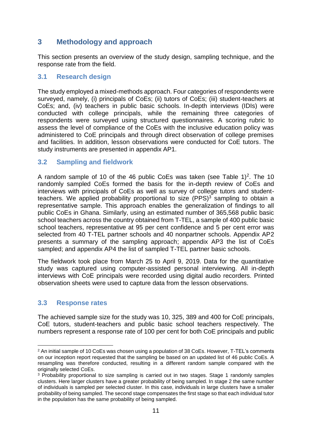# <span id="page-20-0"></span>**3 Methodology and approach**

This section presents an overview of the study design, sampling technique, and the response rate from the field.

# <span id="page-20-1"></span>**3.1 Research design**

The study employed a mixed-methods approach. Four categories of respondents were surveyed, namely, (i) principals of CoEs; (ii) tutors of CoEs; (iii) student-teachers at CoEs; and, (iv) teachers in public basic schools. In-depth interviews (IDIs) were conducted with college principals, while the remaining three categories of respondents were surveyed using structured questionnaires. A scoring rubric to assess the level of compliance of the CoEs with the inclusive education policy was administered to CoE principals and through direct observation of college premises and facilities. In addition, lesson observations were conducted for CoE tutors. The study instruments are presented in appendix AP1.

# <span id="page-20-2"></span>**3.2 Sampling and fieldwork**

A random sample of 10 of the 46 public CoEs was taken (see Table  $1)^2$ . The 10 randomly sampled CoEs formed the basis for the in-depth review of CoEs and interviews with principals of CoEs as well as survey of college tutors and studentteachers. We applied probability proportional to size (PPS)<sup>3</sup> sampling to obtain a representative sample. This approach enables the generalization of findings to all public CoEs in Ghana. Similarly, using an estimated number of 365,568 public basic school teachers across the country obtained from T-TEL, a sample of 400 public basic school teachers, representative at 95 per cent confidence and 5 per cent error was selected from 40 T-TEL partner schools and 40 nonpartner schools. Appendix AP2 presents a summary of the sampling approach; appendix AP3 the list of CoEs sampled; and appendix AP4 the list of sampled T-TEL partner basic schools.

The fieldwork took place from March 25 to April 9, 2019. Data for the quantitative study was captured using computer-assisted personal interviewing. All in-depth interviews with CoE principals were recorded using digital audio recorders. Printed observation sheets were used to capture data from the lesson observations.

# <span id="page-20-3"></span>**3.3 Response rates**

**.** 

The achieved sample size for the study was 10, 325, 389 and 400 for CoE principals, CoE tutors, student-teachers and public basic school teachers respectively. The numbers represent a response rate of 100 per cent for both CoE principals and public

<sup>&</sup>lt;sup>2</sup> An initial sample of 10 CoEs was chosen using a population of 38 CoEs. However, T-TEL's comments on our inception report requested that the sampling be based on an updated list of 46 public CoEs. A resampling was therefore conducted, resulting in a different random sample compared with the originally selected CoEs.

<sup>&</sup>lt;sup>3</sup> Probability proportional to size sampling is carried out in two stages. Stage 1 randomly samples clusters. Here larger clusters have a greater probability of being sampled. In stage 2 the same number of individuals is sampled per selected cluster. In this case, individuals in large clusters have a smaller probability of being sampled. The second stage compensates the first stage so that each individual tutor in the population has the same probability of being sampled.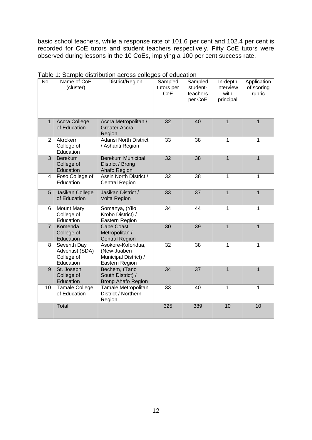basic school teachers, while a response rate of 101.6 per cent and 102.4 per cent is recorded for CoE tutors and student teachers respectively. Fifty CoE tutors were observed during lessons in the 10 CoEs, implying a 100 per cent success rate.

| No.            | Name of CoE<br>(cluster)                                  | District/Region                                                              | Sampled<br>tutors per<br>CoE | Sampled<br>student-<br>teachers<br>per CoE | In-depth<br>interview<br>with<br>principal | Application<br>of scoring<br>rubric |
|----------------|-----------------------------------------------------------|------------------------------------------------------------------------------|------------------------------|--------------------------------------------|--------------------------------------------|-------------------------------------|
| $\mathbf{1}$   | Accra College<br>of Education                             | Accra Metropolitan /<br><b>Greater Accra</b><br>Region                       | 32                           | 40                                         | $\overline{1}$                             | $\mathbf{1}$                        |
| $\overline{2}$ | Akrokerri<br>College of<br>Education                      | <b>Adansi North District</b><br>/ Ashanti Region                             | 33                           | 38                                         | $\overline{1}$                             | $\mathbf{1}$                        |
| 3              | <b>Berekum</b><br>College of<br>Education                 | Berekum Municipal<br>District / Brong<br>Ahafo Region                        | 32                           | 38                                         | $\mathbf{1}$                               | $\mathbf{1}$                        |
| 4              | Foso College of<br>Education                              | Assin North District /<br><b>Central Region</b>                              | 32                           | 38                                         | 1                                          | $\mathbf{1}$                        |
| 5              | Jasikan College<br>of Education                           | Jasikan District /<br><b>Volta Region</b>                                    | 33                           | $\overline{37}$                            | $\overline{1}$                             | $\mathbf{1}$                        |
| 6              | <b>Mount Mary</b><br>College of<br>Education              | Somanya, (Yilo<br>Krobo District) /<br>Eastern Region                        | 34                           | 44                                         | $\mathbf{1}$                               | $\mathbf{1}$                        |
| $\overline{7}$ | Komenda<br>College of<br>Education                        | <b>Cape Coast</b><br>Metropolitan /<br><b>Central Region</b>                 | 30                           | 39                                         | $\mathbf{1}$                               | $\mathbf{1}$                        |
| 8              | Seventh Day<br>Adventist (SDA)<br>College of<br>Education | Asokore-Koforidua,<br>(New-Juaben<br>Municipal District) /<br>Eastern Region | 32                           | 38                                         | 1                                          | $\mathbf{1}$                        |
| 9              | St. Joseph<br>College of<br>Education                     | Bechem, (Tano<br>South District) /<br><b>Brong Ahafo Region</b>              | $\overline{34}$              | $\overline{37}$                            | $\overline{1}$                             | $\overline{1}$                      |
| 10             | <b>Tamale College</b><br>of Education                     | Tamale Metropolitan<br>District / Northern<br>Region                         | 33                           | 40                                         | 1                                          | $\mathbf{1}$                        |
|                | Total                                                     |                                                                              | 325                          | 389                                        | 10                                         | 10                                  |

<span id="page-21-0"></span>Table 1: Sample distribution across colleges of education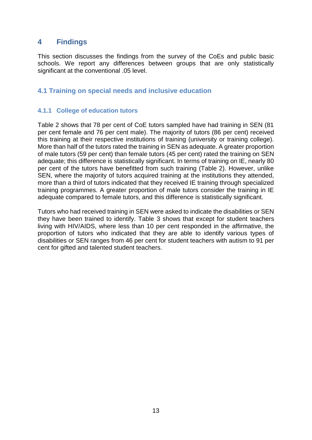# <span id="page-22-0"></span>**4 Findings**

This section discusses the findings from the survey of the CoEs and public basic schools. We report any differences between groups that are only statistically significant at the conventional .05 level.

# <span id="page-22-1"></span>**4.1 Training on special needs and inclusive education**

# <span id="page-22-2"></span>**4.1.1 College of education tutors**

Table 2 shows that 78 per cent of CoE tutors sampled have had training in SEN (81 per cent female and 76 per cent male). The majority of tutors (86 per cent) received this training at their respective institutions of training (university or training college). More than half of the tutors rated the training in SEN as adequate. A greater proportion of male tutors (59 per cent) than female tutors (45 per cent) rated the training on SEN adequate; this difference is statistically significant. In terms of training on IE, nearly 80 per cent of the tutors have benefitted from such training (Table 2). However, unlike SEN, where the majority of tutors acquired training at the institutions they attended, more than a third of tutors indicated that they received IE training through specialized training programmes. A greater proportion of male tutors consider the training in IE adequate compared to female tutors, and this difference is statistically significant.

Tutors who had received training in SEN were asked to indicate the disabilities or SEN they have been trained to identify. Table 3 shows that except for student teachers living with HIV/AIDS, where less than 10 per cent responded in the affirmative, the proportion of tutors who indicated that they are able to identify various types of disabilities or SEN ranges from 46 per cent for student teachers with autism to 91 per cent for gifted and talented student teachers.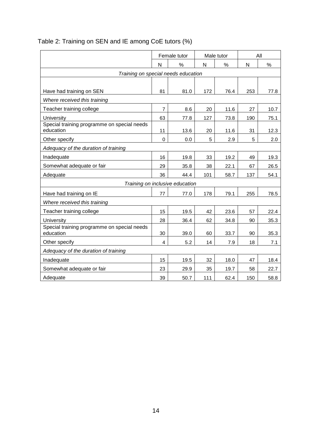|                                                          |                | Female tutor |     | Male tutor |     | All  |  |
|----------------------------------------------------------|----------------|--------------|-----|------------|-----|------|--|
|                                                          | N              | $\%$         | N   | %          | N   | $\%$ |  |
| Training on special needs education                      |                |              |     |            |     |      |  |
|                                                          |                |              |     |            |     |      |  |
| Have had training on SEN                                 | 81             | 81.0         | 172 | 76.4       | 253 | 77.8 |  |
| Where received this training                             |                |              |     |            |     |      |  |
| Teacher training college                                 | $\overline{7}$ | 8.6          | 20  | 11.6       | 27  | 10.7 |  |
| University                                               | 63             | 77.8         | 127 | 73.8       | 190 | 75.1 |  |
| Special training programme on special needs<br>education | 11             | 13.6         | 20  | 11.6       | 31  | 12.3 |  |
| Other specify                                            | $\Omega$       | 0.0          | 5   | 2.9        | 5   | 2.0  |  |
| Adequacy of the duration of training                     |                |              |     |            |     |      |  |
| Inadequate                                               | 16             | 19.8         | 33  | 19.2       | 49  | 19.3 |  |
| Somewhat adequate or fair                                | 29             | 35.8         | 38  | 22.1       | 67  | 26.5 |  |
| Adequate                                                 | 36             | 44.4         | 101 | 58.7       | 137 | 54.1 |  |
| Training on inclusive education                          |                |              |     |            |     |      |  |
| Have had training on IE                                  | 77             | 77.0         | 178 | 79.1       | 255 | 78.5 |  |
| Where received this training                             |                |              |     |            |     |      |  |
| Teacher training college                                 | 15             | 19.5         | 42  | 23.6       | 57  | 22.4 |  |
| University                                               | 28             | 36.4         | 62  | 34.8       | 90  | 35.3 |  |
| Special training programme on special needs<br>education | 30             | 39.0         | 60  | 33.7       | 90  | 35.3 |  |
| Other specify                                            | $\overline{4}$ | 5.2          | 14  | 7.9        | 18  | 7.1  |  |
| Adequacy of the duration of training                     |                |              |     |            |     |      |  |
| Inadequate                                               | 15             | 19.5         | 32  | 18.0       | 47  | 18.4 |  |
| Somewhat adequate or fair                                | 23             | 29.9         | 35  | 19.7       | 58  | 22.7 |  |
| Adequate                                                 | 39             | 50.7         | 111 | 62.4       | 150 | 58.8 |  |

# <span id="page-23-0"></span>Table 2: Training on SEN and IE among CoE tutors (%)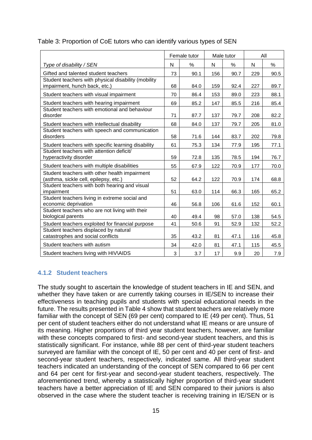|                                                                                        | Female tutor |      |     | Male tutor | All |      |
|----------------------------------------------------------------------------------------|--------------|------|-----|------------|-----|------|
| Type of disability / SEN                                                               | N            | %    | N   | %          | N   | %    |
| Gifted and talented student teachers                                                   | 73           | 90.1 | 156 | 90.7       | 229 | 90.5 |
| Student teachers with physical disability (mobility                                    |              |      |     |            |     |      |
| impairment, hunch back, etc.)                                                          | 68           | 84.0 | 159 | 92.4       | 227 | 89.7 |
| Student teachers with visual impairment                                                | 70           | 86.4 | 153 | 89.0       | 223 | 88.1 |
| Student teachers with hearing impairment                                               | 69           | 85.2 | 147 | 85.5       | 216 | 85.4 |
| Student teachers with emotional and behaviour<br>disorder                              | 71           | 87.7 | 137 | 79.7       | 208 | 82.2 |
| Student teachers with intellectual disability                                          | 68           | 84.0 | 137 | 79.7       | 205 | 81.0 |
| Student teachers with speech and communication<br>disorders                            | 58           | 71.6 | 144 | 83.7       | 202 | 79.8 |
| Student teachers with specific learning disability                                     | 61           | 75.3 | 134 | 77.9       | 195 | 77.1 |
| Student teachers with attention deficit/<br>hyperactivity disorder                     | 59           | 72.8 | 135 | 78.5       | 194 | 76.7 |
| Student teachers with multiple disabilities                                            | 55           | 67.9 | 122 | 70.9       | 177 | 70.0 |
| Student teachers with other health impairment<br>(asthma, sickle cell, epilepsy, etc.) | 52           | 64.2 | 122 | 70.9       | 174 | 68.8 |
| Student teachers with both hearing and visual<br>impairment                            | 51           | 63.0 | 114 | 66.3       | 165 | 65.2 |
| Student teachers living in extreme social and<br>economic deprivation                  | 46           | 56.8 | 106 | 61.6       | 152 | 60.1 |
| Student teachers who are not living with their<br>biological parents                   | 40           | 49.4 | 98  | 57.0       | 138 | 54.5 |
| Student teachers exploited for financial purpose                                       | 41           | 50.6 | 91  | 52.9       | 132 | 52.2 |
| Student teachers displaced by natural<br>catastrophes and social conflicts             | 35           | 43.2 | 81  | 47.1       | 116 | 45.8 |
| Student teachers with autism                                                           | 34           | 42.0 | 81  | 47.1       | 115 | 45.5 |
| Student teachers living with HIV\AIDS                                                  | 3            | 3.7  | 17  | 9.9        | 20  | 7.9  |

## <span id="page-24-1"></span>Table 3: Proportion of CoE tutors who can identify various types of SEN

#### <span id="page-24-0"></span>**4.1.2 Student teachers**

The study sought to ascertain the knowledge of student teachers in IE and SEN, and whether they have taken or are currently taking courses in IE/SEN to increase their effectiveness in teaching pupils and students with special educational needs in the future. The results presented in Table 4 show that student teachers are relatively more familiar with the concept of SEN (69 per cent) compared to IE (49 per cent). Thus, 51 per cent of student teachers either do not understand what IE means or are unsure of its meaning. Higher proportions of third year student teachers, however, are familiar with these concepts compared to first- and second-year student teachers, and this is statistically significant. For instance, while 88 per cent of third-year student teachers surveyed are familiar with the concept of IE, 50 per cent and 40 per cent of first- and second-year student teachers, respectively, indicated same. All third-year student teachers indicated an understanding of the concept of SEN compared to 66 per cent and 64 per cent for first-year and second-year student teachers, respectively. The aforementioned trend, whereby a statistically higher proportion of third-year student teachers have a better appreciation of IE and SEN compared to their juniors is also observed in the case where the student teacher is receiving training in IE/SEN or is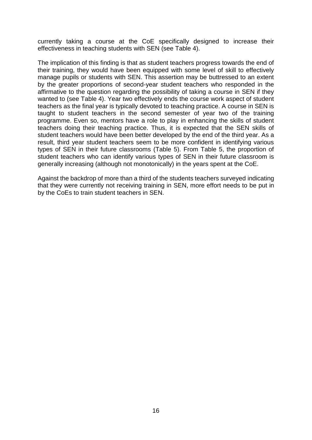currently taking a course at the CoE specifically designed to increase their effectiveness in teaching students with SEN (see Table 4).

The implication of this finding is that as student teachers progress towards the end of their training, they would have been equipped with some level of skill to effectively manage pupils or students with SEN. This assertion may be buttressed to an extent by the greater proportions of second-year student teachers who responded in the affirmative to the question regarding the possibility of taking a course in SEN if they wanted to (see Table 4). Year two effectively ends the course work aspect of student teachers as the final year is typically devoted to teaching practice. A course in SEN is taught to student teachers in the second semester of year two of the training programme. Even so, mentors have a role to play in enhancing the skills of student teachers doing their teaching practice. Thus, it is expected that the SEN skills of student teachers would have been better developed by the end of the third year. As a result, third year student teachers seem to be more confident in identifying various types of SEN in their future classrooms (Table 5). From Table 5, the proportion of student teachers who can identify various types of SEN in their future classroom is generally increasing (although not monotonically) in the years spent at the CoE.

Against the backdrop of more than a third of the students teachers surveyed indicating that they were currently not receiving training in SEN, more effort needs to be put in by the CoEs to train student teachers in SEN.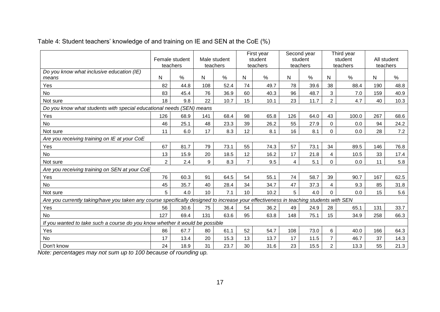|                                                                                                                                       |                |                |              |              |                | First year |     | Second year |                | Third year |          |             |
|---------------------------------------------------------------------------------------------------------------------------------------|----------------|----------------|--------------|--------------|----------------|------------|-----|-------------|----------------|------------|----------|-------------|
|                                                                                                                                       |                | Female student |              | Male student |                | student    |     | student     |                | student    |          | All student |
|                                                                                                                                       |                | teachers       |              | teachers     |                | teachers   |     | teachers    | teachers       |            | teachers |             |
| Do you know what inclusive education (IE)                                                                                             |                |                |              |              |                |            |     |             |                |            |          |             |
| means                                                                                                                                 | N              | %              | $\mathsf{N}$ | $\%$         | N              | $\%$       | N   | %           | N              | $\%$       | N        | $\%$        |
| Yes                                                                                                                                   | 82             | 44.8           | 108          | 52.4         | 74             | 49.7       | 78  | 39.6        | 38             | 88.4       | 190      | 48.8        |
| <b>No</b>                                                                                                                             | 83             | 45.4           | 76           | 36.9         | 60             | 40.3       | 96  | 48.7        | 3              | 7.0        | 159      | 40.9        |
| Not sure                                                                                                                              | 18             | 9.8            | 22           | 10.7         | 15             | 10.1       | 23  | 11.7        | $\overline{2}$ | 4.7        | 40       | 10.3        |
| Do you know what students with special educational needs (SEN) means                                                                  |                |                |              |              |                |            |     |             |                |            |          |             |
| Yes                                                                                                                                   | 126            | 68.9           | 141          | 68.4         | 98             | 65.8       | 126 | 64.0        | 43             | 100.0      | 267      | 68.6        |
| No                                                                                                                                    | 46             | 25.1           | 48           | 23.3         | 39             | 26.2       | 55  | 27.9        | 0              | 0.0        | 94       | 24.2        |
| Not sure                                                                                                                              | 11             | 6.0            | 17           | 8.3          | 12             | 8.1        | 16  | 8.1         | $\Omega$       | 0.0        | 28       | 7.2         |
| Are you receiving training on IE at your CoE                                                                                          |                |                |              |              |                |            |     |             |                |            |          |             |
| Yes                                                                                                                                   | 67             | 81.7           | 79           | 73.1         | 55             | 74.3       | 57  | 73.1        | 34             | 89.5       | 146      | 76.8        |
| No                                                                                                                                    | 13             | 15.9           | 20           | 18.5         | 12             | 16.2       | 17  | 21.8        | 4              | 10.5       | 33       | 17.4        |
| Not sure                                                                                                                              | $\overline{2}$ | 2.4            | 9            | 8.3          | $\overline{7}$ | 9.5        | 4   | 5.1         | $\mathbf 0$    | 0.0        | 11       | 5.8         |
| Are you receiving training on SEN at your CoE                                                                                         |                |                |              |              |                |            |     |             |                |            |          |             |
| Yes                                                                                                                                   | 76             | 60.3           | 91           | 64.5         | 54             | 55.1       | 74  | 58.7        | 39             | 90.7       | 167      | 62.5        |
| <b>No</b>                                                                                                                             | 45             | 35.7           | 40           | 28.4         | 34             | 34.7       | 47  | 37.3        | 4              | 9.3        | 85       | 31.8        |
| Not sure                                                                                                                              | 5              | 4.0            | 10           | 7.1          | 10             | 10.2       | 5   | 4.0         | $\Omega$       | 0.0        | 15       | 5.6         |
| Are you currently taking/have you taken any course specifically designed to increase your effectiveness in teaching students with SEN |                |                |              |              |                |            |     |             |                |            |          |             |
| Yes                                                                                                                                   | 56             | 30.6           | 75           | 36.4         | 54             | 36.2       | 49  | 24.9        | 28             | 65.1       | 131      | 33.7        |
| N <sub>o</sub>                                                                                                                        | 127            | 69.4           | 131          | 63.6         | 95             | 63.8       | 148 | 75.1        | 15             | 34.9       | 258      | 66.3        |
| If you wanted to take such a course do you know whether it would be possible                                                          |                |                |              |              |                |            |     |             |                |            |          |             |
| Yes                                                                                                                                   | 86             | 67.7           | 80           | 61.1         | 52             | 54.7       | 108 | 73.0        | $6\phantom{1}$ | 40.0       | 166      | 64.3        |
| N <sub>o</sub>                                                                                                                        | 17             | 13.4           | 20           | 15.3         | 13             | 13.7       | 17  | 11.5        | $\overline{7}$ | 46.7       | 37       | 14.3        |
| Don't know                                                                                                                            | 24             | 18.9           | 31           | 23.7         | 30             | 31.6       | 23  | 15.5        | $\overline{c}$ | 13.3       | 55       | 21.3        |

Table 4: Student teachers' knowledge of and training on IE and SEN at the CoE (%)

<span id="page-26-0"></span>*Note: percentages may not sum up to 100 because of rounding up.*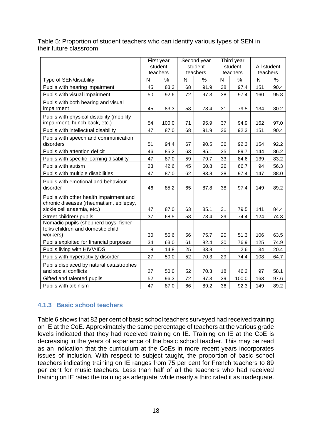|                                                                                                                  |    | First year |         | Second year |         | Third year |     |             |
|------------------------------------------------------------------------------------------------------------------|----|------------|---------|-------------|---------|------------|-----|-------------|
|                                                                                                                  |    | student    | student |             | student |            |     | All student |
|                                                                                                                  |    | teachers   |         | teachers    |         | teachers   |     | teachers    |
| Type of SEN/disability                                                                                           | N  | $\%$       | N       | %           | N       | $\%$       | N   | $\%$        |
| Pupils with hearing impairment                                                                                   | 45 | 83.3       | 68      | 91.9        | 38      | 97.4       | 151 | 90.4        |
| Pupils with visual impairment                                                                                    | 50 | 92.6       | 72      | 97.3        | 38      | 97.4       | 160 | 95.8        |
| Pupils with both hearing and visual<br>impairment                                                                | 45 | 83.3       | 58      | 78.4        | 31      | 79.5       | 134 | 80.2        |
| Pupils with physical disability (mobility<br>impairment, hunch back, etc.)                                       | 54 | 100.0      | 71      | 95.9        | 37      | 94.9       | 162 | 97.0        |
| Pupils with intellectual disability                                                                              | 47 | 87.0       | 68      | 91.9        | 36      | 92.3       | 151 | 90.4        |
| Pupils with speech and communication<br>disorders                                                                |    |            |         |             |         |            |     |             |
|                                                                                                                  | 51 | 94.4       | 67      | 90.5        | 36      | 92.3       | 154 | 92.2        |
| Pupils with attention deficit                                                                                    | 46 | 85.2       | 63      | 85.1        | 35      | 89.7       | 144 | 86.2        |
| Pupils with specific learning disability                                                                         | 47 | 87.0       | 59      | 79.7        | 33      | 84.6       | 139 | 83.2        |
| Pupils with autism                                                                                               | 23 | 42.6       | 45      | 60.8        | 26      | 66.7       | 94  | 56.3        |
| Pupils with multiple disabilities                                                                                | 47 | 87.0       | 62      | 83.8        | 38      | 97.4       | 147 | 88.0        |
| Pupils with emotional and behaviour<br>disorder                                                                  | 46 | 85.2       | 65      | 87.8        | 38      | 97.4       | 149 | 89.2        |
| Pupils with other health impairment and<br>chronic diseases (rheumatism, epilepsy,<br>sickle cell anaemia, etc.) | 47 | 87.0       | 63      | 85.1        | 31      | 79.5       | 141 | 84.4        |
| Street children/ pupils                                                                                          | 37 | 68.5       | 58      | 78.4        | 29      | 74.4       | 124 | 74.3        |
| Nomadic pupils (shepherd boys, fisher-<br>folks children and domestic child                                      |    |            |         |             |         |            |     |             |
| workers)                                                                                                         | 30 | 55.6       | 56      | 75.7        | 20      | 51.3       | 106 | 63.5        |
| Pupils exploited for financial purposes                                                                          | 34 | 63.0       | 61      | 82.4        | 30      | 76.9       | 125 | 74.9        |
| Pupils living with HIV/AIDS                                                                                      | 8  | 14.8       | 25      | 33.8        | 1       | 2.6        | 34  | 20.4        |
| Pupils with hyperactivity disorder                                                                               | 27 | 50.0       | 52      | 70.3        | 29      | 74.4       | 108 | 64.7        |
| Pupils displaced by natural catastrophes<br>and social conflicts                                                 | 27 | 50.0       | 52      | 70.3        | 18      | 46.2       | 97  | 58.1        |
| Gifted and talented pupils                                                                                       | 52 | 96.3       | 72      | 97.3        | 39      | 100.0      | 163 | 97.6        |
| Pupils with albinism                                                                                             | 47 | 87.0       | 66      | 89.2        | 36      | 92.3       | 149 | 89.2        |

<span id="page-27-1"></span>Table 5: Proportion of student teachers who can identify various types of SEN in their future classroom

# <span id="page-27-0"></span>**4.1.3 Basic school teachers**

Table 6 shows that 82 per cent of basic school teachers surveyed had received training on IE at the CoE. Approximately the same percentage of teachers at the various grade levels indicated that they had received training on IE. Training on IE at the CoE is decreasing in the years of experience of the basic school teacher. This may be read as an indication that the curriculum at the CoEs in more recent years incorporates issues of inclusion. With respect to subject taught, the proportion of basic school teachers indicating training on IE ranges from 75 per cent for French teachers to 89 per cent for music teachers. Less than half of all the teachers who had received training on IE rated the training as adequate, while nearly a third rated it as inadequate.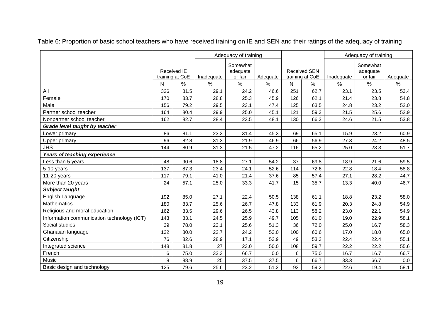<span id="page-28-0"></span>

|                                            |     |                                       | Adequacy of training |                                             |      |                                        |      | Adequacy of training |                                 |          |
|--------------------------------------------|-----|---------------------------------------|----------------------|---------------------------------------------|------|----------------------------------------|------|----------------------|---------------------------------|----------|
|                                            |     | <b>Received IE</b><br>training at CoE |                      | Somewhat<br>adequate<br>or fair<br>Adequate |      | <b>Received SEN</b><br>training at CoE |      | Inadequate           | Somewhat<br>adequate<br>or fair | Adequate |
|                                            | N   | $\%$                                  | Inadequate<br>$\%$   | $\%$                                        | %    | N                                      | $\%$ | %                    | %                               | %        |
| All                                        | 326 | 81.5                                  | 29.1                 | 24.2                                        | 46.6 | 251                                    | 62.7 | 23.1                 | 23.5                            | 53.4     |
| Female                                     | 170 | 83.7                                  | 28.8                 | 25.3                                        | 45.9 | 126                                    | 62.1 | 21.4                 | 23.8                            | 54.8     |
| Male                                       | 156 | 79.2                                  | 29.5                 | 23.1                                        | 47.4 | 125                                    | 63.5 | 24.8                 | 23.2                            | 52.0     |
| Partner school teacher                     | 164 | 80.4                                  | 29.9                 | 25.0                                        | 45.1 | 121                                    | 59.3 | 21.5                 | 25.6                            | 52.9     |
| Nonpartner school teacher                  | 162 | 82.7                                  | 28.4                 | 23.5                                        | 48.1 | 130                                    | 66.3 | 24.6                 | 21.5                            | 53.8     |
| Grade level taught by teacher              |     |                                       |                      |                                             |      |                                        |      |                      |                                 |          |
| Lower primary                              | 86  | 81.1                                  | 23.3                 | 31.4                                        | 45.3 | 69                                     | 65.1 | 15.9                 | 23.2                            | 60.9     |
| Upper primary                              | 96  | 82.8                                  | 31.3                 | 21.9                                        | 46.9 | 66                                     | 56.9 | 27.3                 | 24.2                            | 48.5     |
| <b>JHS</b>                                 | 144 | 80.9                                  | 31.3                 | 21.5                                        | 47.2 | 116                                    | 65.2 | 25.0                 | 23.3                            | 51.7     |
| Years of teaching experience               |     |                                       |                      |                                             |      |                                        |      |                      |                                 |          |
| Less than 5 years                          | 48  | 90.6                                  | 18.8                 | 27.1                                        | 54.2 | 37                                     | 69.8 | 18.9                 | 21.6                            | 59.5     |
| 5-10 years                                 | 137 | 87.3                                  | 23.4                 | 24.1                                        | 52.6 | 114                                    | 72.6 | 22.8                 | 18.4                            | 58.8     |
| 11-20 years                                | 117 | 79.1                                  | 41.0                 | 21.4                                        | 37.6 | 85                                     | 57.4 | 27.1                 | 28.2                            | 44.7     |
| More than 20 years                         | 24  | 57.1                                  | 25.0                 | 33.3                                        | 41.7 | 15                                     | 35.7 | 13.3                 | 40.0                            | 46.7     |
| Subject taught                             |     |                                       |                      |                                             |      |                                        |      |                      |                                 |          |
| English Language                           | 192 | 85.0                                  | 27.1                 | 22.4                                        | 50.5 | 138                                    | 61.1 | 18.8                 | 23.2                            | 58.0     |
| Mathematics                                | 180 | 83.7                                  | 25.6                 | 26.7                                        | 47.8 | 133                                    | 61.9 | 20.3                 | 24.8                            | 54.9     |
| Religious and moral education              | 162 | 83.5                                  | 29.6                 | 26.5                                        | 43.8 | 113                                    | 58.2 | 23.0                 | 22.1                            | 54.9     |
| Information communication technology (ICT) | 143 | 83.1                                  | 24.5                 | 25.9                                        | 49.7 | 105                                    | 61.0 | 19.0                 | 22.9                            | 58.1     |
| Social studies                             | 39  | 78.0                                  | 23.1                 | 25.6                                        | 51.3 | 36                                     | 72.0 | 25.0                 | 16.7                            | 58.3     |
| Ghanaian language                          | 132 | 80.0                                  | 22.7                 | 24.2                                        | 53.0 | 100                                    | 60.6 | 17.0                 | 18.0                            | 65.0     |
| Citizenship                                | 76  | 82.6                                  | 28.9                 | 17.1                                        | 53.9 | 49                                     | 53.3 | 22.4                 | 22.4                            | 55.1     |
| Integrated science                         | 148 | 81.8                                  | 27                   | 23.0                                        | 50.0 | 108                                    | 59.7 | 22.2                 | 22.2                            | 55.6     |
| French                                     | 6   | 75.0                                  | 33.3                 | 66.7                                        | 0.0  | 6                                      | 75.0 | 16.7                 | 16.7                            | 66.7     |
| Music                                      | 8   | 88.9                                  | 25                   | 37.5                                        | 37.5 | 6                                      | 66.7 | 33.3                 | 66.7                            | 0.0      |
| Basic design and technology                | 125 | 79.6                                  | 25.6                 | 23.2                                        | 51.2 | 93                                     | 59.2 | 22.6                 | 19.4                            | 58.1     |

Table 6: Proportion of basic school teachers who have received training on IE and SEN and their ratings of the adequacy of training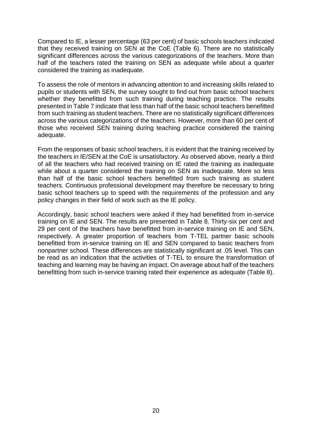Compared to IE, a lesser percentage (63 per cent) of basic schools teachers indicated that they received training on SEN at the CoE (Table 6). There are no statistically significant differences across the various categorizations of the teachers. More than half of the teachers rated the training on SEN as adequate while about a quarter considered the training as inadequate.

To assess the role of mentors in advancing attention to and increasing skills related to pupils or students with SEN, the survey sought to find out from basic school teachers whether they benefitted from such training during teaching practice. The results presented in Table 7 indicate that less than half of the basic school teachers benefitted from such training as student teachers. There are no statistically significant differences across the various categorizations of the teachers. However, more than 60 per cent of those who received SEN training during teaching practice considered the training adequate.

From the responses of basic school teachers, it is evident that the training received by the teachers in IE/SEN at the CoE is unsatisfactory. As observed above, nearly a third of all the teachers who had received training on IE rated the training as inadequate while about a quarter considered the training on SEN as inadequate. More so less than half of the basic school teachers benefitted from such training as student teachers. Continuous professional development may therefore be necessary to bring basic school teachers up to speed with the requirements of the profession and any policy changes in their field of work such as the IE policy.

Accordingly, basic school teachers were asked if they had benefitted from in-service training on IE and SEN. The results are presented in Table 8. Thirty-six per cent and 29 per cent of the teachers have benefitted from in-service training on IE and SEN, respectively. A greater proportion of teachers from T-TEL partner basic schools benefitted from in-service training on IE and SEN compared to basic teachers from nonpartner school. These differences are statistically significant at .05 level. This can be read as an indication that the activities of T-TEL to ensure the transformation of teaching and learning may be having an impact. On average about half of the teachers benefitting from such in-service training rated their experience as adequate (Table 8).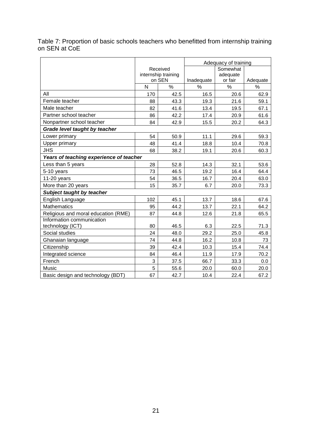<span id="page-30-0"></span>Table 7: Proportion of basic schools teachers who benefitted from internship training on SEN at CoE

|                                         |     |                     | Adequacy of training |          |               |
|-----------------------------------------|-----|---------------------|----------------------|----------|---------------|
|                                         |     | Received            |                      | Somewhat |               |
|                                         |     | internship training |                      | adequate |               |
|                                         |     | on SEN              | Inadequate           | or fair  | Adequate      |
|                                         | N   | %                   | %                    | %        | $\frac{0}{0}$ |
| All                                     | 170 | 42.5                | 16.5                 | 20.6     | 62.9          |
| Female teacher                          | 88  | 43.3                | 19.3                 | 21.6     | 59.1          |
| Male teacher                            | 82  | 41.6                | 13.4                 | 19.5     | 67.1          |
| Partner school teacher                  | 86  | 42.2                | 17.4                 | 20.9     | 61.6          |
| Nonpartner school teacher               | 84  | 42.9                | 15.5                 | 20.2     | 64.3          |
| Grade level taught by teacher           |     |                     |                      |          |               |
| Lower primary                           | 54  | 50.9                | 11.1                 | 29.6     | 59.3          |
| Upper primary                           | 48  | 41.4                | 18.8                 | 10.4     | 70.8          |
| <b>JHS</b>                              | 68  | 38.2                | 19.1                 | 20.6     | 60.3          |
| Years of teaching experience of teacher |     |                     |                      |          |               |
| Less than 5 years                       | 28  | 52.8                | 14.3                 | 32.1     | 53.6          |
| 5-10 years                              | 73  | 46.5                | 19.2                 | 16.4     | 64.4          |
| $11-20$ years                           | 54  | 36.5                | 16.7                 | 20.4     | 63.0          |
| More than 20 years                      | 15  | 35.7                | 6.7                  | 20.0     | 73.3          |
| Subject taught by teacher               |     |                     |                      |          |               |
| English Language                        | 102 | 45.1                | 13.7                 | 18.6     | 67.6          |
| <b>Mathematics</b>                      | 95  | 44.2                | 13.7                 | 22.1     | 64.2          |
| Religious and moral education (RME)     | 87  | 44.8                | 12.6                 | 21.8     | 65.5          |
| Information communication               |     |                     |                      |          |               |
| technology (ICT)                        | 80  | 46.5                | 6.3                  | 22.5     | 71.3          |
| Social studies                          | 24  | 48.0                | 29.2                 | 25.0     | 45.8          |
| Ghanaian language                       | 74  | 44.8                | 16.2                 | 10.8     | 73            |
| Citizenship                             | 39  | 42.4                | 10.3                 | 15.4     | 74.4          |
| Integrated science                      | 84  | 46.4                | 11.9                 | 17.9     | 70.2          |
| French                                  | 3   | 37.5                | 66.7                 | 33.3     | 0.0           |
| Music                                   | 5   | 55.6                | 20.0                 | 60.0     | 20.0          |
| Basic design and technology (BDT)       | 67  | 42.7                | 10.4                 | 22.4     | 67.2          |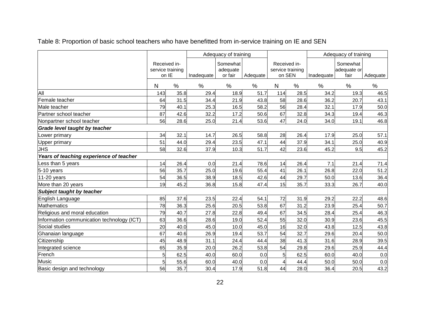Table 8: Proportion of basic school teachers who have benefitted from in-service training on IE and SEN

<span id="page-31-0"></span>

|                                            |                  |      | Adequacy of training |         |          |                  |              | Adequacy of training |          |          |
|--------------------------------------------|------------------|------|----------------------|---------|----------|------------------|--------------|----------------------|----------|----------|
|                                            | Received in-     |      | Somewhat<br>adequate |         |          |                  | Received in- |                      | Somewhat |          |
|                                            | service training |      |                      |         |          | service training |              | adequate or          |          |          |
|                                            | on IE            |      | Inadequate           | or fair | Adequate |                  | on SEN       | Inadequate           | fair     | Adequate |
|                                            | N                | %    | %                    | $\%$    | $\%$     | ${\sf N}$        | %            | %                    | $\%$     | $\%$     |
| All                                        | 143              | 35.8 | 29.4                 | 18.9    | 51.7     | 114              | 28.5         | 34.2                 | 19.3     | 46.5     |
| Female teacher                             | 64               | 31.5 | 34.4                 | 21.9    | 43.8     | 58               | 28.6         | 36.2                 | 20.7     | 43.1     |
| Male teacher                               | 79               | 40.1 | 25.3                 | 16.5    | 58.2     | 56               | 28.4         | 32.1                 | 17.9     | 50.0     |
| Partner school teacher                     | 87               | 42.6 | 32.2                 | 17.2    | 50.6     | 67               | 32.8         | 34.3                 | 19.4     | 46.3     |
| Nonpartner school teacher                  | 56               | 28.6 | 25.0                 | 21.4    | 53.6     | 47               | 24.0         | 34.0                 | 19.1     | 46.8     |
| <b>Grade level taught by teacher</b>       |                  |      |                      |         |          |                  |              |                      |          |          |
| Lower primary                              | 34               | 32.1 | 14.7                 | 26.5    | 58.8     | 28               | 26.4         | 17.9                 | 25.0     | 57.1     |
| Upper primary                              | 51               | 44.0 | 29.4                 | 23.5    | 47.1     | 44               | 37.9         | 34.1                 | 25.0     | 40.9     |
| <b>JHS</b>                                 | 58               | 32.6 | 37.9                 | 10.3    | 51.7     | 42               | 23.6         | 45.2                 | 9.5      | 45.2     |
| Years of teaching experience of teacher    |                  |      |                      |         |          |                  |              |                      |          |          |
| Less than 5 years                          | 14               | 26.4 | 0.0                  | 21.4    | 78.6     | 14               | 26.4         | 7.1                  | 21.4     | 71.4     |
| 5-10 years                                 | 56               | 35.7 | 25.0                 | 19.6    | 55.4     | 41               | 26.1         | 26.8                 | 22.0     | 51.2     |
| 11-20 years                                | 54               | 36.5 | 38.9                 | 18.5    | 42.6     | 44               | 29.7         | 50.0                 | 13.6     | 36.4     |
| More than 20 years                         | 19               | 45.2 | 36.8                 | 15.8    | 47.4     | 15               | 35.7         | 33.3                 | 26.7     | 40.0     |
| Subject taught by teacher                  |                  |      |                      |         |          |                  |              |                      |          |          |
| English Language                           | 85               | 37.6 | 23.5                 | 22.4    | 54.1     | 72               | 31.9         | 29.2                 | 22.2     | 48.6     |
| <b>Mathematics</b>                         | 78               | 36.3 | 25.6                 | 20.5    | 53.8     | 67               | 31.2         | 23.9                 | 25.4     | 50.7     |
| Religious and moral education              | 79               | 40.7 | 27.8                 | 22.8    | 49.4     | 67               | 34.5         | 28.4                 | 25.4     | 46.3     |
| Information communication technology (ICT) | 63               | 36.6 | 28.6                 | 19.0    | 52.4     | 55               | 32.0         | 30.9                 | 23.6     | 45.5     |
| Social studies                             | 20               | 40.0 | 45.0                 | 10.0    | 45.0     | 16               | 32.0         | 43.8                 | 12.5     | 43.8     |
| Ghanaian language                          | 67               | 40.6 | 26.9                 | 19.4    | 53.7     | 54               | 32.7         | 29.6                 | 20.4     | 50.0     |
| Citizenship                                | 45               | 48.9 | 31.1                 | 24.4    | 44.4     | 38               | 41.3         | 31.6                 | 28.9     | 39.5     |
| Integrated science                         | 65               | 35.9 | 20.0                 | 26.2    | 53.8     | 54               | 29.8         | 29.6                 | 25.9     | 44.4     |
| French                                     |                  | 62.5 | 40.0                 | 60.0    | 0.0      | 5 <sub>l</sub>   | 62.5         | 60.0                 | 40.0     | 0.0      |
| <b>Music</b>                               |                  | 55.6 | 60.0                 | 40.0    | 0.0      | $\overline{4}$   | 44.4         | 50.0                 | 50.0     | 0.0      |
| Basic design and technology                | 56               | 35.7 | 30.4                 | 17.9    | 51.8     | 44               | 28.0         | 36.4                 | 20.5     | 43.2     |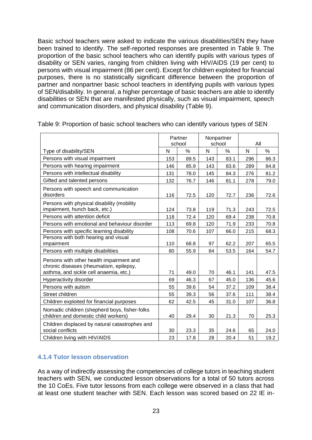Basic school teachers were asked to indicate the various disabilities/SEN they have been trained to identify. The self-reported responses are presented in Table 9. The proportion of the basic school teachers who can identify pupils with various types of disability or SEN varies, ranging from children living with HIV/AIDS (19 per cent) to persons with visual impairment (86 per cent). Except for children exploited for financial purposes, there is no statistically significant difference between the proportion of partner and nonpartner basic school teachers in identifying pupils with various types of SEN/disability. In general, a higher percentage of basic teachers are able to identify disabilities or SEN that are manifested physically, such as visual impairment, speech and communication disorders, and physical disability (Table 9).

|                                                                                                                               |     | Partner<br>school |     | Nonpartner<br>school | All |      |  |
|-------------------------------------------------------------------------------------------------------------------------------|-----|-------------------|-----|----------------------|-----|------|--|
| Type of disability/SEN                                                                                                        | N   | %                 | N   | %                    | N   | %    |  |
| Persons with visual impairment                                                                                                | 153 | 89.5              | 143 | 83.1                 | 296 | 86.3 |  |
| Persons with hearing impairment                                                                                               | 146 | 85.9              | 143 | 83.6                 | 289 | 84.8 |  |
| Persons with intellectual disability                                                                                          | 131 | 78.0              | 145 | 84.3                 | 276 | 81.2 |  |
| Gifted and talented persons                                                                                                   | 132 | 76.7              | 146 | 81.1                 | 278 | 79.0 |  |
| Persons with speech and communication<br>disorders                                                                            | 116 | 72.5              | 120 | 72.7                 | 236 | 72.6 |  |
| Persons with physical disability (mobility<br>impairment, hunch back, etc.)                                                   | 124 | 73.8              | 119 | 71.3                 | 243 | 72.5 |  |
| Persons with attention deficit                                                                                                | 118 | 72.4              | 120 | 69.4                 | 238 | 70.8 |  |
| Persons with emotional and behaviour disorder                                                                                 | 113 | 69.8              | 120 | 71.9                 | 233 | 70.8 |  |
| Persons with specific learning disability                                                                                     | 108 | 70.6              | 107 | 66.0                 | 215 | 68.3 |  |
| Persons with both hearing and visual<br>impairment                                                                            | 110 | 68.8              | 97  | 62.2                 | 207 | 65.5 |  |
| Persons with multiple disabilities                                                                                            | 80  | 55.9              | 84  | 53.5                 | 164 | 54.7 |  |
| Persons with other health impairment and<br>chronic diseases (rheumatism, epilepsy,<br>asthma, and sickle cell anaemia, etc.) | 71  | 49.0              | 70  | 46.1                 | 141 | 47.5 |  |
| Hyperactivity disorder                                                                                                        | 69  | 46.3              | 67  | 45.0                 | 136 | 45.6 |  |
| Persons with autism                                                                                                           | 55  | 39.6              | 54  | 37.2                 | 109 | 38.4 |  |
| Street children                                                                                                               | 55  | 39.3              | 56  | 37.6                 | 111 | 38.4 |  |
| Children exploited for financial purposes                                                                                     | 62  | 42.5              | 45  | 31.0                 | 107 | 36.8 |  |
| Nomadic children (shepherd boys, fisher-folks<br>children and domestic child workers)                                         | 40  | 29.4              | 30  | 21.3                 | 70  | 25.3 |  |
| Children displaced by natural catastrophes and<br>social conflicts                                                            | 30  | 23.3              | 35  | 24.6                 | 65  | 24.0 |  |
| Children living with HIV/AIDS                                                                                                 | 23  | 17.8              | 28  | 20.4                 | 51  | 19.2 |  |

<span id="page-32-1"></span>Table 9: Proportion of basic school teachers who can identify various types of SEN

# <span id="page-32-0"></span>**4.1.4 Tutor lesson observation**

As a way of indirectly assessing the competencies of college tutors in teaching student teachers with SEN, we conducted lesson observations for a total of 50 tutors across the 10 CoEs. Five tutor lessons from each college were observed in a class that had at least one student teacher with SEN. Each lesson was scored based on 22 IE in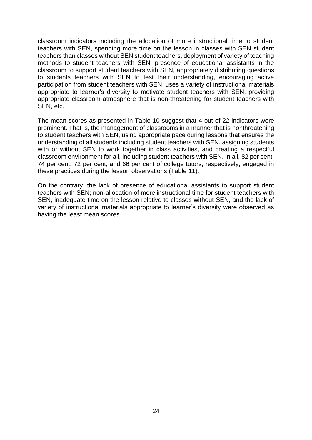classroom indicators including the allocation of more instructional time to student teachers with SEN, spending more time on the lesson in classes with SEN student teachers than classes without SEN student teachers, deployment of variety of teaching methods to student teachers with SEN, presence of educational assistants in the classroom to support student teachers with SEN, appropriately distributing questions to students teachers with SEN to test their understanding, encouraging active participation from student teachers with SEN, uses a variety of instructional materials appropriate to learner's diversity to motivate student teachers with SEN, providing appropriate classroom atmosphere that is non-threatening for student teachers with SEN, etc.

The mean scores as presented in Table 10 suggest that 4 out of 22 indicators were prominent. That is, the management of classrooms in a manner that is nonthreatening to student teachers with SEN, using appropriate pace during lessons that ensures the understanding of all students including student teachers with SEN, assigning students with or without SEN to work together in class activities, and creating a respectful classroom environment for all, including student teachers with SEN. In all, 82 per cent, 74 per cent, 72 per cent, and 66 per cent of college tutors, respectively, engaged in these practices during the lesson observations (Table 11).

On the contrary, the lack of presence of educational assistants to support student teachers with SEN; non-allocation of more instructional time for student teachers with SEN, inadequate time on the lesson relative to classes without SEN, and the lack of variety of instructional materials appropriate to learner's diversity were observed as having the least mean scores.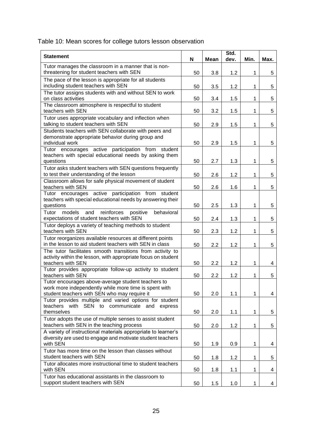<span id="page-34-0"></span>

|  | Table 10: Mean scores for college tutors lesson observation |
|--|-------------------------------------------------------------|
|--|-------------------------------------------------------------|

| <b>Statement</b>                                                                                                                        | N        | Mean       | Std.<br>dev. | Min.         | Max.   |
|-----------------------------------------------------------------------------------------------------------------------------------------|----------|------------|--------------|--------------|--------|
| Tutor manages the classroom in a manner that is non-<br>threatening for student teachers with SEN                                       | 50       | 3.8        | 1.2          | 1            | 5      |
| The pace of the lesson is appropriate for all students<br>including student teachers with SEN                                           |          |            |              |              |        |
| The tutor assigns students with and without SEN to work                                                                                 | 50       | 3.5        | 1.2          | 1            | 5      |
| on class activities<br>The classroom atmosphere is respectful to student<br>teachers with SEN                                           | 50<br>50 | 3.4<br>3.2 | 1.5<br>1.5   | 1<br>1       | 5<br>5 |
| Tutor uses appropriate vocabulary and inflection when                                                                                   |          |            |              |              |        |
| talking to student teachers with SEN<br>Students teachers with SEN collaborate with peers and                                           | 50       | 2.9        | 1.5          | 1            | 5      |
| demonstrate appropriate behavior during group and<br>individual work                                                                    | 50       | 2.9        | 1.5          | 1            | 5      |
| Tutor encourages active participation from<br>student<br>teachers with special educational needs by asking them<br>questions            | 50       | 2.7        | 1.3          | 1            | 5      |
| Tutor asks student teachers with SEN questions frequently<br>to test their understanding of the lesson                                  | 50       | 2.6        | 1.2          | 1            | 5      |
| Classroom allows for safe physical movement of student<br>teachers with SEN                                                             | 50       | 2.6        | 1.6          | 1            | 5      |
| Tutor encourages active participation from<br>student<br>teachers with special educational needs by answering their<br>questions        | 50       | 2.5        | 1.3          | 1            | 5      |
| Tutor<br>models<br>and<br>reinforces<br>behavioral<br>positive<br>expectations of student teachers with SEN                             | 50       | 2.4        | 1.3          | 1            | 5      |
| Tutor deploys a variety of teaching methods to student<br>teachers with SEN                                                             | 50       | 2.3        | 1.2          | 1            | 5      |
| Tutor reorganizes available resources at different points<br>in the lesson to aid student teachers with SEN in class                    | 50       | 2.2        | 1.2          | 1            | 5      |
| The tutor facilitates smooth transitions from activity to<br>activity within the lesson, with appropriate focus on student              |          |            |              |              |        |
| teachers with SEN<br>Tutor provides appropriate follow-up activity to student                                                           | 50       | 2.2        | 1.2          | 1            | 4      |
| teachers with SEN<br>Tutor encourages above-average student teachers to                                                                 | 50       | 2.2        | 1.2          | 1            | 5      |
| work more independently while more time is spent with<br>student teachers with SEN who may require it                                   | 50       | 2.0        | 1.1          | 1            | 4      |
| Tutor provides multiple and varied options for student<br>teachers with SEN to communicate and express<br>themselves                    | 50       | 2.0        | 1.1          | 1            | 5      |
| Tutor adopts the use of multiple senses to assist student<br>teachers with SEN in the teaching process                                  | 50       | 2.0        | 1.2          | 1            | 5      |
| A variety of instructional materials appropriate to learner's<br>diversity are used to engage and motivate student teachers<br>with SEN | 50       | 1.9        | 0.9          | 1            | 4      |
| Tutor has more time on the lesson than classes without<br>student teachers with SEN                                                     | 50       | 1.8        | 1.2          | 1            | 5      |
| Tutor allocates more instructional time to student teachers<br>with SEN                                                                 | 50       | 1.8        | 1.1          | 1            | 4      |
| Tutor has educational assistants in the classroom to<br>support student teachers with SEN                                               | 50       | 1.5        | 1.0          | $\mathbf{1}$ | 4      |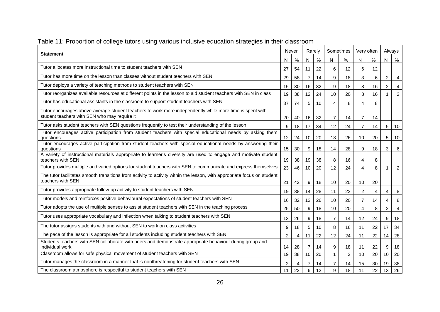<span id="page-35-0"></span>

| <b>Statement</b>                                                                                                                                         | Never          |      | Rarely |    | Sometimes      |                | Very often     |    | Always         |                |
|----------------------------------------------------------------------------------------------------------------------------------------------------------|----------------|------|--------|----|----------------|----------------|----------------|----|----------------|----------------|
|                                                                                                                                                          | N              | $\%$ | N      | %  | N              | $\%$           | N              | %  | N              | %              |
| Tutor allocates more instructional time to student teachers with SEN                                                                                     | 27             | 54   | 11     | 22 | 6              | 12             | 6              | 12 |                |                |
| Tutor has more time on the lesson than classes without student teachers with SEN                                                                         | 29             | 58   | 7      | 14 | 9              | 18             | 3              | 6  | $\overline{c}$ | 4              |
| Tutor deploys a variety of teaching methods to student teachers with SEN                                                                                 | 15             | 30   | 16     | 32 | 9              | 18             | 8              | 16 | 2              | 4              |
| Tutor reorganizes available resources at different points in the lesson to aid student teachers with SEN in class                                        | 19             | 38   | 12     | 24 | 10             | 20             | 8              | 16 | 1              | $\overline{2}$ |
| Tutor has educational assistants in the classroom to support student teachers with SEN                                                                   | 37             | 74   | 5      | 10 | 4              | 8              | 4              | 8  |                |                |
| Tutor encourages above-average student teachers to work more independently while more time is spent with<br>student teachers with SEN who may require it | 20             | 40   | 16     | 32 | $\overline{7}$ | 14             | 7              | 14 |                |                |
| Tutor asks student teachers with SEN questions frequently to test their understanding of the lesson                                                      | 9              | 18   | 17     | 34 | 12             | 24             | $\overline{7}$ | 14 | 5              | 10             |
| Tutor encourages active participation from student teachers with special educational needs by asking them<br>questions                                   | 12             | 24   | 10     | 20 | 13             | 26             | 10             | 20 | 5              | 10             |
| Tutor encourages active participation from student teachers with special educational needs by answering their<br>questions                               | 15             | 30   | 9      | 18 | 14             | 28             | 9              | 18 | 3              | 6              |
| A variety of instructional materials appropriate to learner's diversity are used to engage and motivate student<br>teachers with SEN                     | 19             | 38   | 19     | 38 | 8              | 16             | $\overline{4}$ | 8  |                |                |
| Tutor provides multiple and varied options for student teachers with SEN to communicate and express themselves                                           | 23             | 46   | 10     | 20 | 12             | 24             | 4              | 8  |                | $\overline{2}$ |
| The tutor facilitates smooth transitions from activity to activity within the lesson, with appropriate focus on student<br>teachers with SEN             | 21             | 42   | 9      | 18 | 10             | 20             | 10             | 20 |                |                |
| Tutor provides appropriate follow-up activity to student teachers with SEN                                                                               | 19             | 38   | 14     | 28 | 11             | 22             | 2              | 4  | 4              | 8              |
| Tutor models and reinforces positive behavioural expectations of student teachers with SEN                                                               | 16             | 32   | 13     | 26 | 10             | 20             | $\overline{7}$ | 14 | 4              | 8              |
| Tutor adopts the use of multiple senses to assist student teachers with SEN in the teaching process                                                      | 25             | 50   | 9      | 18 | 10             | 20             | $\overline{4}$ | 8  | $\overline{c}$ | 4              |
| Tutor uses appropriate vocabulary and inflection when talking to student teachers with SEN                                                               | 13             | 26   | 9      | 18 | $\overline{7}$ | 14             | 12             | 24 | 9              | 18             |
| The tutor assigns students with and without SEN to work on class activities                                                                              | 9              | 18   | 5      | 10 | 8              | 16             | 11             | 22 | 17             | 34             |
| The pace of the lesson is appropriate for all students including student teachers with SEN                                                               | 2              | 4    | 11     | 22 | 12             | 24             | 11             | 22 | 14             | 28             |
| Students teachers with SEN collaborate with peers and demonstrate appropriate behaviour during group and<br>individual work                              | 14             | 28   |        | 14 | 9              | 18             | 11             | 22 | 9              | 18             |
| Classroom allows for safe physical movement of student teachers with SEN                                                                                 | 19             | 38   | 10     | 20 | $\mathbf{1}$   | $\overline{c}$ | 10             | 20 | 10             | 20             |
| Tutor manages the classroom in a manner that is nonthreatening for student teachers with SEN                                                             | $\overline{2}$ | 4    |        | 14 | 7              | 14             | 15             | 30 | 19             | 38             |
| The classroom atmosphere is respectful to student teachers with SEN                                                                                      | 11             | 22   | 6      | 12 | 9              | 18             | 11             | 22 | 13             | 26             |

# Table 11: Proportion of college tutors using various inclusive education strategies in their classroom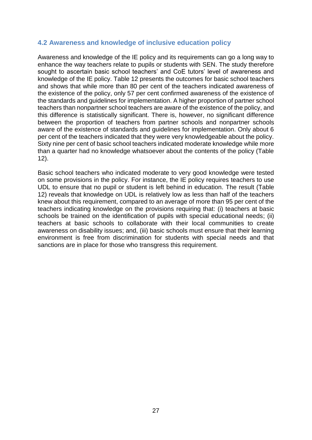## **4.2 Awareness and knowledge of inclusive education policy**

Awareness and knowledge of the IE policy and its requirements can go a long way to enhance the way teachers relate to pupils or students with SEN. The study therefore sought to ascertain basic school teachers' and CoE tutors' level of awareness and knowledge of the IE policy. Table 12 presents the outcomes for basic school teachers and shows that while more than 80 per cent of the teachers indicated awareness of the existence of the policy, only 57 per cent confirmed awareness of the existence of the standards and guidelines for implementation. A higher proportion of partner school teachers than nonpartner school teachers are aware of the existence of the policy, and this difference is statistically significant. There is, however, no significant difference between the proportion of teachers from partner schools and nonpartner schools aware of the existence of standards and guidelines for implementation. Only about 6 per cent of the teachers indicated that they were very knowledgeable about the policy. Sixty nine per cent of basic school teachers indicated moderate knowledge while more than a quarter had no knowledge whatsoever about the contents of the policy (Table 12).

Basic school teachers who indicated moderate to very good knowledge were tested on some provisions in the policy. For instance, the IE policy requires teachers to use UDL to ensure that no pupil or student is left behind in education. The result (Table 12) reveals that knowledge on UDL is relatively low as less than half of the teachers knew about this requirement, compared to an average of more than 95 per cent of the teachers indicating knowledge on the provisions requiring that: (i) teachers at basic schools be trained on the identification of pupils with special educational needs; (ii) teachers at basic schools to collaborate with their local communities to create awareness on disability issues; and, (iii) basic schools must ensure that their learning environment is free from discrimination for students with special needs and that sanctions are in place for those who transgress this requirement.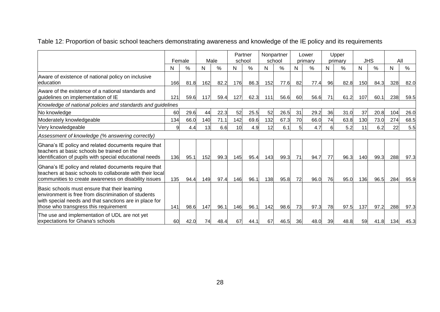|                                                                                                                                                                                                          |     | Female | Male            |               | Partner<br>school |               | school | Nonpartner    |           | Lower<br>primary |    | Upper<br>primary | <b>JHS</b> |      | All |      |
|----------------------------------------------------------------------------------------------------------------------------------------------------------------------------------------------------------|-----|--------|-----------------|---------------|-------------------|---------------|--------|---------------|-----------|------------------|----|------------------|------------|------|-----|------|
|                                                                                                                                                                                                          | N   | $\%$   | N               | $\frac{0}{0}$ | N                 | $\frac{0}{0}$ | N      | $\frac{0}{0}$ | N         | $\%$             | N  | $\frac{0}{0}$    | N          | %    | N   | %    |
| Aware of existence of national policy on inclusive<br>leducation                                                                                                                                         | 166 | 81.8   | 162             | 82.2          | 176               | 86.3          | 152    | 77.6          | -82l      | 77.4             | 96 | 82.8             | 150        | 84.3 | 328 | 82.0 |
| Aware of the existence of a national standards and<br>guidelines on implementation of IE                                                                                                                 | 121 | 59.6   | 117             | 59.4          | 127               | 62.3          | 111    | 56.6          | 60        | 56.6             | 71 | 61.2             | 107        | 60.1 | 238 | 59.5 |
| Knowledge of national policies and standards and guidelines                                                                                                                                              |     |        |                 |               |                   |               |        |               |           |                  |    |                  |            |      |     |      |
| No knowledge                                                                                                                                                                                             | 60  | 29.6   | 44              | 22.3          | 52                | 25.5          | 52     | 26.5          | 31        | 29.2             | 36 | 31.0             | 37         | 20.8 | 104 | 26.0 |
| Moderately knowledgeable                                                                                                                                                                                 | 134 | 66.0   | 140             | 71.1          | 142               | 69.6          | 132    | 67.3          | 70        | 66.0             | 74 | 63.8             | 130        | 73.0 | 274 | 68.5 |
| Very knowledgeable                                                                                                                                                                                       | 9   | 4.4    | 13 <sub>l</sub> | 6.6           | 10                | 4.9           | 12     | 6.1           |           | 4.7              |    | 5.2              | 11         | 6.2  | 22  | 5.5  |
| Assessment of knowledge (% answering correctly)                                                                                                                                                          |     |        |                 |               |                   |               |        |               |           |                  |    |                  |            |      |     |      |
| Ghana's IE policy and related documents require that<br>teachers at basic schools be trained on the<br>identification of pupils with special educational needs                                           | 136 | 95.1   | 152             | 99.3          | 145               | 95.4          | 143    | 99.3          | 71        | 94.7             | 77 | 96.3             | 140        | 99.3 | 288 | 97.3 |
| Ghana's IE policy and related documents require that<br>teachers at basic schools to collaborate with their local<br>communities to create awareness on disability issues                                | 135 | 94.4   | 149             | 97.4          | 146               | 96.1          | 138    | 95.8          | 72        | 96.0             | 76 | 95.0             | 136        | 96.5 | 284 | 95.9 |
| Basic schools must ensure that their learning<br>lenvironment is free from discrimination of students<br>with special needs and that sanctions are in place for<br>those who transgress this requirement | 141 | 98.6   | 147             | 96.1          | 146               | 96.1          | 142    | 98.6          | <b>73</b> | 97.3             | 78 | 97.5             | 137        | 97.2 | 288 | 97.3 |
| The use and implementation of UDL are not yet                                                                                                                                                            |     |        |                 |               |                   |               |        |               |           |                  |    |                  |            |      |     |      |

expectations for Ghana's schools | 60 42.0 74 48.4 67 44.1 67 46.5 36 48.0 39 48.8 59 41.8 134 45.3

Table 12: Proportion of basic school teachers demonstrating awareness and knowledge of the IE policy and its requirements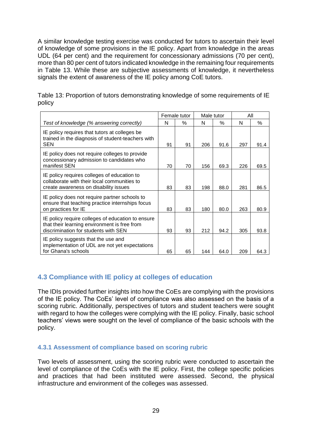A similar knowledge testing exercise was conducted for tutors to ascertain their level of knowledge of some provisions in the IE policy. Apart from knowledge in the areas UDL (64 per cent) and the requirement for concessionary admissions (70 per cent), more than 80 per cent of tutors indicated knowledge in the remaining four requirements in Table 13. While these are subjective assessments of knowledge, it nevertheless signals the extent of awareness of the IE policy among CoE tutors.

|                                                                                                                                           |    | Female tutor |     | Male tutor | All |      |
|-------------------------------------------------------------------------------------------------------------------------------------------|----|--------------|-----|------------|-----|------|
| Test of knowledge (% answering correctly)                                                                                                 | N  | $\%$         | N   | $\%$       | N   | %    |
| IE policy requires that tutors at colleges be<br>trained in the diagnosis of student-teachers with<br><b>SEN</b>                          | 91 | 91           | 206 | 91.6       | 297 | 91.4 |
| IE policy does not require colleges to provide<br>concessionary admission to candidates who<br>manifest SEN                               | 70 | 70           | 156 | 69.3       | 226 | 69.5 |
| IE policy requires colleges of education to<br>collaborate with their local communities to<br>create awareness on disability issues       | 83 | 83           | 198 | 88.0       | 281 | 86.5 |
| IE policy does not require partner schools to<br>ensure that teaching practice internships focus<br>on practices for IE                   | 83 | 83           | 180 | 80.0       | 263 | 80.9 |
| IE policy require colleges of education to ensure<br>that their learning environment is free from<br>discrimination for students with SEN | 93 | 93           | 212 | 94.2       | 305 | 93.8 |
| IE policy suggests that the use and<br>implementation of UDL are not yet expectations<br>for Ghana's schools                              | 65 | 65           | 144 | 64.0       | 209 | 64.3 |

Table 13: Proportion of tutors demonstrating knowledge of some requirements of IE policy

## **4.3 Compliance with IE policy at colleges of education**

The IDIs provided further insights into how the CoEs are complying with the provisions of the IE policy. The CoEs' level of compliance was also assessed on the basis of a scoring rubric. Additionally, perspectives of tutors and student teachers were sought with regard to how the colleges were complying with the IE policy. Finally, basic school teachers' views were sought on the level of compliance of the basic schools with the policy.

### **4.3.1 Assessment of compliance based on scoring rubric**

Two levels of assessment, using the scoring rubric were conducted to ascertain the level of compliance of the CoEs with the IE policy. First, the college specific policies and practices that had been instituted were assessed. Second, the physical infrastructure and environment of the colleges was assessed.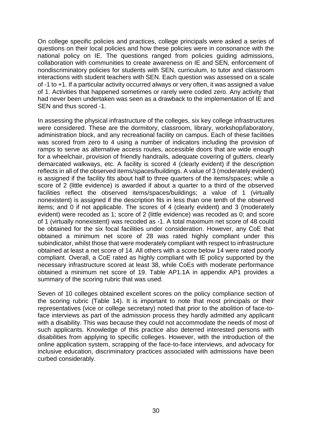On college specific policies and practices, college principals were asked a series of questions on their local policies and how these policies were in consonance with the national policy on IE. The questions ranged from policies guiding admissions, collaboration with communities to create awareness on IE and SEN, enforcement of nondiscriminatory policies for students with SEN, curriculum, to tutor and classroom interactions with student teachers with SEN. Each question was assessed on a scale of -1 to +1. If a particular activity occurred always or very often, it was assigned a value of 1. Activities that happened sometimes or rarely were coded zero. Any activity that had never been undertaken was seen as a drawback to the implementation of IE and SEN and thus scored -1.

In assessing the physical infrastructure of the colleges, six key college infrastructures were considered. These are the dormitory, classroom, library, workshop/laboratory, administration block, and any recreational facility on campus. Each of these facilities was scored from zero to 4 using a number of indicators including the provision of ramps to serve as alternative access routes, accessible doors that are wide enough for a wheelchair, provision of friendly handrails, adequate covering of gutters, clearly demarcated walkways, etc. A facility is scored 4 (clearly evident) if the description reflects in all of the observed items/spaces/buildings. A value of 3 (moderately evident) is assigned if the facility fits about half to three quarters of the items/spaces; while a score of 2 (little evidence) is awarded if about a quarter to a third of the observed facilities reflect the observed items/spaces/buildings; a value of 1 (virtually nonexistent) is assigned if the description fits in less than one tenth of the observed items; and 0 if not applicable. The scores of 4 (clearly evident) and 3 (moderately evident) were recoded as 1; score of 2 (little evidence) was recoded as 0; and score of 1 (virtually nonexistent) was recoded as -1. A total maximum net score of 48 could be obtained for the six focal facilities under consideration. However, any CoE that obtained a minimum net score of 28 was rated highly compliant under this subindicator, whilst those that were moderately compliant with respect to infrastructure obtained at least a net score of 14. All others with a score below 14 were rated poorly compliant. Overall, a CoE rated as highly compliant with IE policy supported by the necessary infrastructure scored at least 38, while CoEs with moderate performance obtained a minimum net score of 19. Table AP1.1A in appendix AP1 provides a summary of the scoring rubric that was used.

Seven of 10 colleges obtained excellent scores on the policy compliance section of the scoring rubric (Table 14). It is important to note that most principals or their representatives (vice or college secretary) noted that prior to the abolition of face-toface interviews as part of the admission process they hardly admitted any applicant with a disability. This was because they could not accommodate the needs of most of such applicants. Knowledge of this practice also deterred interested persons with disabilities from applying to specific colleges. However, with the introduction of the online application system, scrapping of the face-to-face interviews, and advocacy for inclusive education, discriminatory practices associated with admissions have been curbed considerably.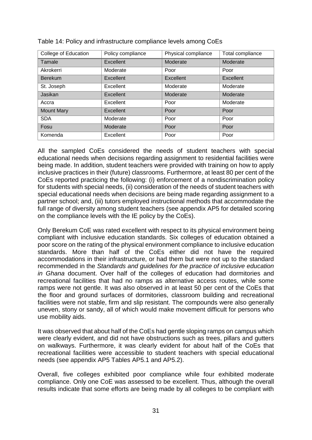| College of Education | Policy compliance | Physical compliance | Total compliance |
|----------------------|-------------------|---------------------|------------------|
| Tamale               | Excellent         | Moderate            | Moderate         |
| Akrokerri            | Moderate          | Poor                | Poor             |
| <b>Berekum</b>       | Excellent         | Excellent           | Excellent        |
| St. Joseph           | Excellent         | Moderate            | Moderate         |
| Jasikan              | Excellent         | Moderate            | Moderate         |
| Accra                | Excellent         | Poor                | Moderate         |
| <b>Mount Mary</b>    | Excellent         | Poor                | Poor             |
| <b>SDA</b>           | Moderate          | Poor                | Poor             |
| Fosu                 | Moderate          | Poor                | Poor             |
| Komenda              | Excellent         | Poor                | Poor             |

| Table 14: Policy and infrastructure compliance levels among CoEs |
|------------------------------------------------------------------|
|------------------------------------------------------------------|

All the sampled CoEs considered the needs of student teachers with special educational needs when decisions regarding assignment to residential facilities were being made. In addition, student teachers were provided with training on how to apply inclusive practices in their (future) classrooms. Furthermore, at least 80 per cent of the CoEs reported practicing the following: (i) enforcement of a nondiscrimination policy for students with special needs, (ii) consideration of the needs of student teachers with special educational needs when decisions are being made regarding assignment to a partner school; and, (iii) tutors employed instructional methods that accommodate the full range of diversity among student teachers (see appendix AP5 for detailed scoring on the compliance levels with the IE policy by the CoEs).

Only Berekum CoE was rated excellent with respect to its physical environment being compliant with inclusive education standards. Six colleges of education obtained a poor score on the rating of the physical environment compliance to inclusive education standards. More than half of the CoEs either did not have the required accommodations in their infrastructure, or had them but were not up to the standard recommended in the *Standards and guidelines for the practice of inclusive education in Ghana* document. Over half of the colleges of education had dormitories and recreational facilities that had no ramps as alternative access routes, while some ramps were not gentle. It was also observed in at least 50 per cent of the CoEs that the floor and ground surfaces of dormitories, classroom building and recreational facilities were not stable, firm and slip resistant. The compounds were also generally uneven, stony or sandy, all of which would make movement difficult for persons who use mobility aids.

It was observed that about half of the CoEs had gentle sloping ramps on campus which were clearly evident, and did not have obstructions such as trees, pillars and gutters on walkways. Furthermore, it was clearly evident for about half of the CoEs that recreational facilities were accessible to student teachers with special educational needs (see appendix AP5 Tables AP5.1 and AP5.2).

Overall, five colleges exhibited poor compliance while four exhibited moderate compliance. Only one CoE was assessed to be excellent. Thus, although the overall results indicate that some efforts are being made by all colleges to be compliant with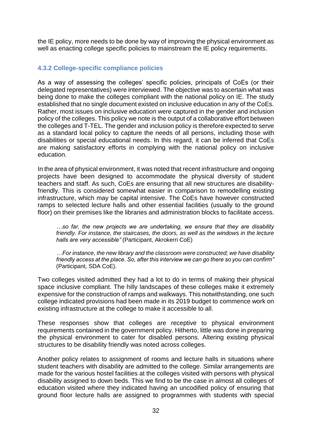the IE policy, more needs to be done by way of improving the physical environment as well as enacting college specific policies to mainstream the IE policy requirements.

### **4.3.2 College-specific compliance policies**

As a way of assessing the colleges' specific policies, principals of CoEs (or their delegated representatives) were interviewed. The objective was to ascertain what was being done to make the colleges compliant with the national policy on IE. The study established that no single document existed on inclusive education in any of the CoEs. Rather, most issues on inclusive education were captured in the gender and inclusion policy of the colleges. This policy we note is the output of a collaborative effort between the colleges and T-TEL. The gender and inclusion policy is therefore expected to serve as a standard local policy to capture the needs of all persons, including those with disabilities or special educational needs. In this regard, it can be inferred that CoEs are making satisfactory efforts in complying with the national policy on inclusive education.

In the area of physical environment, it was noted that recent infrastructure and ongoing projects have been designed to accommodate the physical diversity of student teachers and staff. As such, CoEs are ensuring that all new structures are disabilityfriendly. This is considered somewhat easier in comparison to remodelling existing infrastructure, which may be capital intensive. The CoEs have however constructed ramps to selected lecture halls and other essential facilities (usually to the ground floor) on their premises like the libraries and administration blocks to facilitate access.

*…so far, the new projects we are undertaking, we ensure that they are disability friendly. For instance, the staircases, the doors, as well as the windows in the lecture halls are very accessible"* (Participant, Akrokerri CoE)

*…For instance, the new library and the classroom were constructed; we have disability friendly access at the place. So, after this interview we can go there so you can confirm"* (Participant, SDA CoE).

Two colleges visited admitted they had a lot to do in terms of making their physical space inclusive compliant. The hilly landscapes of these colleges make it extremely expensive for the construction of ramps and walkways. This notwithstanding, one such college indicated provisions had been made in its 2019 budget to commence work on existing infrastructure at the college to make it accessible to all.

These responses show that colleges are receptive to physical environment requirements contained in the government policy. Hitherto, little was done in preparing the physical environment to cater for disabled persons. Altering existing physical structures to be disability friendly was noted across colleges.

Another policy relates to assignment of rooms and lecture halls in situations where student teachers with disability are admitted to the college. Similar arrangements are made for the various hostel facilities at the colleges visited with persons with physical disability assigned to down beds. This we find to be the case in almost all colleges of education visited where they indicated having an uncodified policy of ensuring that ground floor lecture halls are assigned to programmes with students with special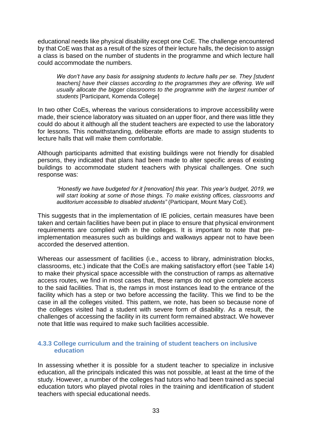educational needs like physical disability except one CoE. The challenge encountered by that CoE was that as a result of the sizes of their lecture halls, the decision to assign a class is based on the number of students in the programme and which lecture hall could accommodate the numbers.

*We don't have any basis for assigning students to lecture halls per se. They [student teachers] have their classes according to the programmes they are offering. We will usually allocate the bigger classrooms to the programme with the largest number of students* [Participant, Komenda College]

In two other CoEs, whereas the various considerations to improve accessibility were made, their science laboratory was situated on an upper floor, and there was little they could do about it although all the student teachers are expected to use the laboratory for lessons. This notwithstanding, deliberate efforts are made to assign students to lecture halls that will make them comfortable.

Although participants admitted that existing buildings were not friendly for disabled persons, they indicated that plans had been made to alter specific areas of existing buildings to accommodate student teachers with physical challenges. One such response was:

*"Honestly we have budgeted for it [renovation] this year. This year's budget, 2019, we will start looking at some of those things. To make existing offices, classrooms and auditorium accessible to disabled students"* (Participant, Mount Mary CoE).

This suggests that in the implementation of IE policies, certain measures have been taken and certain facilities have been put in place to ensure that physical environment requirements are complied with in the colleges. It is important to note that preimplementation measures such as buildings and walkways appear not to have been accorded the deserved attention.

Whereas our assessment of facilities (i.e., access to library, administration blocks, classrooms, etc.) indicate that the CoEs are making satisfactory effort (see Table 14) to make their physical space accessible with the construction of ramps as alternative access routes, we find in most cases that, these ramps do not give complete access to the said facilities. That is, the ramps in most instances lead to the entrance of the facility which has a step or two before accessing the facility. This we find to be the case in all the colleges visited. This pattern, we note, has been so because none of the colleges visited had a student with severe form of disability. As a result, the challenges of accessing the facility in its current form remained abstract. We however note that little was required to make such facilities accessible.

### **4.3.3 College curriculum and the training of student teachers on inclusive education**

In assessing whether it is possible for a student teacher to specialize in inclusive education, all the principals indicated this was not possible, at least at the time of the study. However, a number of the colleges had tutors who had been trained as special education tutors who played pivotal roles in the training and identification of student teachers with special educational needs.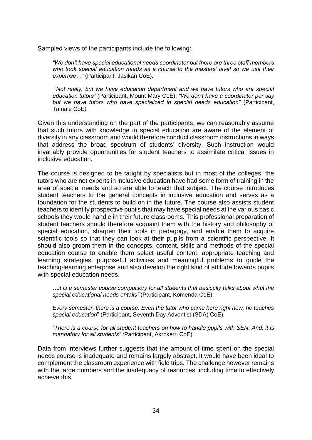Sampled views of the participants include the following:

*"We don't have special educational needs coordinator but there are three staff members who took special education needs as a course to the masters' level so we use their expertise…"* (Participant, Jasikan CoE).

*"Not really, but we have education department and we have tutors who are special education tutors"* (Participant, Mount Mary CoE); *"We don't have a coordinator per say but we have tutors who have specialized in special needs education"* (Participant, Tamale CoE*).* 

Given this understanding on the part of the participants, we can reasonably assume that such tutors with knowledge in special education are aware of the element of diversity in any classroom and would therefore conduct classroom instructions in ways that address the broad spectrum of students' diversity. Such instruction would invariably provide opportunities for student teachers to assimilate critical issues in inclusive education.

The course is designed to be taught by specialists but in most of the colleges, the tutors who are not experts in inclusive education have had some form of training in the area of special needs and so are able to teach that subject. The course introduces student teachers to the general concepts in inclusive education and serves as a foundation for the students to build on in the future. The course also assists student teachers to identify prospective pupils that may have special needs at the various basic schools they would handle in their future classrooms. This professional preparation of student teachers should therefore acquaint them with the history and philosophy of special education, sharpen their tools in pedagogy, and enable them to acquire scientific tools so that they can look at their pupils from a scientific perspective. It should also groom them in the concepts, content, skills and methods of the special education course to enable them select useful content, appropriate teaching and learning strategies, purposeful activities and meaningful problems to guide the teaching-learning enterprise and also develop the right kind of attitude towards pupils with special education needs.

*…it is a semester course compulsory for all students that basically talks about what the special educational needs entails"* (Participant, Komenda CoE)

*Every semester, there is a course. Even the tutor who came here right now, he teaches special education*" (Participant, Seventh Day Adventist (SDA) CoE).

"*There is a course for all student teachers on how to handle pupils with SEN. And, it is mandatory for all students" (*Participant, Akrokerri CoE)*.*

Data from interviews further suggests that the amount of time spent on the special needs course is inadequate and remains largely abstract. It would have been ideal to complement the classroom experience with field trips. The challenge however remains with the large numbers and the inadequacy of resources, including time to effectively achieve this.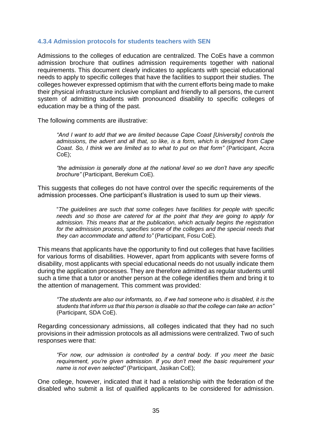### **4.3.4 Admission protocols for students teachers with SEN**

Admissions to the colleges of education are centralized. The CoEs have a common admission brochure that outlines admission requirements together with national requirements. This document clearly indicates to applicants with special educational needs to apply to specific colleges that have the facilities to support their studies. The colleges however expressed optimism that with the current efforts being made to make their physical infrastructure inclusive compliant and friendly to all persons, the current system of admitting students with pronounced disability to specific colleges of education may be a thing of the past.

The following comments are illustrative:

*"And I want to add that we are limited because Cape Coast [University] controls the admissions, the advert and all that, so like, is a form, which is designed from Cape Coast. So, I think we are limited as to what to put on that form"* (Participant, Accra CoE);

*"the admission is generally done at the national level so we don't have any specific brochure"* (Participant, Berekum CoE).

This suggests that colleges do not have control over the specific requirements of the admission processes. One participant's illustration is used to sum up their views.

"*The guidelines are such that some colleges have facilities for people with specific needs and so those are catered for at the point that they are going to apply for admission. This means that at the publication, which actually begins the registration for the admission process, specifies some of the colleges and the special needs that they can accommodate and attend to"* (Participant, Fosu CoE)*.* 

This means that applicants have the opportunity to find out colleges that have facilities for various forms of disabilities. However, apart from applicants with severe forms of disability, most applicants with special educational needs do not usually indicate them during the application processes. They are therefore admitted as regular students until such a time that a tutor or another person at the college identifies them and bring it to the attention of management. This comment was provided*:* 

*"The students are also our informants, so, if we had someone who is disabled, it is the students that inform us that this person is disable so that the college can take an action"* (Participant, SDA CoE).

Regarding concessionary admissions, all colleges indicated that they had no such provisions in their admission protocols as all admissions were centralized. Two of such responses were that:

*"For now, our admission is controlled by a central body. If you meet the basic requirement, you're given admission. If you don't meet the basic requirement your name is not even selected"* (Participant, Jasikan CoE);

One college, however, indicated that it had a relationship with the federation of the disabled who submit a list of qualified applicants to be considered for admission.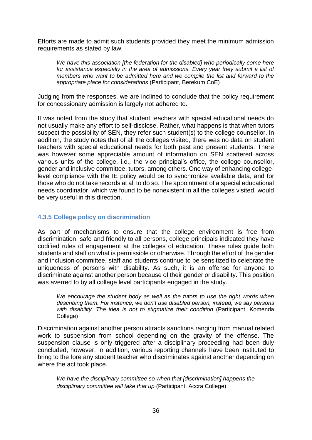Efforts are made to admit such students provided they meet the minimum admission requirements as stated by law.

*We have this association [the federation for the disabled] who periodically come here for assistance especially in the area of admissions. Every year they submit a list of members who want to be admitted here and we compile the list and forward to the appropriate place for considerations* (Participant, Berekum CoE)

Judging from the responses, we are inclined to conclude that the policy requirement for concessionary admission is largely not adhered to.

It was noted from the study that student teachers with special educational needs do not usually make any effort to self-disclose. Rather, what happens is that when tutors suspect the possibility of SEN, they refer such student(s) to the college counsellor. In addition, the study notes that of all the colleges visited, there was no data on student teachers with special educational needs for both past and present students. There was however some appreciable amount of information on SEN scattered across various units of the college, i.e., the vice principal's office, the college counsellor, gender and inclusive committee, tutors, among others. One way of enhancing collegelevel compliance with the IE policy would be to synchronize available data, and for those who do not take records at all to do so. The appointment of a special educational needs coordinator, which we found to be nonexistent in all the colleges visited, would be very useful in this direction.

### **4.3.5 College policy on discrimination**

As part of mechanisms to ensure that the college environment is free from discrimination, safe and friendly to all persons, college principals indicated they have codified rules of engagement at the colleges of education. These rules guide both students and staff on what is permissible or otherwise. Through the effort of the gender and inclusion committee, staff and students continue to be sensitized to celebrate the uniqueness of persons with disability. As such, it is an offense for anyone to discriminate against another person because of their gender or disability. This position was averred to by all college level participants engaged in the study.

*We encourage the student body as well as the tutors to use the right words when describing them. For instance, we don't use disabled person, instead, we say persons*  with disability. The idea is not to stigmatize their condition (Participant, Komenda College)

Discrimination against another person attracts sanctions ranging from manual related work to suspension from school depending on the gravity of the offense. The suspension clause is only triggered after a disciplinary proceeding had been duly concluded, however. In addition, various reporting channels have been instituted to bring to the fore any student teacher who discriminates against another depending on where the act took place.

*We have the disciplinary committee so when that [discrimination] happens the disciplinary committee will take that up* (Participant, Accra College)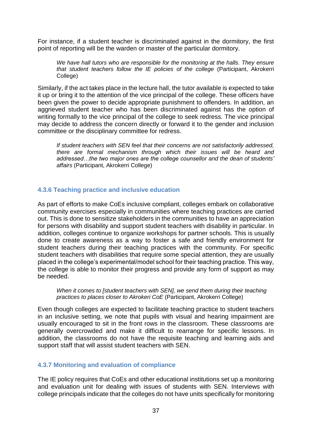For instance, if a student teacher is discriminated against in the dormitory, the first point of reporting will be the warden or master of the particular dormitory.

*We have hall tutors who are responsible for the monitoring at the halls. They ensure that student teachers follow the IE policies of the college* (Participant, Akrokerri College)

Similarly, if the act takes place in the lecture hall, the tutor available is expected to take it up or bring it to the attention of the vice principal of the college. These officers have been given the power to decide appropriate punishment to offenders. In addition, an aggrieved student teacher who has been discriminated against has the option of writing formally to the vice principal of the college to seek redress. The vice principal may decide to address the concern directly or forward it to the gender and inclusion committee or the disciplinary committee for redress.

*If student teachers with SEN feel that their concerns are not satisfactorily addressed, there are formal mechanism through which their issues will be heard and addressed…the two major ones are the college counsellor and the dean of students' affairs* (Participant, Akrokerri College)

## **4.3.6 Teaching practice and inclusive education**

As part of efforts to make CoEs inclusive compliant, colleges embark on collaborative community exercises especially in communities where teaching practices are carried out. This is done to sensitize stakeholders in the communities to have an appreciation for persons with disability and support student teachers with disability in particular. In addition, colleges continue to organize workshops for partner schools. This is usually done to create awareness as a way to foster a safe and friendly environment for student teachers during their teaching practices with the community. For specific student teachers with disabilities that require some special attention, they are usually placed in the college's experimental/model school for their teaching practice. This way, the college is able to monitor their progress and provide any form of support as may be needed.

*When it comes to [student teachers with SEN], we send them during their teaching practices to places closer to Akrokeri CoE* (Participant, Akrokerri College)

Even though colleges are expected to facilitate teaching practice to student teachers in an inclusive setting, we note that pupils with visual and hearing impairment are usually encouraged to sit in the front rows in the classroom. These classrooms are generally overcrowded and make it difficult to rearrange for specific lessons. In addition, the classrooms do not have the requisite teaching and learning aids and support staff that will assist student teachers with SEN.

## **4.3.7 Monitoring and evaluation of compliance**

The IE policy requires that CoEs and other educational institutions set up a monitoring and evaluation unit for dealing with issues of students with SEN. Interviews with college principals indicate that the colleges do not have units specifically for monitoring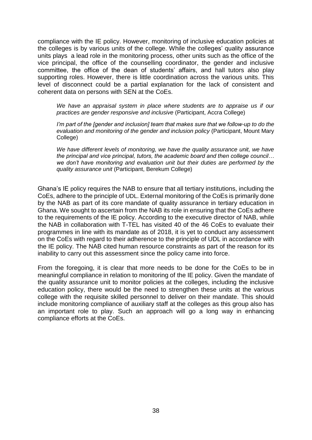compliance with the IE policy. However, monitoring of inclusive education policies at the colleges is by various units of the college. While the colleges' quality assurance units plays a lead role in the monitoring process, other units such as the office of the vice principal, the office of the counselling coordinator, the gender and inclusive committee, the office of the dean of students' affairs, and hall tutors also play supporting roles. However, there is little coordination across the various units. This level of disconnect could be a partial explanation for the lack of consistent and coherent data on persons with SEN at the CoEs.

*We have an appraisal system in place where students are to appraise us if our practices are gender responsive and inclusive* (Participant, Accra College)

*I'm part of the [gender and inclusion] team that makes sure that we follow-up to do the evaluation and monitoring of the gender and inclusion policy* (Participant, Mount Mary College)

*We have different levels of monitoring, we have the quality assurance unit, we have the principal and vice principal, tutors, the academic board and then college council… we don't have monitoring and evaluation unit but their duties are performed by the quality assurance unit* (Participant, Berekum College)

Ghana's IE policy requires the NAB to ensure that all tertiary institutions, including the CoEs, adhere to the principle of UDL. External monitoring of the CoEs is primarily done by the NAB as part of its core mandate of quality assurance in tertiary education in Ghana. We sought to ascertain from the NAB its role in ensuring that the CoEs adhere to the requirements of the IE policy. According to the executive director of NAB, while the NAB in collaboration with T-TEL has visited 40 of the 46 CoEs to evaluate their programmes in line with its mandate as of 2018, it is yet to conduct any assessment on the CoEs with regard to their adherence to the principle of UDL in accordance with the IE policy. The NAB cited human resource constraints as part of the reason for its inability to carry out this assessment since the policy came into force.

From the foregoing, it is clear that more needs to be done for the CoEs to be in meaningful compliance in relation to monitoring of the IE policy. Given the mandate of the quality assurance unit to monitor policies at the colleges, including the inclusive education policy, there would be the need to strengthen these units at the various college with the requisite skilled personnel to deliver on their mandate. This should include monitoring compliance of auxiliary staff at the colleges as this group also has an important role to play. Such an approach will go a long way in enhancing compliance efforts at the CoEs.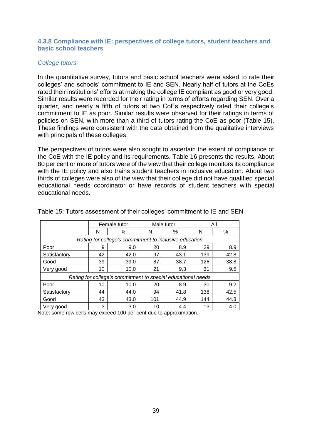#### **4.3.8 Compliance with IE: perspectives of college tutors, student teachers and basic school teachers**

### *College tutors*

In the quantitative survey, tutors and basic school teachers were asked to rate their colleges' and schools' commitment to IE and SEN. Nearly half of tutors at the CoEs rated their institutions' efforts at making the college IE compliant as good or very good. Similar results were recorded for their rating in terms of efforts regarding SEN. Over a quarter, and nearly a fifth of tutors at two CoEs respectively rated their college's commitment to IE as poor. Similar results were observed for their ratings in terms of policies on SEN, with more than a third of tutors rating the CoE as poor (Table 15). These findings were consistent with the data obtained from the qualitative interviews with principals of these colleges.

The perspectives of tutors were also sought to ascertain the extent of compliance of the CoE with the IE policy and its requirements. Table 16 presents the results. About 80 per cent or more of tutors were of the view that their college monitors its compliance with the IE policy and also trains student teachers in inclusive education. About two thirds of colleges were also of the view that their college did not have qualified special educational needs coordinator or have records of student teachers with special educational needs.

|              |    | Female tutor                                                 |     | Male tutor |     | All  |
|--------------|----|--------------------------------------------------------------|-----|------------|-----|------|
|              | N  | %                                                            | N   | ℅          | N   | %    |
|              |    | Rating for college's commitment to inclusive education       |     |            |     |      |
| Poor         | 9  | 9.0                                                          | 20  | 8.9        | 29  | 8.9  |
| Satisfactory | 42 | 42.0                                                         | 97  | 43.1       | 139 | 42.8 |
| Good         | 39 | 39.0                                                         | 87  | 38.7       | 126 | 38.8 |
| Very good    | 10 | 10.0                                                         | 21  | 9.3        | 31  | 9.5  |
|              |    | Rating for college's commitment to special educational needs |     |            |     |      |
| Poor         | 10 | 10.0                                                         | 20  | 8.9        | 30  | 9.2  |
| Satisfactory | 44 | 44.0                                                         | 94  | 41.8       | 138 | 42.5 |
| Good         | 43 | 43.0                                                         | 101 | 44.9       | 144 | 44.3 |
| Very good    | 3  | 3.0                                                          | 10  | 4.4        | 13  | 4.0  |

Table 15: Tutors assessment of their colleges' commitment to IE and SEN

Note: some row cells may exceed 100 per cent due to approximation.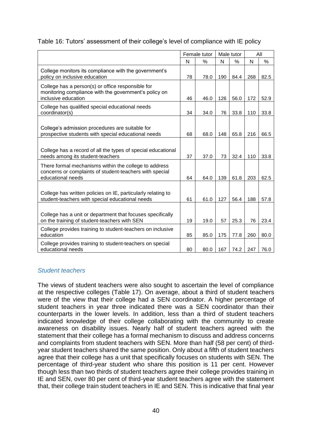### Table 16: Tutors' assessment of their college's level of compliance with IE policy

|                                                                                                                                       |    | Female tutor |     | Male tutor |     | All  |
|---------------------------------------------------------------------------------------------------------------------------------------|----|--------------|-----|------------|-----|------|
|                                                                                                                                       | N  | %            | N   | %          | N   | %    |
| College monitors its compliance with the government's<br>policy on inclusive education                                                | 78 | 78.0         | 190 | 84.4       | 268 | 82.5 |
| College has a person(s) or office responsible for<br>monitoring compliance with the government's policy on<br>inclusive education     | 46 | 46.0         | 126 | 56.0       | 172 | 52.9 |
| College has qualified special educational needs<br>coordinator(s)                                                                     | 34 | 34.0         | 76  | 33.8       | 110 | 33.8 |
| College's admission procedures are suitable for<br>prospective students with special educational needs                                | 68 | 68.0         | 148 | 65.8       | 216 | 66.5 |
| College has a record of all the types of special educational<br>needs among its student-teachers                                      | 37 | 37.0         | 73  | 32.4       | 110 | 33.8 |
| There formal mechanisms within the college to address<br>concerns or complaints of student-teachers with special<br>educational needs | 64 | 64.0         | 139 | 61.8       | 203 | 62.5 |
| College has written policies on IE, particularly relating to<br>student-teachers with special educational needs                       | 61 | 61.0         | 127 | 56.4       | 188 | 57.8 |
| College has a unit or department that focuses specifically<br>on the training of student-teachers with SEN                            | 19 | 19.0         | 57  | 25.3       | 76  | 23.4 |
| College provides training to student-teachers on inclusive<br>education                                                               | 85 | 85.0         | 175 | 77.8       | 260 | 80.0 |
| College provides training to student-teachers on special<br>educational needs                                                         | 80 | 80.0         | 167 | 74.2       | 247 | 76.0 |

### *Student teachers*

The views of student teachers were also sought to ascertain the level of compliance at the respective colleges (Table 17). On average, about a third of student teachers were of the view that their college had a SEN coordinator. A higher percentage of student teachers in year three indicated there was a SEN coordinator than their counterparts in the lower levels. In addition, less than a third of student teachers indicated knowledge of their college collaborating with the community to create awareness on disability issues. Nearly half of student teachers agreed with the statement that their college has a formal mechanism to discuss and address concerns and complaints from student teachers with SEN. More than half (58 per cent) of thirdyear student teachers shared the same position. Only about a fifth of student teachers agree that their college has a unit that specifically focuses on students with SEN. The percentage of third-year student who share this position is 11 per cent. However though less than two thirds of student teachers agree their college provides training in IE and SEN, over 80 per cent of third-year student teachers agree with the statement that, their college train student teachers in IE and SEN. This is indicative that final year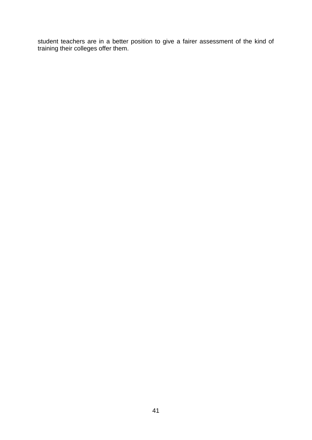student teachers are in a better position to give a fairer assessment of the kind of training their colleges offer them.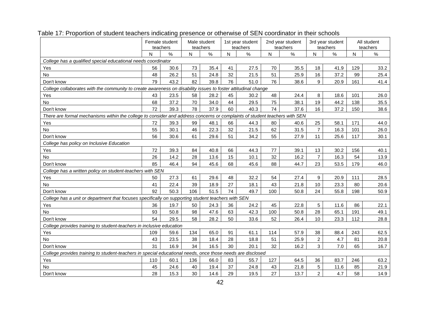|                                                                                                                            |     | Female student<br>teachers |     | Male student<br>teachers |              | 1st year student<br>teachers |     | 2nd year student<br>teachers |                | 3rd year student<br>teachers |     | All student<br>teachers |
|----------------------------------------------------------------------------------------------------------------------------|-----|----------------------------|-----|--------------------------|--------------|------------------------------|-----|------------------------------|----------------|------------------------------|-----|-------------------------|
|                                                                                                                            | N   | %                          | N   | $\%$                     | $\mathsf{N}$ | $\%$                         | N   | $\%$                         | N              | $\%$                         | N   | $\%$                    |
| College has a qualified special educational needs coordinator                                                              |     |                            |     |                          |              |                              |     |                              |                |                              |     |                         |
| Yes                                                                                                                        | 56  | 30.6                       | 73  | 35.4                     | 41           | 27.5                         | 70  | 35.5                         | 18             | 41.9                         | 129 | 33.2                    |
| <b>No</b>                                                                                                                  | 48  | 26.2                       | 51  | 24.8                     | 32           | 21.5                         | 51  | 25.9                         | 16             | 37.2                         | 99  | 25.4                    |
| Don't know                                                                                                                 | 79  | 43.2                       | 82  | 39.8                     | 76           | 51.0                         | 76  | 38.6                         | 9              | 20.9                         | 161 | 41.4                    |
| College collaborates with the community to create awareness on disability issues to foster attitudinal change              |     |                            |     |                          |              |                              |     |                              |                |                              |     |                         |
| Yes                                                                                                                        | 43  | 23.5                       | 58  | 28.2                     | 45           | 30.2                         | 48  | 24.4                         | 8              | 18.6                         | 101 | 26.0                    |
| <b>No</b>                                                                                                                  | 68  | 37.2                       | 70  | 34.0                     | 44           | 29.5                         | 75  | 38.1                         | 19             | 44.2                         | 138 | 35.5                    |
| Don't know                                                                                                                 | 72  | 39.3                       | 78  | 37.9                     | 60           | 40.3                         | 74  | 37.6                         | 16             | 37.2                         | 150 | 38.6                    |
| There are formal mechanisms within the college to consider and address concerns or complaints of student teachers with SEN |     |                            |     |                          |              |                              |     |                              |                |                              |     |                         |
| Yes                                                                                                                        | 72  | 39.3                       | 99  | 48.1                     | 66           | 44.3                         | 80  | 40.6                         | 25             | 58.1                         | 171 | 44.0                    |
| No                                                                                                                         | 55  | 30.1                       | 46  | 22.3                     | 32           | 21.5                         | 62  | 31.5                         | $\overline{7}$ | 16.3                         | 101 | 26.0                    |
| Don't know                                                                                                                 | 56  | 30.6                       | 61  | 29.6                     | 51           | 34.2                         | 55  | 27.9                         | 11             | 25.6                         | 117 | 30.1                    |
| College has policy on Inclusive Education                                                                                  |     |                            |     |                          |              |                              |     |                              |                |                              |     |                         |
| Yes                                                                                                                        | 72  | 39.3                       | 84  | 40.8                     | 66           | 44.3                         | 77  | 39.1                         | 13             | 30.2                         | 156 | 40.1                    |
| <b>No</b>                                                                                                                  | 26  | 14.2                       | 28  | 13.6                     | 15           | 10.1                         | 32  | 16.2                         | $\overline{7}$ | 16.3                         | 54  | 13.9                    |
| Don't know                                                                                                                 | 85  | 46.4                       | 94  | 45.6                     | 68           | 45.6                         | 88  | 44.7                         | 23             | 53.5                         | 179 | 46.0                    |
| College has a written policy on student-teachers with SEN                                                                  |     |                            |     |                          |              |                              |     |                              |                |                              |     |                         |
| Yes                                                                                                                        | 50  | 27.3                       | 61  | 29.6                     | 48           | 32.2                         | 54  | 27.4                         | 9              | 20.9                         | 111 | 28.5                    |
| No                                                                                                                         | 41  | 22.4                       | 39  | 18.9                     | 27           | 18.1                         | 43  | 21.8                         | 10             | 23.3                         | 80  | 20.6                    |
| Don't know                                                                                                                 | 92  | 50.3                       | 106 | 51.5                     | 74           | 49.7                         | 100 | 50.8                         | 24             | 55.8                         | 198 | 50.9                    |
| College has a unit or department that focuses specifically on supporting student teachers with SEN                         |     |                            |     |                          |              |                              |     |                              |                |                              |     |                         |
| Yes                                                                                                                        | 36  | 19.7                       | 50  | 24.3                     | 36           | 24.2                         | 45  | 22.8                         | 5              | 11.6                         | 86  | 22.1                    |
| <b>No</b>                                                                                                                  | 93  | 50.8                       | 98  | 47.6                     | 63           | 42.3                         | 100 | 50.8                         | 28             | 65.1                         | 191 | 49.1                    |
| Don't know                                                                                                                 | 54  | 29.5                       | 58  | 28.2                     | 50           | 33.6                         | 52  | 26.4                         | 10             | 23.3                         | 112 | 28.8                    |
| College provides training to student-teachers in inclusive education                                                       |     |                            |     |                          |              |                              |     |                              |                |                              |     |                         |
| Yes                                                                                                                        | 109 | 59.6                       | 134 | 65.0                     | 91           | 61.1                         | 114 | 57.9                         | 38             | 88.4                         | 243 | 62.5                    |
| <b>No</b>                                                                                                                  | 43  | 23.5                       | 38  | 18.4                     | 28           | 18.8                         | 51  | 25.9                         | $\overline{2}$ | 4.7                          | 81  | 20.8                    |
| Don't know                                                                                                                 | 31  | 16.9                       | 34  | 16.5                     | 30           | 20.1                         | 32  | 16.2                         | 3              | 7.0                          | 65  | 16.7                    |
| College provides training to student-teachers in special educational needs, once those needs are disclosed                 |     |                            |     |                          |              |                              |     |                              |                |                              |     |                         |
| Yes                                                                                                                        | 110 | 60.1                       | 136 | 66.0                     | 83           | 55.7                         | 127 | 64.5                         | 36             | 83.7                         | 246 | 63.2                    |
| No                                                                                                                         | 45  | 24.6                       | 40  | 19.4                     | 37           | 24.8                         | 43  | 21.8                         | 5              | 11.6                         | 85  | 21.9                    |
| Don't know                                                                                                                 | 28  | 15.3                       | 30  | 14.6                     | 29           | 19.5                         | 27  | 13.7                         | $\overline{2}$ | 4.7                          | 58  | 14.9                    |

# Table 17: Proportion of student teachers indicating presence or otherwise of SEN coordinator in their schools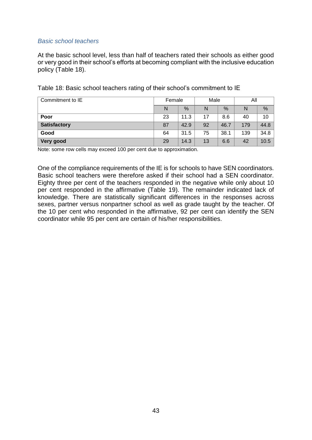### *Basic school teachers*

At the basic school level, less than half of teachers rated their schools as either good or very good in their school's efforts at becoming compliant with the inclusive education policy (Table 18).

| Commitment to IE    | Female |      | Male |      | All |      |  |
|---------------------|--------|------|------|------|-----|------|--|
|                     | N      | %    | N    | %    | N   | %    |  |
| Poor                | 23     | 11.3 | 17   | 8.6  | 40  | 10   |  |
| <b>Satisfactory</b> | 87     | 42.9 | 92   | 46.7 | 179 | 44.8 |  |
| Good                | 64     | 31.5 | 75   | 38.1 | 139 | 34.8 |  |
| <b>Very good</b>    | 29     | 14.3 | 13   | 6.6  | 42  | 10.5 |  |

Table 18: Basic school teachers rating of their school's commitment to IE

Note: some row cells may exceed 100 per cent due to approximation.

One of the compliance requirements of the IE is for schools to have SEN coordinators. Basic school teachers were therefore asked if their school had a SEN coordinator. Eighty three per cent of the teachers responded in the negative while only about 10 per cent responded in the affirmative (Table 19). The remainder indicated lack of knowledge. There are statistically significant differences in the responses across sexes, partner versus nonpartner school as well as grade taught by the teacher. Of the 10 per cent who responded in the affirmative, 92 per cent can identify the SEN coordinator while 95 per cent are certain of his/her responsibilities.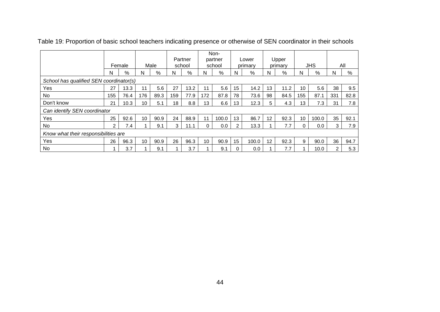|                                         |     |        |     |      |     |         |     | Non-    |                |         |    |         |                 |            |                |      |
|-----------------------------------------|-----|--------|-----|------|-----|---------|-----|---------|----------------|---------|----|---------|-----------------|------------|----------------|------|
|                                         |     |        |     |      |     | Partner |     | partner |                | Lower   |    | Upper   |                 |            |                |      |
|                                         |     | Female |     | Male |     | school  |     | school  |                | primary |    | primary |                 | <b>JHS</b> |                | All  |
|                                         | N   | %      | N   | %    | Ν   | %       | N   | %       | N              | %       | N  | %       | N               | %          | N              | %    |
| School has qualified SEN coordinator(s) |     |        |     |      |     |         |     |         |                |         |    |         |                 |            |                |      |
| Yes                                     | 27  | 13.3   | 11  | 5.6  | 27  | 13.2    | 11  | 5.6     | 15             | 14.2    | 13 | 11.2    | 10              | 5.6        | 38             | 9.5  |
| No                                      | 155 | 76.4   | 176 | 89.3 | 159 | 77.9    | 172 | 87.8    | 78             | 73.6    | 98 | 84.5    | 155             | 87.1       | 331            | 82.8 |
| Don't know                              | 21  | 10.3   | 10  | 5.1  | 18  | 8.8     | 13  | 6.6     | 13             | 12.3    | 5  | 4.3     | 13 <sup>°</sup> | 7.3        | 31             | 7.8  |
| Can identify SEN coordinator            |     |        |     |      |     |         |     |         |                |         |    |         |                 |            |                |      |
| Yes                                     | 25  | 92.6   | 10  | 90.9 | 24  | 88.9    | 11  | 100.0   | 13             | 86.7    | 12 | 92.3    | 10              | 100.0      | 35             | 92.1 |
| No                                      | 2   | 7.4    |     | 9.1  | 3   | 11.1    | 0   | 0.0     | $\overline{2}$ | 13.3    |    | 7.7     | 0               | 0.0        | 3              | 7.9  |
| Know what their responsibilities are    |     |        |     |      |     |         |     |         |                |         |    |         |                 |            |                |      |
| Yes                                     | 26  | 96.3   | 10  | 90.9 | 26  | 96.3    | 10  | 90.9    | 15             | 100.0   | 12 | 92.3    | 9               | 90.0       | 36             | 94.7 |
| No                                      |     | 3.7    |     | 9.1  |     | 3.7     |     | 9.1     | 0              | 0.0     |    | 7.7     |                 | 10.0       | $\overline{2}$ | 5.3  |

Table 19: Proportion of basic school teachers indicating presence or otherwise of SEN coordinator in their schools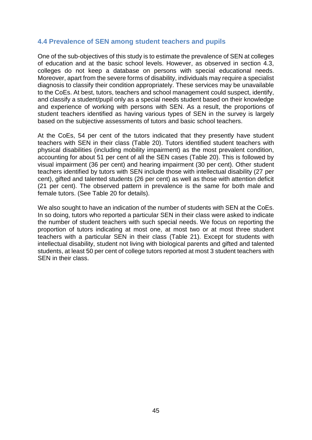## **4.4 Prevalence of SEN among student teachers and pupils**

One of the sub-objectives of this study is to estimate the prevalence of SEN at colleges of education and at the basic school levels. However, as observed in section 4.3, colleges do not keep a database on persons with special educational needs. Moreover, apart from the severe forms of disability, individuals may require a specialist diagnosis to classify their condition appropriately. These services may be unavailable to the CoEs. At best, tutors, teachers and school management could suspect, identify, and classify a student/pupil only as a special needs student based on their knowledge and experience of working with persons with SEN. As a result, the proportions of student teachers identified as having various types of SEN in the survey is largely based on the subjective assessments of tutors and basic school teachers.

At the CoEs, 54 per cent of the tutors indicated that they presently have student teachers with SEN in their class (Table 20). Tutors identified student teachers with physical disabilities (including mobility impairment) as the most prevalent condition, accounting for about 51 per cent of all the SEN cases (Table 20). This is followed by visual impairment (36 per cent) and hearing impairment (30 per cent). Other student teachers identified by tutors with SEN include those with intellectual disability (27 per cent), gifted and talented students (26 per cent) as well as those with attention deficit (21 per cent). The observed pattern in prevalence is the same for both male and female tutors. (See Table 20 for details).

We also sought to have an indication of the number of students with SEN at the CoEs. In so doing, tutors who reported a particular SEN in their class were asked to indicate the number of student teachers with such special needs. We focus on reporting the proportion of tutors indicating at most one, at most two or at most three student teachers with a particular SEN in their class (Table 21). Except for students with intellectual disability, student not living with biological parents and gifted and talented students, at least 50 per cent of college tutors reported at most 3 student teachers with SEN in their class.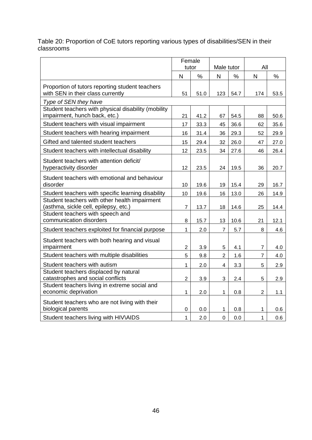#### Table 20: Proportion of CoE tutors reporting various types of disabilities/SEN in their classrooms

|                                                                                        | Female            |      |                |      |                |      |
|----------------------------------------------------------------------------------------|-------------------|------|----------------|------|----------------|------|
|                                                                                        | tutor             |      | Male tutor     |      | All            |      |
|                                                                                        | N                 | $\%$ | N              | %    | $\mathsf{N}$   | $\%$ |
| Proportion of tutors reporting student teachers<br>with SEN in their class currently   | 51                | 51.0 | 123            | 54.7 | 174            | 53.5 |
| Type of SEN they have                                                                  |                   |      |                |      |                |      |
| Student teachers with physical disability (mobility<br>impairment, hunch back, etc.)   | 21                | 41.2 | 67             | 54.5 | 88             | 50.6 |
| Student teachers with visual impairment                                                | 17                | 33.3 | 45             | 36.6 | 62             | 35.6 |
| Student teachers with hearing impairment                                               | 16                | 31.4 | 36             | 29.3 | 52             | 29.9 |
| Gifted and talented student teachers                                                   | 15                | 29.4 | 32             | 26.0 | 47             | 27.0 |
| Student teachers with intellectual disability                                          | 12                | 23.5 | 34             | 27.6 | 46             | 26.4 |
| Student teachers with attention deficit/<br>hyperactivity disorder                     | $12 \overline{ }$ | 23.5 | 24             | 19.5 | 36             | 20.7 |
| Student teachers with emotional and behaviour<br>disorder                              | 10                | 19.6 | 19             | 15.4 | 29             | 16.7 |
| Student teachers with specific learning disability                                     | 10                | 19.6 | 16             | 13.0 | 26             | 14.9 |
| Student teachers with other health impairment<br>(asthma, sickle cell, epilepsy, etc.) | $\overline{7}$    | 13.7 | 18             | 14.6 | 25             | 14.4 |
| Student teachers with speech and<br>communication disorders                            | $\bf 8$           | 15.7 | 13             | 10.6 | 21             | 12.1 |
| Student teachers exploited for financial purpose                                       | 1                 | 2.0  | $\overline{7}$ | 5.7  | 8              | 4.6  |
| Student teachers with both hearing and visual<br>impairment                            | $\overline{2}$    | 3.9  | 5              | 4.1  | $\overline{7}$ | 4.0  |
| Student teachers with multiple disabilities                                            | 5                 | 9.8  | $\overline{2}$ | 1.6  | $\overline{7}$ | 4.0  |
| Student teachers with autism                                                           | 1                 | 2.0  | $\overline{4}$ | 3.3  | 5              | 2.9  |
| Student teachers displaced by natural<br>catastrophes and social conflicts             | $\overline{2}$    | 3.9  | 3              | 2.4  | 5              | 2.9  |
| Student teachers living in extreme social and<br>economic deprivation                  | 1                 | 2.0  | 1              | 0.8  | $\overline{2}$ | 1.1  |
| Student teachers who are not living with their<br>biological parents                   | $\boldsymbol{0}$  | 0.0  | 1              | 0.8  | 1              | 0.6  |
| Student teachers living with HIV\AIDS                                                  | 1                 | 2.0  | $\overline{0}$ | 0.0  | $\mathbf{1}$   | 0.6  |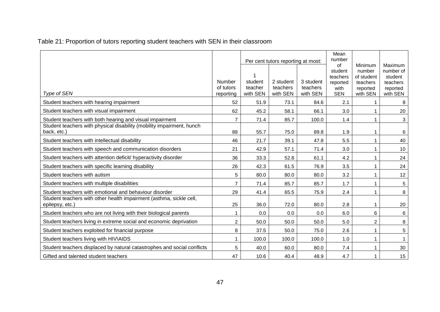Table 21: Proportion of tutors reporting student teachers with SEN in their classroom

|                                                                                        |                                  |                                | Per cent tutors reporting at most: |                                   | Mean<br>number<br>of<br>student            | Minimum<br>number                              | Maximum<br>number of                        |
|----------------------------------------------------------------------------------------|----------------------------------|--------------------------------|------------------------------------|-----------------------------------|--------------------------------------------|------------------------------------------------|---------------------------------------------|
| Type of SEN                                                                            | Number<br>of tutors<br>reporting | student<br>teacher<br>with SEN | 2 student<br>teachers<br>with SEN  | 3 student<br>teachers<br>with SEN | teachers<br>reported<br>with<br><b>SEN</b> | of student<br>teachers<br>reported<br>with SEN | student<br>teachers<br>reported<br>with SEN |
| Student teachers with hearing impairment                                               | 52                               | 51.9                           | 73.1                               | 84.6                              | 2.1                                        | 1                                              | 8                                           |
| Student teachers with visual impairment                                                | 62                               | 45.2                           | 58.1                               | 66.1                              | 3.0                                        | 1                                              | 20                                          |
| Student teachers with both hearing and visual impairment                               | $\overline{7}$                   | 71.4                           | 85.7                               | 100.0                             | 1.4                                        | 1                                              | $\mathbf{3}$                                |
| Student teachers with physical disability (mobility impairment, hunch<br>back, etc.)   | 88                               | 55.7                           | 75.0                               | 89.8                              | 1.9                                        | 1                                              | 6                                           |
| Student teachers with intellectual disability                                          | 46                               | 21.7                           | 39.1                               | 47.8                              | 5.5                                        | 1                                              | 40                                          |
| Student teachers with speech and communication disorders                               | 21                               | 42.9                           | 57.1                               | 71.4                              | 3.0                                        | $\mathbf{1}$                                   | 10                                          |
| Student teachers with attention deficit/ hyperactivity disorder                        | 36                               | 33.3                           | 52.8                               | 61.1                              | 4.2                                        | 1                                              | 24                                          |
| Student teachers with specific learning disability                                     | 26                               | 42.3                           | 61.5                               | 76.9                              | 3.5                                        | 1                                              | 24                                          |
| Student teachers with autism                                                           | 5                                | 80.0                           | 80.0                               | 80.0                              | 3.2                                        | 1                                              | 12                                          |
| Student teachers with multiple disabilities                                            | $\overline{7}$                   | 71.4                           | 85.7                               | 85.7                              | 1.7                                        | 1                                              | $\sqrt{5}$                                  |
| Student teachers with emotional and behaviour disorder                                 | 29                               | 41.4                           | 65.5                               | 75.9                              | 2.4                                        | 1                                              | 8                                           |
| Student teachers with other health impairment (asthma, sickle cell,<br>epilepsy, etc.) | 25                               | 36.0                           | 72.0                               | 80.0                              | 2.8                                        | 1                                              | 20                                          |
| Student teachers who are not living with their biological parents                      |                                  | 0.0                            | 0.0                                | 0.0                               | 6.0                                        | 6                                              | 6                                           |
| Student teachers living in extreme social and economic deprivation                     | $\overline{2}$                   | 50.0                           | 50.0                               | 50.0                              | 5.0                                        | 2                                              | 8                                           |
| Student teachers exploited for financial purpose                                       | 8                                | 37.5                           | 50.0                               | 75.0                              | 2.6                                        | 1                                              | 5                                           |
| Student teachers living with HIV\AIDS                                                  |                                  | 100.0                          | 100.0                              | 100.0                             | 1.0                                        | 1                                              |                                             |
| Student teachers displaced by natural catastrophes and social conflicts                | 5                                | 40.0                           | 60.0                               | 80.0                              | 7.4                                        | 1                                              | 30                                          |
| Gifted and talented student teachers                                                   | 47                               | 10.6                           | 40.4                               | 48.9                              | 4.7                                        | 1                                              | 15                                          |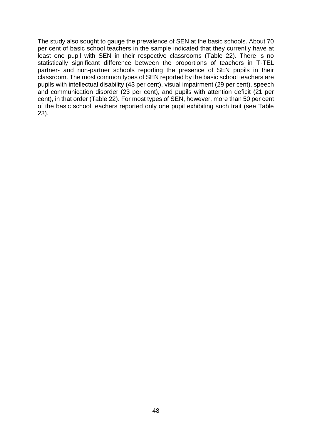The study also sought to gauge the prevalence of SEN at the basic schools. About 70 per cent of basic school teachers in the sample indicated that they currently have at least one pupil with SEN in their respective classrooms (Table 22). There is no statistically significant difference between the proportions of teachers in T-TEL partner- and non-partner schools reporting the presence of SEN pupils in their classroom. The most common types of SEN reported by the basic school teachers are pupils with intellectual disability (43 per cent), visual impairment (29 per cent), speech and communication disorder (23 per cent), and pupils with attention deficit (21 per cent), in that order (Table 22). For most types of SEN, however, more than 50 per cent of the basic school teachers reported only one pupil exhibiting such trait (see Table 23).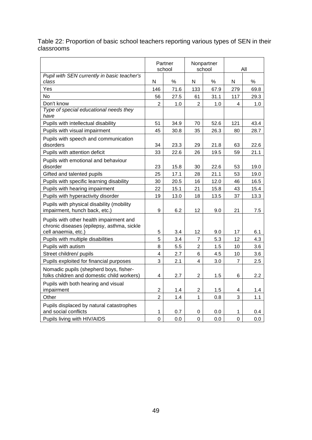Table 22: Proportion of basic school teachers reporting various types of SEN in their classrooms

|                                                                                                              |                | Partner<br>school |                | Nonpartner<br>school |                | All  |
|--------------------------------------------------------------------------------------------------------------|----------------|-------------------|----------------|----------------------|----------------|------|
| Pupil with SEN currently in basic teacher's                                                                  |                |                   |                |                      |                |      |
| class                                                                                                        | N              | %                 | N              | $\%$                 | N              | $\%$ |
| Yes                                                                                                          | 146            | 71.6              | 133            | 67.9                 | 279            | 69.8 |
| <b>No</b>                                                                                                    | 56             | 27.5              | 61             | 31.1                 | 117            | 29.3 |
| Don't know<br>Type of special educational needs they                                                         | 2              | 1.0               | 2              | 1.0                  | 4              | 1.0  |
| have                                                                                                         |                |                   |                |                      |                |      |
| Pupils with intellectual disability                                                                          | 51             | 34.9              | 70             | 52.6                 | 121            | 43.4 |
| Pupils with visual impairment                                                                                | 45             | 30.8              | 35             | 26.3                 | 80             | 28.7 |
| Pupils with speech and communication<br>disorders                                                            | 34             | 23.3              | 29             | 21.8                 | 63             | 22.6 |
| Pupils with attention deficit                                                                                | 33             | 22.6              | 26             | 19.5                 | 59             | 21.1 |
| Pupils with emotional and behaviour                                                                          |                |                   |                |                      |                |      |
| disorder                                                                                                     | 23             | 15.8              | 30             | 22.6                 | 53             | 19.0 |
| Gifted and talented pupils                                                                                   | 25             | 17.1              | 28             | 21.1                 | 53             | 19.0 |
| Pupils with specific learning disability                                                                     | 30             | 20.5              | 16             | 12.0                 | 46             | 16.5 |
| Pupils with hearing impairment                                                                               | 22             | 15.1              | 21             | 15.8                 | 43             | 15.4 |
| Pupils with hyperactivity disorder                                                                           | 19             | 13.0              | 18             | 13.5                 | 37             | 13.3 |
| Pupils with physical disability (mobility<br>impairment, hunch back, etc.)                                   | 9              | 6.2               | 12             | 9.0                  | 21             | 7.5  |
| Pupils with other health impairment and<br>chronic diseases (epilepsy, asthma, sickle<br>cell anaemia, etc.) | 5              | 3.4               | 12             | 9.0                  | 17             | 6.1  |
| Pupils with multiple disabilities                                                                            | 5              | 3.4               | $\overline{7}$ | 5.3                  | 12             | 4.3  |
| Pupils with autism                                                                                           | 8              | 5.5               | $\overline{c}$ | 1.5                  | 10             | 3.6  |
| Street children/ pupils                                                                                      | 4              | 2.7               | 6              | 4.5                  | 10             | 3.6  |
| Pupils exploited for financial purposes                                                                      | 3              | 2.1               | 4              | 3.0                  | $\overline{7}$ | 2.5  |
| Nomadic pupils (shepherd boys, fisher-<br>folks children and domestic child workers)                         | 4              | 2.7               | $\overline{c}$ | 1.5                  | 6              | 2.2  |
| Pupils with both hearing and visual<br>impairment                                                            | $\overline{c}$ | 1.4               | $\overline{c}$ | 1.5                  | 4              | 1.4  |
| Other                                                                                                        | $\overline{2}$ | 1.4               | $\mathbf{1}$   | 0.8                  | 3              | 1.1  |
| Pupils displaced by natural catastrophes<br>and social conflicts                                             | 1              | 0.7               | 0              | 0.0                  | 1              | 0.4  |
| Pupils living with HIV/AIDS                                                                                  | $\overline{0}$ | 0.0               | 0              | 0.0                  | 0              | 0.0  |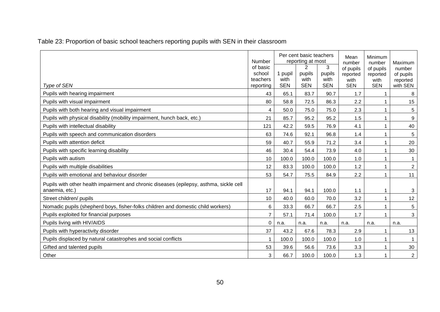Table 23: Proportion of basic school teachers reporting pupils with SEN in their classroom

|                                                                                                           | <b>Number</b>                               |                               | Per cent basic teachers<br>reporting at most |                                   | Mean<br>number                              | Minimum<br>number                           | Maximum                                     |
|-----------------------------------------------------------------------------------------------------------|---------------------------------------------|-------------------------------|----------------------------------------------|-----------------------------------|---------------------------------------------|---------------------------------------------|---------------------------------------------|
| Type of SEN                                                                                               | of basic<br>school<br>teachers<br>reporting | 1 pupil<br>with<br><b>SEN</b> | 2<br>pupils<br>with<br><b>SEN</b>            | 3<br>pupils<br>with<br><b>SEN</b> | of pupils<br>reported<br>with<br><b>SEN</b> | of pupils<br>reported<br>with<br><b>SEN</b> | number<br>of pupils<br>reported<br>with SEN |
| Pupils with hearing impairment                                                                            | 43                                          | 65.1                          | 83.7                                         | 90.7                              | 1.7                                         |                                             | 8                                           |
| Pupils with visual impairment                                                                             | 80                                          | 58.8                          | 72.5                                         | 86.3                              | 2.2                                         |                                             | 15                                          |
| Pupils with both hearing and visual impairment                                                            | 4                                           | 50.0                          | 75.0                                         | 75.0                              | 2.3                                         |                                             | 5                                           |
| Pupils with physical disability (mobility impairment, hunch back, etc.)                                   | 21                                          | 85.7                          | 95.2                                         | 95.2                              | 1.5                                         |                                             | 9                                           |
| Pupils with intellectual disability                                                                       | 121                                         | 42.2                          | 59.5                                         | 76.9                              | 4.1                                         |                                             | 40                                          |
| Pupils with speech and communication disorders                                                            | 63                                          | 74.6                          | 92.1                                         | 96.8                              | 1.4                                         |                                             | 5                                           |
| Pupils with attention deficit                                                                             | 59                                          | 40.7                          | 55.9                                         | 71.2                              | 3.4                                         |                                             | 20                                          |
| Pupils with specific learning disability                                                                  | 46                                          | 30.4                          | 54.4                                         | 73.9                              | 4.0                                         |                                             | 30                                          |
| Pupils with autism                                                                                        | 10                                          | 100.0                         | 100.0                                        | 100.0                             | 1.0                                         |                                             |                                             |
| Pupils with multiple disabilities                                                                         | 12                                          | 83.3                          | 100.0                                        | 100.0                             | 1.2                                         |                                             | $\overline{c}$                              |
| Pupils with emotional and behaviour disorder                                                              | 53                                          | 54.7                          | 75.5                                         | 84.9                              | 2.2                                         |                                             | 11                                          |
| Pupils with other health impairment and chronic diseases (epilepsy, asthma, sickle cell<br>anaemia, etc.) | 17                                          | 94.1                          | 94.1                                         | 100.0                             | 1.1                                         |                                             | 3                                           |
| Street children/ pupils                                                                                   | 10                                          | 40.0                          | 60.0                                         | 70.0                              | 3.2                                         |                                             | 12                                          |
| Nomadic pupils (shepherd boys, fisher-folks children and domestic child workers)                          | 6                                           | 33.3                          | 66.7                                         | 66.7                              | 2.5                                         |                                             | 5                                           |
| Pupils exploited for financial purposes                                                                   | 7                                           | 57.1                          | 71.4                                         | 100.0                             | 1.7                                         |                                             | $\mathbf{3}$                                |
| Pupils living with HIV/AIDS                                                                               | 0                                           | n.a.                          | n.a.                                         | n.a.                              | n.a.                                        | n.a.                                        | n.a.                                        |
| Pupils with hyperactivity disorder                                                                        | 37                                          | 43.2                          | 67.6                                         | 78.3                              | 2.9                                         |                                             | 13                                          |
| Pupils displaced by natural catastrophes and social conflicts                                             | 1                                           | 100.0                         | 100.0                                        | 100.0                             | 1.0                                         |                                             |                                             |
| Gifted and talented pupils                                                                                | 53                                          | 39.6                          | 56.6                                         | 73.6                              | 3.3                                         |                                             | 30                                          |
| Other                                                                                                     | 3                                           | 66.7                          | 100.0                                        | 100.0                             | 1.3                                         |                                             | $\overline{2}$                              |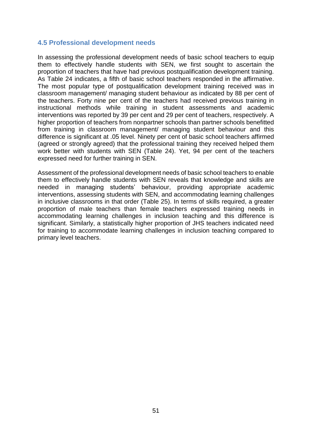## **4.5 Professional development needs**

In assessing the professional development needs of basic school teachers to equip them to effectively handle students with SEN, we first sought to ascertain the proportion of teachers that have had previous postqualification development training. As Table 24 indicates, a fifth of basic school teachers responded in the affirmative. The most popular type of postqualification development training received was in classroom management/ managing student behaviour as indicated by 88 per cent of the teachers. Forty nine per cent of the teachers had received previous training in instructional methods while training in student assessments and academic interventions was reported by 39 per cent and 29 per cent of teachers, respectively. A higher proportion of teachers from nonpartner schools than partner schools benefitted from training in classroom management/ managing student behaviour and this difference is significant at .05 level. Ninety per cent of basic school teachers affirmed (agreed or strongly agreed) that the professional training they received helped them work better with students with SEN (Table 24). Yet, 94 per cent of the teachers expressed need for further training in SEN.

Assessment of the professional development needs of basic school teachers to enable them to effectively handle students with SEN reveals that knowledge and skills are needed in managing students' behaviour, providing appropriate academic interventions, assessing students with SEN, and accommodating learning challenges in inclusive classrooms in that order (Table 25). In terms of skills required, a greater proportion of male teachers than female teachers expressed training needs in accommodating learning challenges in inclusion teaching and this difference is significant. Similarly, a statistically higher proportion of JHS teachers indicated need for training to accommodate learning challenges in inclusion teaching compared to primary level teachers.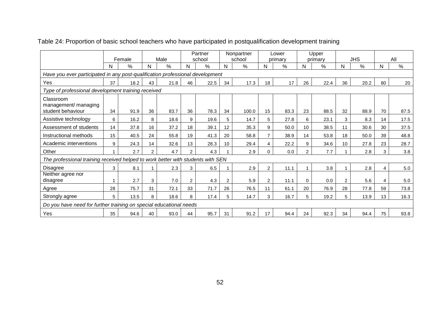|                                                                                 |    | Female | Male |      | Partner<br>school |      | Nonpartner<br>school |       | Lower<br>primary |      | Upper<br>primary |      | <b>JHS</b>      |               | All |      |
|---------------------------------------------------------------------------------|----|--------|------|------|-------------------|------|----------------------|-------|------------------|------|------------------|------|-----------------|---------------|-----|------|
|                                                                                 | N  | $\%$   | N    | %    | N                 | %    | N                    | %     | N                | %    | N                | $\%$ | N               | $\frac{0}{0}$ | N   | $\%$ |
| Have you ever participated in any post-qualification professional development   |    |        |      |      |                   |      |                      |       |                  |      |                  |      |                 |               |     |      |
| Yes                                                                             | 37 | 18.2   | 43   | 21.8 | 46                | 22.5 | 34                   | 17.3  | 18               | 17   | 26               | 22.4 | 36              | 20.2          | 80  | 20   |
| Type of professional development training received                              |    |        |      |      |                   |      |                      |       |                  |      |                  |      |                 |               |     |      |
| Classroom<br>management/ managing                                               |    |        |      |      |                   |      |                      |       |                  |      |                  |      |                 |               |     |      |
| student behaviour                                                               | 34 | 91.9   | 36   | 83.7 | 36                | 78.3 | 34                   | 100.0 | 15               | 83.3 | 23               | 88.5 | 32              | 88.9          | 70  | 87.5 |
| Assistive technology                                                            | 6  | 16.2   | 8    | 18.6 | 9                 | 19.6 | 5                    | 14.7  | 5                | 27.8 | 6                | 23.1 | 3               | 8.3           | 14  | 17.5 |
| Assessment of students                                                          | 14 | 37.8   | 16   | 37.2 | 18                | 39.1 | 12                   | 35.3  | 9                | 50.0 | 10               | 38.5 | 11              | 30.6          | 30  | 37.5 |
| Instructional methods                                                           | 15 | 40.5   | 24   | 55.8 | 19                | 41.3 | 20                   | 58.8  | $\overline{7}$   | 38.9 | 14               | 53.8 | 18              | 50.0          | 39  | 48.8 |
| Academic interventions                                                          | 9  | 24.3   | 14   | 32.6 | 13                | 28.3 | 10                   | 29.4  | 4                | 22.2 | 9                | 34.6 | 10 <sup>°</sup> | 27.8          | 23  | 28.7 |
| Other                                                                           |    | 2.7    | 2    | 4.7  | $\overline{2}$    | 4.3  |                      | 2.9   | $\Omega$         | 0.0  | $\overline{2}$   | 7.7  |                 | 2.8           | 3   | 3.8  |
| The professional training received helped to work better with students with SEN |    |        |      |      |                   |      |                      |       |                  |      |                  |      |                 |               |     |      |
| Disagree                                                                        | 3  | 8.1    |      | 2.3  | 3                 | 6.5  |                      | 2.9   | $\overline{2}$   | 11.1 |                  | 3.8  |                 | 2.8           | 4   | 5.0  |
| Neither agree nor<br>disagree                                                   |    | 2.7    | 3    | 7.0  | $\overline{c}$    | 4.3  | 2                    | 5.9   | $\overline{2}$   | 11.1 | 0                | 0.0  | $\overline{2}$  | 5.6           | 4   | 5.0  |
| Agree                                                                           | 28 | 75.7   | 31   | 72.1 | 33                | 71.7 | 26                   | 76.5  | 11               | 61.1 | 20               | 76.9 | 28              | 77.8          | 59  | 73.8 |
| Strongly agree                                                                  | 5  | 13.5   | 8    | 18.6 | 8                 | 17.4 | 5                    | 14.7  | 3                | 16.7 | 5                | 19.2 | 5               | 13.9          | 13  | 16.3 |
| Do you have need for further training on special educational needs              |    |        |      |      |                   |      |                      |       |                  |      |                  |      |                 |               |     |      |
| Yes                                                                             | 35 | 94.6   | 40   | 93.0 | 44                | 95.7 | 31                   | 91.2  | 17               | 94.4 | 24               | 92.3 | 34              | 94.4          | 75  | 93.8 |

# Table 24: Proportion of basic school teachers who have participated in postqualification development training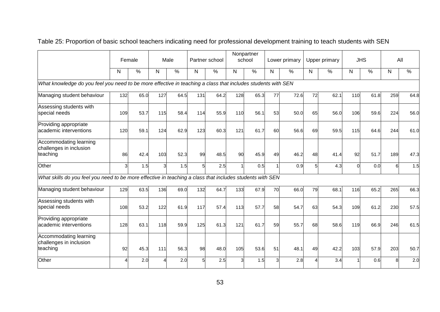|                                                                                                              |     | Female |     | Male          |     | Partner school |     | Nonpartner<br>school |    | Lower primary |    | <b>Upper primary</b> |          | <b>JHS</b>    |     | All           |
|--------------------------------------------------------------------------------------------------------------|-----|--------|-----|---------------|-----|----------------|-----|----------------------|----|---------------|----|----------------------|----------|---------------|-----|---------------|
|                                                                                                              | N   | $\%$   | N   | $\frac{0}{0}$ | N   | $\%$           | N   | $\%$                 | N  | $\%$          | N  | $\frac{0}{0}$        | N        | $\frac{0}{0}$ | N   | $\frac{0}{0}$ |
| What knowledge do you feel you need to be more effective in teaching a class that includes students with SEN |     |        |     |               |     |                |     |                      |    |               |    |                      |          |               |     |               |
| Managing student behaviour                                                                                   | 132 | 65.0   | 127 | 64.5          | 131 | 64.2           | 128 | 65.3                 | 77 | 72.6          | 72 | 62.1                 | 110      | 61.8          | 259 | 64.8          |
| Assessing students with<br>special needs                                                                     | 109 | 53.7   | 115 | 58.4          | 114 | 55.9           | 110 | 56.1                 | 53 | 50.0          | 65 | 56.0                 | 106      | 59.6          | 224 | 56.0          |
| Providing appropriate<br>academic interventions                                                              | 120 | 59.1   | 124 | 62.9          | 123 | 60.3           | 121 | 61.7                 | 60 | 56.6          | 69 | 59.5                 | 115      | 64.6          | 244 | 61.0          |
| Accommodating learning<br>challenges in inclusion<br>teaching                                                | 86  | 42.4   | 103 | 52.3          | 99  | 48.5           | 90  | 45.9                 | 49 | 46.2          | 48 | 41.4                 | 92       | 51.7          | 189 | 47.3          |
| Other                                                                                                        | 3   | 1.5    | 3   | 1.5           | 5   | 2.5            |     | 0.5                  |    | 0.9           | 5  | 4.3                  | $\Omega$ | 0.0           | 6   | 1.5           |
| What skills do you feel you need to be more effective in teaching a class that includes students with SEN    |     |        |     |               |     |                |     |                      |    |               |    |                      |          |               |     |               |
| Managing student behaviour                                                                                   | 129 | 63.5   | 136 | 69.0          | 132 | 64.7           | 133 | 67.9                 | 70 | 66.0          | 79 | 68.1                 | 116      | 65.2          | 265 | 66.3          |
| Assessing students with<br>special needs                                                                     | 108 | 53.2   | 122 | 61.9          | 117 | 57.4           | 113 | 57.7                 | 58 | 54.7          | 63 | 54.3                 | 109      | 61.2          | 230 | 57.5          |
| Providing appropriate<br>academic interventions                                                              | 128 | 63.1   | 118 | 59.9          | 125 | 61.3           | 121 | 61.7                 | 59 | 55.7          | 68 | 58.6                 | 119      | 66.9          | 246 | 61.5          |
| Accommodating learning<br>challenges in inclusion<br>teaching                                                | 92  | 45.3   | 111 | 56.3          | 98  | 48.0           | 105 | 53.6                 | 51 | 48.1          | 49 | 42.2                 | 103      | 57.9          | 203 | 50.7          |
| Other                                                                                                        |     | 2.0    |     | 2.0           | 5   | 2.5            | 31  | 1.5                  |    | 2.8           |    | 3.4                  |          | 0.6           | 8   | 2.0           |

Table 25: Proportion of basic school teachers indicating need for professional development training to teach students with SEN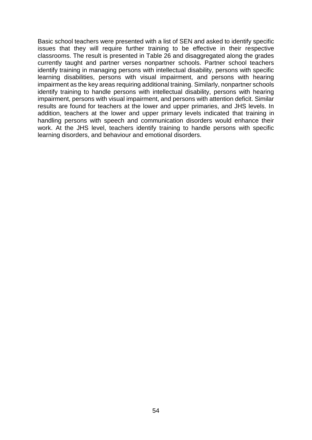Basic school teachers were presented with a list of SEN and asked to identify specific issues that they will require further training to be effective in their respective classrooms. The result is presented in Table 26 and disaggregated along the grades currently taught and partner verses nonpartner schools. Partner school teachers identify training in managing persons with intellectual disability, persons with specific learning disabilities, persons with visual impairment, and persons with hearing impairment as the key areas requiring additional training. Similarly, nonpartner schools identify training to handle persons with intellectual disability, persons with hearing impairment, persons with visual impairment, and persons with attention deficit. Similar results are found for teachers at the lower and upper primaries, and JHS levels. In addition, teachers at the lower and upper primary levels indicated that training in handling persons with speech and communication disorders would enhance their work. At the JHS level, teachers identify training to handle persons with specific learning disorders, and behaviour and emotional disorders.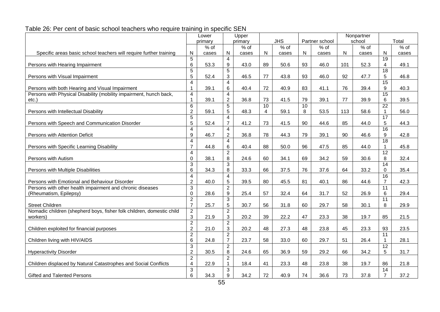| <b>JHS</b><br>Partner school<br>school<br>Total<br>primary<br>primary<br>$%$ of<br>$%$ of<br>$%$ of<br>$%$ of<br>% of<br>% of<br>Specific areas basic school teachers will require further training<br>N<br>N<br>N.<br>N<br>N<br>N<br>cases<br>cases<br>cases<br>cases<br>cases<br>cases<br>5<br>19<br>4<br>6<br>53.3<br>9<br>43.0<br>89<br>50.6<br>93<br>46.0<br>52.3<br>4<br>49.1<br>Persons with Hearing Impairment<br>101<br>5<br>5<br>$\overline{18}$<br>5<br>3<br>77<br>93<br>92<br>52.4<br>46.5<br>43.8<br>46.0<br>47.7<br>5<br>46.8<br>Persons with Visual Impairment<br>$\overline{\mathbf{4}}$<br>$\overline{4}$<br>$\overline{15}$ |
|-----------------------------------------------------------------------------------------------------------------------------------------------------------------------------------------------------------------------------------------------------------------------------------------------------------------------------------------------------------------------------------------------------------------------------------------------------------------------------------------------------------------------------------------------------------------------------------------------------------------------------------------------|
|                                                                                                                                                                                                                                                                                                                                                                                                                                                                                                                                                                                                                                               |
|                                                                                                                                                                                                                                                                                                                                                                                                                                                                                                                                                                                                                                               |
|                                                                                                                                                                                                                                                                                                                                                                                                                                                                                                                                                                                                                                               |
|                                                                                                                                                                                                                                                                                                                                                                                                                                                                                                                                                                                                                                               |
|                                                                                                                                                                                                                                                                                                                                                                                                                                                                                                                                                                                                                                               |
|                                                                                                                                                                                                                                                                                                                                                                                                                                                                                                                                                                                                                                               |
|                                                                                                                                                                                                                                                                                                                                                                                                                                                                                                                                                                                                                                               |
|                                                                                                                                                                                                                                                                                                                                                                                                                                                                                                                                                                                                                                               |
| 6<br>72<br>83<br>9<br>39.1<br>40.4<br>40.9<br>41.1<br>76<br>39.4<br>40.3<br>Persons with both Hearing and Visual Impairment                                                                                                                                                                                                                                                                                                                                                                                                                                                                                                                   |
| Persons with Physical Disability (mobility impairment, hunch back,<br>$\overline{\mathcal{A}}$<br>$\overline{\mathbf{4}}$<br>15                                                                                                                                                                                                                                                                                                                                                                                                                                                                                                               |
| $\overline{c}$<br>36.8<br>73<br>39.1<br>41.5<br>79<br>39.1<br>77<br>39.9<br>6<br>39.5<br>etc.)                                                                                                                                                                                                                                                                                                                                                                                                                                                                                                                                                |
| 6<br>5<br>$\overline{22}$<br>10<br>10                                                                                                                                                                                                                                                                                                                                                                                                                                                                                                                                                                                                         |
| $\overline{c}$<br>5<br>113<br>59.1<br>48.3<br>4<br>59.1<br>8<br>53.5<br>58.6<br>$\mathbf{1}$<br>56.0<br>Persons with Intellectual Disability                                                                                                                                                                                                                                                                                                                                                                                                                                                                                                  |
| $\overline{17}$<br>5<br>$\overline{4}$                                                                                                                                                                                                                                                                                                                                                                                                                                                                                                                                                                                                        |
| $\overline{7}$<br>Persons with Speech and Communication Disorder<br>5<br>41.2<br>5<br>52.4<br>73<br>41.5<br>90<br>44.6<br>85<br>44.0<br>44.3                                                                                                                                                                                                                                                                                                                                                                                                                                                                                                  |
| 16<br>4<br>4                                                                                                                                                                                                                                                                                                                                                                                                                                                                                                                                                                                                                                  |
| 9<br>$\overline{2}$<br>78<br>44.3<br>79<br>39.1<br>90<br>9<br>46.7<br>36.8<br>46.6<br>42.8<br>Persons with Attention Deficit                                                                                                                                                                                                                                                                                                                                                                                                                                                                                                                  |
| 18<br>4<br>$\overline{4}$                                                                                                                                                                                                                                                                                                                                                                                                                                                                                                                                                                                                                     |
| $\overline{7}$<br>44.8<br>6<br>40.4<br>88<br>50.0<br>96<br>47.5<br>85<br>44.0<br>45.8<br>Persons with Specific Learning Disability<br>$\mathbf{1}$                                                                                                                                                                                                                                                                                                                                                                                                                                                                                            |
| $\overline{2}$<br>$\overline{12}$<br>4                                                                                                                                                                                                                                                                                                                                                                                                                                                                                                                                                                                                        |
| 8<br>24.6<br>60<br>34.1<br>69<br>34.2<br>59<br>32.4<br>Persons with Autism<br>0<br>38.1<br>30.6<br>8                                                                                                                                                                                                                                                                                                                                                                                                                                                                                                                                          |
| $\overline{3}$<br>$\overline{3}$<br>14                                                                                                                                                                                                                                                                                                                                                                                                                                                                                                                                                                                                        |
| 6<br>8<br>33.3<br>66<br>37.5<br>76<br>33.2<br>Persons with Multiple Disabilities<br>34.3<br>37.6<br>64<br>$\mathbf 0$<br>35.4                                                                                                                                                                                                                                                                                                                                                                                                                                                                                                                 |
| $\overline{\mathbf{4}}$<br>$\overline{\mathbf{4}}$<br>16                                                                                                                                                                                                                                                                                                                                                                                                                                                                                                                                                                                      |
| $\overline{2}$<br>Persons with Emotional and Behaviour Disorder<br>5<br>39.5<br>81<br>86<br>40.0<br>80<br>45.5<br>40.1<br>44.6<br>$\overline{7}$<br>42.3                                                                                                                                                                                                                                                                                                                                                                                                                                                                                      |
| $\overline{2}$<br>3<br>Persons with other health impairment and chronic diseases<br>11                                                                                                                                                                                                                                                                                                                                                                                                                                                                                                                                                        |
| 9<br>$\boldsymbol{0}$<br>25.4<br>57<br>31.7<br>52<br>26.9<br>6<br>28.6<br>32.4<br>64<br>29.4<br>(Rheumatism, Epilepsy)                                                                                                                                                                                                                                                                                                                                                                                                                                                                                                                        |
| $\overline{2}$<br>$\mathbf{3}$<br>11                                                                                                                                                                                                                                                                                                                                                                                                                                                                                                                                                                                                          |
| $\overline{7}$<br>5<br><b>Street Children</b><br>25.7<br>30.7<br>56<br>31.8<br>60<br>29.7<br>58<br>8<br>29.9<br>30.1                                                                                                                                                                                                                                                                                                                                                                                                                                                                                                                          |
| $\boldsymbol{2}$<br>Nomadic children (shepherd boys, fisher folk children, domestic child<br>$\overline{c}$                                                                                                                                                                                                                                                                                                                                                                                                                                                                                                                                   |
| 3<br>3<br>39<br>22.2<br>47<br>20.2<br>23.3<br>38<br>19.7<br>85<br>21.5<br>21.9<br>workers)                                                                                                                                                                                                                                                                                                                                                                                                                                                                                                                                                    |
| $\overline{2}$<br>$\overline{2}$                                                                                                                                                                                                                                                                                                                                                                                                                                                                                                                                                                                                              |
| $\overline{2}$<br>3<br>Children exploited for financial purposes<br>21.0<br>20.2<br>48<br>27.3<br>48<br>23.8<br>45<br>23.3<br>93<br>23.5                                                                                                                                                                                                                                                                                                                                                                                                                                                                                                      |
| $\overline{2}$<br>$\sqrt{2}$<br>$\overline{11}$                                                                                                                                                                                                                                                                                                                                                                                                                                                                                                                                                                                               |
| $\overline{7}$<br>6<br>23.7<br>58<br>33.0<br>60<br>29.7<br>51<br>26.4<br>Children living with HIV/AIDS<br>24.8<br>$\mathbf{1}$<br>28.1                                                                                                                                                                                                                                                                                                                                                                                                                                                                                                        |
| 12<br>3<br>$\overline{2}$                                                                                                                                                                                                                                                                                                                                                                                                                                                                                                                                                                                                                     |
| $\boldsymbol{2}$<br>65<br>30.5<br>8<br>24.6<br>36.9<br>59<br>29.2<br>66<br>34.2<br>5<br>31.7<br><b>Hyperactivity Disorder</b>                                                                                                                                                                                                                                                                                                                                                                                                                                                                                                                 |
| $\boldsymbol{2}$<br>$\overline{2}$                                                                                                                                                                                                                                                                                                                                                                                                                                                                                                                                                                                                            |
| 23.3<br>48<br>86<br>Children displaced by Natural Catastrophes and Social Conflicts<br>4<br>22.9<br>$\overline{1}$<br>18.4<br>41<br>23.8<br>38<br>19.7<br>21.8                                                                                                                                                                                                                                                                                                                                                                                                                                                                                |
| $\mathbf{3}$<br>3<br>14                                                                                                                                                                                                                                                                                                                                                                                                                                                                                                                                                                                                                       |
| 6<br>9<br>72<br>74<br>$\overline{7}$<br>34.3<br>34.2<br>40.9<br>73<br>37.2<br><b>Gifted and Talented Persons</b><br>36.6<br>37.8                                                                                                                                                                                                                                                                                                                                                                                                                                                                                                              |

# Table 26: Per cent of basic school teachers who require training in specific SEN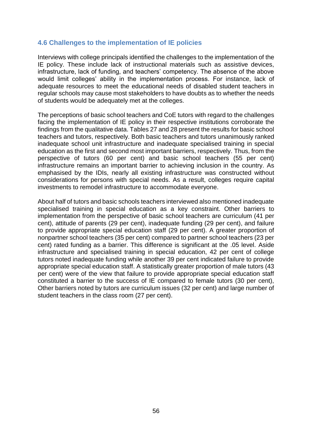## **4.6 Challenges to the implementation of IE policies**

Interviews with college principals identified the challenges to the implementation of the IE policy. These include lack of instructional materials such as assistive devices, infrastructure, lack of funding, and teachers' competency. The absence of the above would limit colleges' ability in the implementation process. For instance, lack of adequate resources to meet the educational needs of disabled student teachers in regular schools may cause most stakeholders to have doubts as to whether the needs of students would be adequately met at the colleges.

The perceptions of basic school teachers and CoE tutors with regard to the challenges facing the implementation of IE policy in their respective institutions corroborate the findings from the qualitative data. Tables 27 and 28 present the results for basic school teachers and tutors, respectively. Both basic teachers and tutors unanimously ranked inadequate school unit infrastructure and inadequate specialised training in special education as the first and second most important barriers, respectively. Thus, from the perspective of tutors (60 per cent) and basic school teachers (55 per cent) infrastructure remains an important barrier to achieving inclusion in the country. As emphasised by the IDIs, nearly all existing infrastructure was constructed without considerations for persons with special needs. As a result, colleges require capital investments to remodel infrastructure to accommodate everyone.

About half of tutors and basic schools teachers interviewed also mentioned inadequate specialised training in special education as a key constraint. Other barriers to implementation from the perspective of basic school teachers are curriculum (41 per cent), attitude of parents (29 per cent), inadequate funding (29 per cent), and failure to provide appropriate special education staff (29 per cent). A greater proportion of nonpartner school teachers (35 per cent) compared to partner school teachers (23 per cent) rated funding as a barrier. This difference is significant at the .05 level. Aside infrastructure and specialised training in special education, 42 per cent of college tutors noted inadequate funding while another 39 per cent indicated failure to provide appropriate special education staff. A statistically greater proportion of male tutors (43 per cent) were of the view that failure to provide appropriate special education staff constituted a barrier to the success of IE compared to female tutors (30 per cent), Other barriers noted by tutors are curriculum issues (32 per cent) and large number of student teachers in the class room (27 per cent).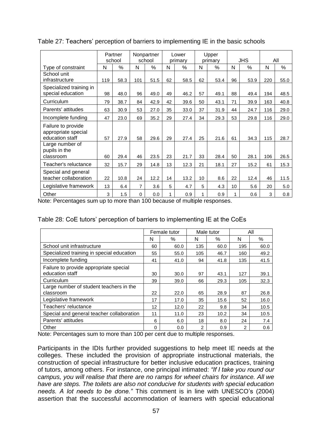|                                                              |     | Partner<br>school |                | Nonpartner<br>school |    | Lower<br>primary |    | Upper<br>primary |                 | <b>JHS</b> |     | All  |
|--------------------------------------------------------------|-----|-------------------|----------------|----------------------|----|------------------|----|------------------|-----------------|------------|-----|------|
| Type of constraint                                           | N   | $\%$              | N              | %                    | N  | $\%$             | N  | $\frac{0}{0}$    | N               | %          | N   | $\%$ |
| School unit                                                  |     |                   |                |                      |    |                  |    |                  |                 |            |     |      |
| infrastructure                                               | 119 | 58.3              | 101            | 51.5                 | 62 | 58.5             | 62 | 53.4             | 96              | 53.9       | 220 | 55.0 |
| Specialized training in<br>special education                 | 98  | 48.0              | 96             | 49.0                 | 49 | 46.2             | 57 | 49.1             | 88              | 49.4       | 194 | 48.5 |
| Curriculum                                                   | 79  | 38.7              | 84             | 42.9                 | 42 | 39.6             | 50 | 43.1             | 71              | 39.9       | 163 | 40.8 |
| Parents' attitudes                                           | 63  | 30.9              | 53             | 27.0                 | 35 | 33.0             | 37 | 31.9             | 44              | 24.7       | 116 | 29.0 |
| Incomplete funding                                           | 47  | 23.0              | 69             | 35.2                 | 29 | 27.4             | 34 | 29.3             | 53              | 29.8       | 116 | 29.0 |
| Failure to provide<br>appropriate special<br>education staff | 57  | 27.9              | 58             | 29.6                 | 29 | 27.4             | 25 | 21.6             | 61              | 34.3       | 115 | 28.7 |
| Large number of<br>pupils in the<br>classroom                | 60  | 29.4              | 46             | 23.5                 | 23 | 21.7             | 33 | 28.4             | 50              | 28.1       | 106 | 26.5 |
| Teacher's reluctance                                         | 32  | 15.7              | 29             | 14.8                 | 13 | 12.3             | 21 | 18.1             | 27              | 15.2       | 61  | 15.3 |
| Special and general<br>teacher collaboration                 | 22  | 10.8              | 24             | 12.2                 | 14 | 13.2             | 10 | 8.6              | 22              | 12.4       | 46  | 11.5 |
| Legislative framework                                        | 13  | 6.4               | $\overline{7}$ | 3.6                  | 5  | 4.7              | 5  | 4.3              | 10 <sup>°</sup> | 5.6        | 20  | 5.0  |
| Other                                                        | 3   | 1.5               | 0              | 0.0                  | 1  | 0.9              | 1  | 0.9              | 1               | 0.6        | 3   | 0.8  |

Table 27: Teachers' perception of barriers to implementing IE in the basic schools

Note: Percentages sum up to more than 100 because of multiple responses.

| Table 28: CoE tutors' perception of barriers to implementing IE at the CoEs |
|-----------------------------------------------------------------------------|
|-----------------------------------------------------------------------------|

|                                           |    | Female tutor |     | Male tutor | All |      |  |
|-------------------------------------------|----|--------------|-----|------------|-----|------|--|
|                                           | N  | $\%$         | N   | $\%$       | N   | $\%$ |  |
| School unit infrastructure                | 60 | 60.0         | 135 | 60.0       | 195 | 60.0 |  |
| Specialized training in special education | 55 | 55.0         | 105 | 46.7       | 160 | 49.2 |  |
| Incomplete funding                        | 41 | 41.0         | 94  | 41.8       | 135 | 41.5 |  |
| Failure to provide appropriate special    |    |              |     |            |     |      |  |
| education staff                           | 30 | 30.0         | 97  | 43.1       | 127 | 39.1 |  |
| Curriculum                                | 39 | 39.0         | 66  | 29.3       | 105 | 32.3 |  |
| Large number of student teachers in the   |    |              |     |            |     |      |  |
| classroom                                 | 22 | 22.0         | 65  | 28.9       | 87  | 26.8 |  |
| Legislative framework                     | 17 | 17.0         | 35  | 15.6       | 52  | 16.0 |  |
| Teachers' reluctance                      | 12 | 12.0         | 22  | 9.8        | 34  | 10.5 |  |
| Special and general teacher collaboration | 11 | 11.0         | 23  | 10.2       | 34  | 10.5 |  |
| Parents' attitudes                        | 6  | 6.0          | 18  | 8.0        | 24  | 7.4  |  |
| Other                                     | 0  | 0.0          | 2   | 0.9        | 2   | 0.6  |  |

Note: Percentages sum to more than 100 per cent due to multiple responses.

Participants in the IDIs further provided suggestions to help meet IE needs at the colleges. These included the provision of appropriate instructional materials, the construction of special infrastructure for better inclusive education practices, training of tutors, among others. For instance, one principal intimated: *"If I take you round our campus, you will realise that there are no ramps for wheel chairs for instance. All we have are steps. The toilets are also not conducive for students with special education needs. A lot needs to be done."* This comment is in line with UNESCO's (2004) assertion that the successful accommodation of learners with special educational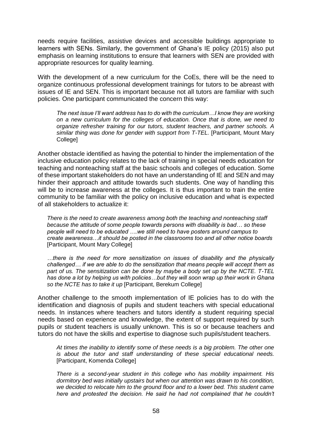needs require facilities, assistive devices and accessible buildings appropriate to learners with SENs. Similarly, the government of Ghana's IE policy (2015) also put emphasis on learning institutions to ensure that learners with SEN are provided with appropriate resources for quality learning.

With the development of a new curriculum for the CoEs, there will be the need to organize continuous professional development trainings for tutors to be abreast with issues of IE and SEN. This is important because not all tutors are familiar with such policies. One participant communicated the concern this way:

*The next issue I'll want address has to do with the curriculum…I know they are working on a new curriculum for the colleges of education. Once that is done, we need to organize refresher training for our tutors, student teachers, and partner schools. A similar thing was done for gender with support from T-TEL.* [Participant, Mount Mary College]

Another obstacle identified as having the potential to hinder the implementation of the inclusive education policy relates to the lack of training in special needs education for teaching and nonteaching staff at the basic schools and colleges of education. Some of these important stakeholders do not have an understanding of IE and SEN and may hinder their approach and attitude towards such students. One way of handling this will be to increase awareness at the colleges. It is thus important to train the entire community to be familiar with the policy on inclusive education and what is expected of all stakeholders to actualize it:

*There is the need to create awareness among both the teaching and nonteaching staff because the attitude of some people towards persons with disability is bad… so these people will need to be educated ….we still need to have posters around campus to create awareness…it should be posted in the classrooms too and all other notice boards*  [Participant, Mount Mary College]

*…there is the need for more sensitization on issues of disability and the physically challenged… if we are able to do the sensitization that means people will accept them as part of us. The sensitization can be done by maybe a body set up by the NCTE. T-TEL has done a lot by helping us with policies…but they will soon wrap up their work in Ghana so the NCTE has to take it up* [Participant, Berekum College]

Another challenge to the smooth implementation of IE policies has to do with the identification and diagnosis of pupils and student teachers with special educational needs. In instances where teachers and tutors identify a student requiring special needs based on experience and knowledge, the extent of support required by such pupils or student teachers is usually unknown. This is so or because teachers and tutors do not have the skills and expertise to diagnose such pupils/student teachers.

*At times the inability to identify some of these needs is a big problem. The other one is about the tutor and staff understanding of these special educational needs.*  [Participant, Komenda College]

*There is a second-year student in this college who has mobility impairment. His dormitory bed was initially upstairs but when our attention was drawn to his condition,*  we decided to relocate him to the ground floor and to a lower bed. This student came *here and protested the decision. He said he had not complained that he couldn't*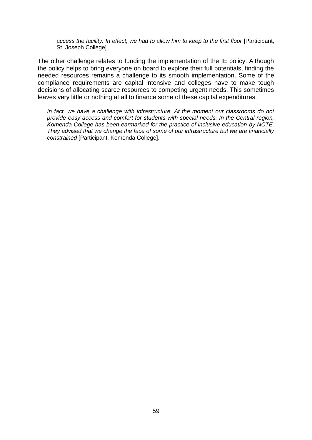*access the facility. In effect, we had to allow him to keep to the first floor* [Participant, St. Joseph College]

The other challenge relates to funding the implementation of the IE policy. Although the policy helps to bring everyone on board to explore their full potentials, finding the needed resources remains a challenge to its smooth implementation. Some of the compliance requirements are capital intensive and colleges have to make tough decisions of allocating scarce resources to competing urgent needs. This sometimes leaves very little or nothing at all to finance some of these capital expenditures.

*In fact, we have a challenge with infrastructure. At the moment our classrooms do not provide easy access and comfort for students with special needs. In the Central region, Komenda College has been earmarked for the practice of inclusive education by NCTE. They advised that we change the face of some of our infrastructure but we are financially constrained* [Participant, Komenda College].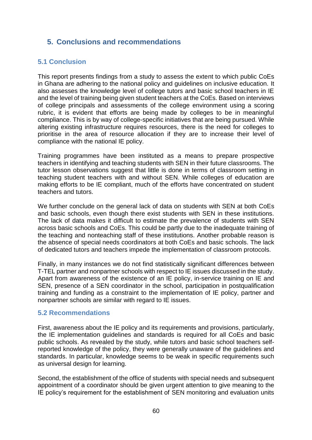## **5. Conclusions and recommendations**

## **5.1 Conclusion**

This report presents findings from a study to assess the extent to which public CoEs in Ghana are adhering to the national policy and guidelines on inclusive education. It also assesses the knowledge level of college tutors and basic school teachers in IE and the level of training being given student teachers at the CoEs. Based on interviews of college principals and assessments of the college environment using a scoring rubric, it is evident that efforts are being made by colleges to be in meaningful compliance. This is by way of college-specific initiatives that are being pursued. While altering existing infrastructure requires resources, there is the need for colleges to prioritise in the area of resource allocation if they are to increase their level of compliance with the national IE policy.

Training programmes have been instituted as a means to prepare prospective teachers in identifying and teaching students with SEN in their future classrooms. The tutor lesson observations suggest that little is done in terms of classroom setting in teaching student teachers with and without SEN. While colleges of education are making efforts to be IE compliant, much of the efforts have concentrated on student teachers and tutors.

We further conclude on the general lack of data on students with SEN at both CoEs and basic schools, even though there exist students with SEN in these institutions. The lack of data makes it difficult to estimate the prevalence of students with SEN across basic schools and CoEs. This could be partly due to the inadequate training of the teaching and nonteaching staff of these institutions. Another probable reason is the absence of special needs coordinators at both CoEs and basic schools. The lack of dedicated tutors and teachers impede the implementation of classroom protocols.

Finally, in many instances we do not find statistically significant differences between T-TEL partner and nonpartner schools with respect to IE issues discussed in the study. Apart from awareness of the existence of an IE policy, in-service training on IE and SEN, presence of a SEN coordinator in the school, participation in postqualification training and funding as a constraint to the implementation of IE policy, partner and nonpartner schools are similar with regard to IE issues.

## **5.2 Recommendations**

First, awareness about the IE policy and its requirements and provisions, particularly, the IE implementation guidelines and standards is required for all CoEs and basic public schools. As revealed by the study, while tutors and basic school teachers selfreported knowledge of the policy, they were generally unaware of the guidelines and standards. In particular, knowledge seems to be weak in specific requirements such as universal design for learning.

Second, the establishment of the office of students with special needs and subsequent appointment of a coordinator should be given urgent attention to give meaning to the IE policy's requirement for the establishment of SEN monitoring and evaluation units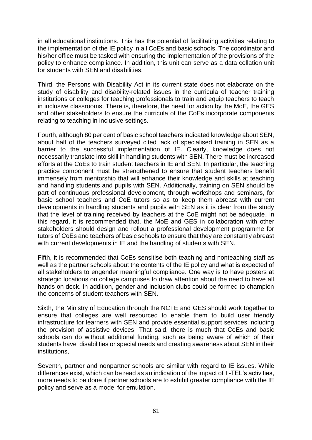in all educational institutions. This has the potential of facilitating activities relating to the implementation of the IE policy in all CoEs and basic schools. The coordinator and his/her office must be tasked with ensuring the implementation of the provisions of the policy to enhance compliance. In addition, this unit can serve as a data collation unit for students with SEN and disabilities.

Third, the Persons with Disability Act in its current state does not elaborate on the study of disability and disability-related issues in the curricula of teacher training institutions or colleges for teaching professionals to train and equip teachers to teach in inclusive classrooms. There is, therefore, the need for action by the MoE, the GES and other stakeholders to ensure the curricula of the CoEs incorporate components relating to teaching in inclusive settings.

Fourth, although 80 per cent of basic school teachers indicated knowledge about SEN, about half of the teachers surveyed cited lack of specialised training in SEN as a barrier to the successful implementation of IE. Clearly, knowledge does not necessarily translate into skill in handling students with SEN. There must be increased efforts at the CoEs to train student teachers in IE and SEN. In particular, the teaching practice component must be strengthened to ensure that student teachers benefit immensely from mentorship that will enhance their knowledge and skills at teaching and handling students and pupils with SEN. Additionally, training on SEN should be part of continuous professional development, through workshops and seminars, for basic school teachers and CoE tutors so as to keep them abreast with current developments in handling students and pupils with SEN as it is clear from the study that the level of training received by teachers at the CoE might not be adequate. In this regard, it is recommended that, the MoE and GES in collaboration with other stakeholders should design and rollout a professional development programme for tutors of CoEs and teachers of basic schools to ensure that they are constantly abreast with current developments in IE and the handling of students with SEN.

Fifth, it is recommended that CoEs sensitise both teaching and nonteaching staff as well as the partner schools about the contents of the IE policy and what is expected of all stakeholders to engender meaningful compliance. One way is to have posters at strategic locations on college campuses to draw attention about the need to have all hands on deck. In addition, gender and inclusion clubs could be formed to champion the concerns of student teachers with SEN.

Sixth, the Ministry of Education through the NCTE and GES should work together to ensure that colleges are well resourced to enable them to build user friendly infrastructure for learners with SEN and provide essential support services including the provision of assistive devices. That said, there is much that CoEs and basic schools can do without additional funding, such as being aware of which of their students have disabilities or special needs and creating awareness about SEN in their institutions,

Seventh, partner and nonpartner schools are similar with regard to IE issues. While differences exist, which can be read as an indication of the impact of T-TEL's activities, more needs to be done if partner schools are to exhibit greater compliance with the IE policy and serve as a model for emulation.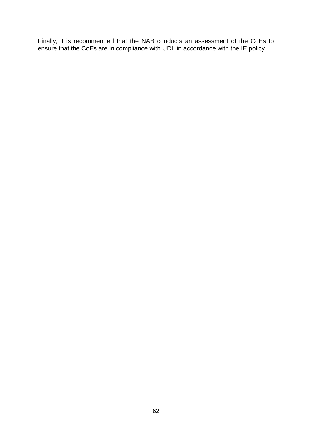Finally, it is recommended that the NAB conducts an assessment of the CoEs to ensure that the CoEs are in compliance with UDL in accordance with the IE policy.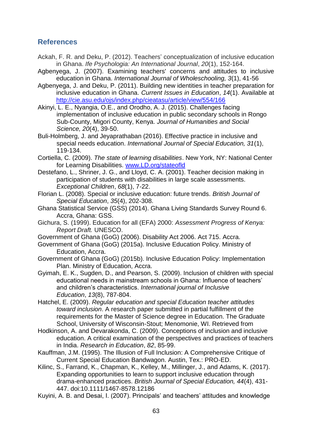# **References**

- Ackah, F. R. and Deku, P. (2012). Teachers' conceptualization of inclusive education in Ghana. *Ife Psychologia: An International Journal*, *20*(1), 152-164.
- Agbenyega, J. (2007). Examining teachers' concerns and attitudes to inclusive education in Ghana. *International Journal of Wholeschooling, 3*(1), 41-56
- Agbenyega, J. and Deku, P. (2011). Building new identities in teacher preparation for inclusive education in Ghana. *Current Issues in Education*, *14*(1). Available at <http://cie.asu.edu/ojs/index.php/cieatasu/article/view/554/166>
- Akinyi, L. E., Nyangia, O.E., and Orodho, A. J. (2015). Challenges facing implementation of inclusive education in public secondary schools in Rongo Sub-County, Migori County, Kenya. *Journal of Humanities and Social Science, 20*(4), 39-50.
- Buli-Holmberg, J. and Jeyaprathaban (2016). Effective practice in inclusive and special needs education. *International Journal of Special Education, 31*(1), 119-134.
- Cortiella, C. (2009). *The state of learning disabilities*. New York, NY: National Center for Learning Disabilities. [www.LD.org/stateofld](http://www.ld.org/stateofld)
- Destefano, L., Shriner, J. G., and Lloyd, C. A. (2001). Teacher decision making in participation of students with disabilities in large scale assessments. *Exceptional Children*, *68*(1), 7-22.
- Florian L. (2008). Special or inclusive education: future trends. *British Journal of Special Education*, *35*(4), 202-308.
- Ghana Statistical Service (GSS) (2014). Ghana Living Standards Survey Round 6. Accra, Ghana: GSS.
- Gichura, S. (1999). Education for all (EFA) 2000: *Assessment Progress of Kenya: Report Draft.* UNESCO.
- Government of Ghana (GoG) (2006). Disability Act 2006. Act 715. Accra.
- Government of Ghana (GoG) (2015a). Inclusive Education Policy. Ministry of Education, Accra.
- Government of Ghana (GoG) (2015b). Inclusive Education Policy: Implementation Plan. Ministry of Education, Accra.
- Gyimah, E. K., Sugden, D., and Pearson, S. (2009). Inclusion of children with special educational needs in mainstream schools in Ghana: Influence of teachers' and children's characteristics. *International journal of Inclusive Education*, *13*(8), 787-804.
- Hatchel, E. (2009). *Regular education and special Education teacher attitudes toward inclusion*. A research paper submitted in partial fulfillment of the requirements for the Master of Science degree in Education. The Graduate School, University of Wisconsin-Stout; Menomonie, WI. Retrieved from
- Hodkinson, A. and Devarakonda, C. (2009). Conceptions of inclusion and inclusive education. A critical examination of the perspectives and practices of teachers in India. *Research in Education*, *82*, 85-99.
- Kauffman, J.M. (1995). The Illusion of Full Inclusion: A Comprehensive Critique of Current Special Education Bandwagon. Austin, Tex.: PRO-ED.
- Kilinc, S., Farrand, K., Chapman, K., Kelley, M., Millinger, J., and Adams, K. (2017). Expanding opportunities to learn to support inclusive education through drama-enhanced practices. *British Journal of Special Education, 44*(4), 431- 447. doi:10.1111/1467-8578.12186
- Kuyini, A. B. and Desai, I. (2007). Principals' and teachers' attitudes and knowledge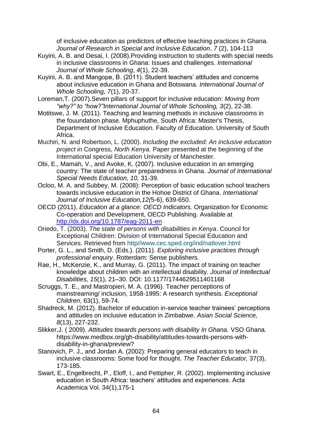of inclusive education as predictors of effective teaching practices in Ghana. *Journal of Research in Special and Inclusive Education*, *7* (2), 104-113

- Kuyini, A. B. and Desai, I. (2008).Providing instruction to students with special needs in inclusive classrooms in Ghana: Issues and challenges. *International Journal of Whole Schooling*, *4*(1), 22-39.
- Kuyini, A. B. and Mangope, B. (2011). Student teachers' attitudes and concerns about inclusive education in Ghana and Botswana. *International Journal of Whole Schooling, 7*(1), 20-37.
- Loreman,T. (2007).Seven pillars of support for inclusive education: *Moving from "why?" to "how?"International Journal of Whole Schooling, 3*(2), 22-38.
- Motitswe, J. M. (2011). Teaching and learning methods in inclusive classrooms in the fouundation phase. Mphuphuthe, South Africa: Master's Thesis, Department of Inclusive Education. Faculty of Education. University of South Africa.
- Muchiri, N. and Robertson, L. (2000). *Including the excluded: An inclusive education project in* Congress, *North Kenya.* Paper presented at the beginning of the International special Education University of Manchester.
- Obi, E., Mamah, V., and Avoke, K. (2007). Inclusive education in an emerging country: The state of teacher preparedness in Ghana. *Journal of International Special Needs Education, 10,* 31-39*.*
- Ocloo, M. A. and Subbey, M. (2008): Perception of basic education school teachers towards inclusive education in the Hohoe District of Ghana. *International Journal of Inclusive Education,12(*5-6), 639-650.
- OECD (2011). *Education at a glance: OECD Indicators.* Organization for Economic Co-operation and Development, OECD Publishing. Available at <http://dx.doi.org/10.1787/eag-2011-en>
- Oriedo, T. (2003). *The state of persons with disabilities in Kenya*. Council for Exceptional Children: Division of International Special Education and Services. Retrieved from http//www.cec.sped.org/ind/natlover.html
- Porter, G. L., and Smith, D. (Eds.). (2011). *Exploring inclusive practices through professional enquiry*. Rotterdam: Sense publishers.
- Rae, H., McKenzie, K., and Murray, G. (2011). The impact of training on teacher knowledge about children with an intellectual disability. *Journal of Intellectual Disabilities, 15*(1), 21–30. DOI: 10.1177/1744629511401168
- Scruggs, T. E., and Mastropieri, M. A. (1996). Teacher perceptions of mainstreaming/ inclusion, 1958-1995: A research synthesis. *Exceptional Children*, 63(1), 59-74.
- Shadreck, M. (2012). Bachelor of education in-service teacher trainees' perceptions and attitudes on inclusive education in Zimbabwe. *Asian Social Science, 8*(13), 227-232.
- Slikker,J. ( 2009). *Attitudes towards persons with disability In Ghana.* VSO Ghana*.* https://www.medbox.org/gh-disability/attitudes-towards-persons-withdisability-in-ghana/preview?
- Stanovich, P. J., and Jordan A. (2002): Preparing general educators to teach in inclusive classrooms: Some food for thought. *The Teacher Educator,* 37(3), 173-185.
- Swart, E., Engelbrecht, P., Eloff, I., and Pettipher, R. (2002). Implementing inclusive education in South Africa: teachers' attitudes and experiences. Acta Academica Vol. 34(1),175-1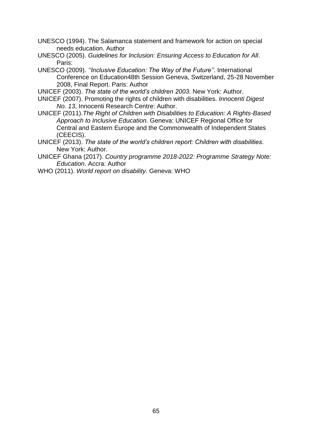UNESCO (1994). The Salamanca statement and framework for action on special needs education. Author

- UNESCO (2005). *Guidelines for Inclusion: Ensuring Access to Education for All*. Paris:
- UNESCO (2009). *''Inclusive Education: The Way of the Future''*. International Conference on Education48th Session Geneva, Switzerland, 25-28 November 2008, Final Report. Paris: Author
- UNICEF (2003). *The state of the world's children 2003*. New York: Author.
- UNICEF (2007). Promoting the rights of children with disabilities. *Innocenti Digest No. 13*, Innocenti Research Centre: Author.
- UNICEF (2011).*The Right of Children with Disabilities to Education: A Rights-Based Approach to Inclusive Education.* Geneva: UNICEF Regional Office for Central and Eastern Europe and the Commonwealth of Independent States (CEECIS).
- UNICEF (2013). *The state of the world's children report: Children with disabilities*. New York: Author.
- UNICEF Ghana (2017). *Country programme 2018-2022: Programme Strategy Note: Education*. Accra: Author
- WHO (2011). *World report on disability*. Geneva: WHO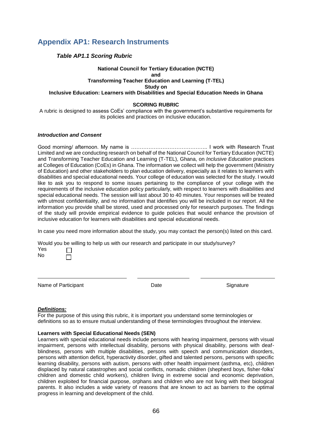# **Appendix AP1: Research Instruments**

# *Table AP1.1 Scoring Rubric*

#### **National Council for Tertiary Education (NCTE) and Transforming Teacher Education and Learning (T-TEL) Study on**

**Inclusive Education: Learners with Disabilities and Special Education Needs in Ghana** 

# **SCORING RUBRIC**

A rubric is designed to assess CoEs' compliance with the government's substantive requirements for its policies and practices on inclusive education.

#### *Introduction and Consent*

Good morning/ afternoon. My name is …………………………………….. I work with Research Trust Limited and we are conducting research on behalf of the National Council for Tertiary Education (NCTE) and Transforming Teacher Education and Learning (T-TEL), Ghana, on *Inclusive Education* practices at Colleges of Education (CoEs) in Ghana. The information we collect will help the government (Ministry of Education) and other stakeholders to plan education delivery, especially as it relates to learners with disabilities and special educational needs. Your college of education was selected for the study. I would like to ask you to respond to some issues pertaining to the compliance of your college with the requirements of the inclusive education policy particularly, with respect to learners with disabilities and special educational needs. The session will last about 30 to 40 minutes. Your responses will be treated with utmost confidentiality, and no information that identifies you will be included in our report. All the information you provide shall be stored, used and processed only for research purposes. The findings of the study will provide empirical evidence to guide policies that would enhance the provision of inclusive education for learners with disabilities and special educational needs.

In case you need more information about the study, you may contact the person(s) listed on this card.

Would you be willing to help us with our research and participate in our study/survey?

Yes No

Name of Participant **Name of Participant Date Date** Signature Signature

П  $\Box$ 

#### *Definitions:*

For the purpose of this using this rubric, it is important you understand some terminologies or definitions so as to ensure mutual understanding of these terminologies throughout the interview.

#### **Learners with Special Educational Needs (SEN)**

Learners with special educational needs include persons with hearing impairment, persons with visual impairment, persons with intellectual disability, persons with physical disability, persons with deafblindness, persons with multiple disabilities, persons with speech and communication disorders, persons with attention deficit, hyperactivity disorder, gifted and talented persons, persons with specific learning disability, persons with autism, persons with other health impairment (asthma, etc), children displaced by natural catastrophes and social conflicts, nomadic children (shepherd boys, fisher-folks' children and domestic child workers), children living in extreme social and economic deprivation, children exploited for financial purpose, orphans and children who are not living with their biological parents. It also includes a wide variety of reasons that are known to act as barriers to the optimal progress in learning and development of the child.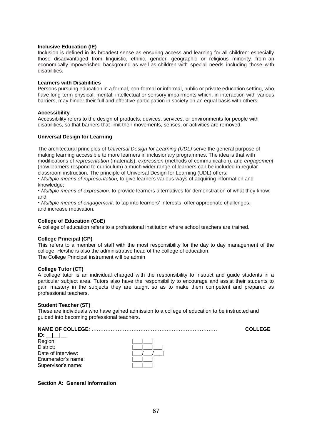#### **Inclusive Education (IE)**

Inclusion is defined in its broadest sense as ensuring access and learning for all children: especially those disadvantaged from linguistic, ethnic, gender, geographic or religious minority, from an economically impoverished background as well as children with special needs including those with disabilities.

## **Learners with Disabilities**

Persons pursuing education in a formal, non-formal or informal, public or private education setting, who have long-term physical, mental, intellectual or sensory impairments which, in interaction with various barriers, may hinder their full and effective participation in society on an equal basis with others.

#### **Accessibility**

Accessibility refers to the design of products, devices, services, or environments for people with disabilities, so that barriers that limit their movements, senses, or activities are removed.

### **Universal Design for Learning**

The architectural principles of *Universal Design for Learning (UDL)* serve the general purpose of making learning accessible to more learners in inclusionary programmes. The idea is that with modifications of *representation* (materials), *expression* (methods of communication), and *engagement* (how learners respond to curriculum) a much wider range of learners can be included in regular classroom instruction. The principle of Universal Design for Learning (UDL) offers:

*• Multiple means of representation,* to give learners various ways of acquiring information and knowledge;

*• Multiple means of expression,* to provide learners alternatives for demonstration of what they know; and

*• Multiple means of engagement,* to tap into learners' interests, offer appropriate challenges, and increase motivation.

# **College of Education (CoE)**

A college of education refers to a professional institution where school teachers are trained.

#### **College Principal (CP)**

This refers to a member of staff with the most responsibility for the day to day management of the college. He/she is also the administrative head of the college of education. The College Principal instrument will be admin

#### **College Tutor (CT)**

A college tutor is an individual charged with the responsibility to instruct and guide students in a particular subject area. Tutors also have the responsibility to encourage and assist their students to gain mastery in the subjects they are taught so as to make them competent and prepared as professional teachers.

#### **Student Teacher (ST)**

These are individuals who have gained admission to a college of education to be instructed and guided into becoming professional teachers.

# **NAME OF COLLEGE**: ……………………………………………………………… **COLLEGE**

| ID:                |  |
|--------------------|--|
| Region:            |  |
| District:          |  |
| Date of interview: |  |
| Enumerator's name: |  |
| Supervisor's name: |  |

#### **Section A: General Information**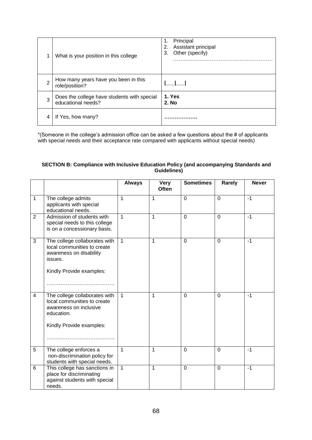|   | What is your position in this college                             | Principal<br>1.<br>Assistant principal<br>2.<br>Other (specify)<br>3. |
|---|-------------------------------------------------------------------|-----------------------------------------------------------------------|
| 2 | How many years have you been in this<br>role/position?            |                                                                       |
| 3 | Does the college have students with special<br>educational needs? | 1. Yes<br>2. No                                                       |
|   | If Yes, how many?                                                 |                                                                       |

\*(Someone in the college's admission office can be asked a few questions about the # of applicants with special needs and their acceptance rate compared with applicants without special needs)

### **SECTION B: Compliance with Inclusive Education Policy (and accompanying Standards and Guidelines)**

|                |                                                                                                      | <b>Always</b> | <b>Very</b><br>Often | <b>Sometimes</b> | Rarely         | <b>Never</b> |
|----------------|------------------------------------------------------------------------------------------------------|---------------|----------------------|------------------|----------------|--------------|
|                |                                                                                                      |               |                      |                  |                |              |
| $\mathbf{1}$   | The college admits<br>applicants with special<br>educational needs.                                  | $\mathbf{1}$  | 1                    | $\Omega$         | $\Omega$       | $-1$         |
| $\overline{2}$ | Admission of students with<br>special needs to this college<br>is on a concessionary basis.          | 1             | 1                    | $\Omega$         | $\overline{0}$ | $-1$         |
| 3              | The college collaborates with<br>local communities to create<br>awareness on disability<br>issues.   | $\mathbf{1}$  | 1                    | $\mathbf 0$      | $\Omega$       | $-1$         |
|                | Kindly Provide examples:                                                                             |               |                      |                  |                |              |
|                |                                                                                                      |               |                      |                  |                |              |
| $\overline{4}$ | The college collaborates with<br>local communities to create<br>awareness on inclusive<br>education. | 1             | 1                    | $\Omega$         | $\Omega$       | $-1$         |
|                | Kindly Provide examples:                                                                             |               |                      |                  |                |              |
|                |                                                                                                      |               |                      |                  |                |              |
| 5              | The college enforces a<br>non-discrimination policy for<br>students with special needs.              | $\mathbf{1}$  | 1                    | $\mathbf 0$      | $\mathbf 0$    | $-1$         |
| $6\phantom{1}$ | This college has sanctions in<br>place for discriminating<br>against students with special<br>needs. | $\mathbf{1}$  | 1                    | $\mathbf 0$      | $\overline{0}$ | $-1$         |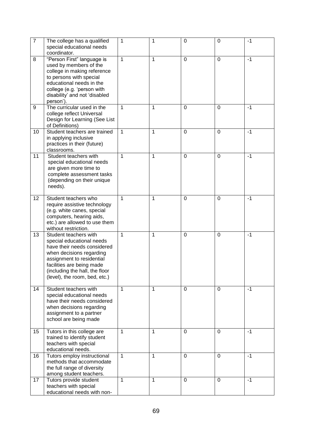| $\overline{7}$ | The college has a qualified<br>special educational needs<br>coordinator.                                                                                                                                                                   | 1            | $\mathbf{1}$ | $\mathbf 0$    | $\mathbf 0$    | $-1$ |
|----------------|--------------------------------------------------------------------------------------------------------------------------------------------------------------------------------------------------------------------------------------------|--------------|--------------|----------------|----------------|------|
| 8              | "Person First" language is<br>used by members of the<br>college in making reference<br>to persons with special<br>educational needs in the<br>college (e.g. 'person with<br>disability' and not 'disabled<br>person').                     | 1            | $\mathbf{1}$ | $\mathbf 0$    | $\mathbf 0$    | $-1$ |
| 9              | The curricular used in the<br>college reflect Universal<br>Design for Learning (See List<br>of Definitions)                                                                                                                                | 1            | $\mathbf{1}$ | $\Omega$       | $\mathbf 0$    | $-1$ |
| 10             | Student teachers are trained<br>in applying inclusive<br>practices in their (future)<br>classrooms.                                                                                                                                        | 1            | $\mathbf{1}$ | $\mathbf 0$    | $\mathbf 0$    | $-1$ |
| 11             | Student teachers with<br>special educational needs<br>are given more time to<br>complete assessment tasks<br>(depending on their unique<br>needs).                                                                                         | 1            | $\mathbf{1}$ | $\overline{0}$ | $\mathbf 0$    | $-1$ |
| 12             | Student teachers who<br>require assistive technology<br>(e.g. white canes, special<br>computers, hearing aids,<br>etc.) are allowed to use them<br>without restriction.                                                                    | 1            | $\mathbf{1}$ | $\overline{0}$ | $\mathbf 0$    | $-1$ |
| 13             | Student teachers with<br>special educational needs<br>have their needs considered<br>when decisions regarding<br>assignment to residential<br>facilities are being made<br>(including the hall, the floor<br>(level), the room, bed, etc.) | 1            | $\mathbf{1}$ | $\mathbf 0$    | $\Omega$       | $-1$ |
| 14             | Student teachers with<br>special educational needs<br>have their needs considered<br>when decisions regarding<br>assignment to a partner<br>school are being made                                                                          | 1            | $\mathbf{1}$ | $\Omega$       | $\mathbf 0$    | $-1$ |
| 15             | Tutors in this college are<br>trained to identify student<br>teachers with special<br>educational needs.                                                                                                                                   | 1            | $\mathbf{1}$ | $\Omega$       | $\mathbf 0$    | $-1$ |
| 16             | Tutors employ instructional<br>methods that accommodate<br>the full range of diversity<br>among student teachers.                                                                                                                          | $\mathbf{1}$ | $\mathbf{1}$ | $\overline{0}$ | $\overline{0}$ | $-1$ |
| 17             | Tutors provide student<br>teachers with special<br>educational needs with non-                                                                                                                                                             | 1            | $\mathbf{1}$ | $\Omega$       | $\Omega$       | $-1$ |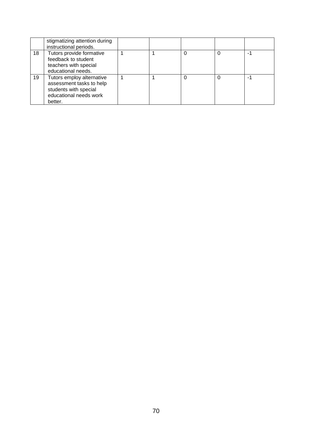|    | stigmatizing attention during<br>instructional periods.                                                             |  |          |  |
|----|---------------------------------------------------------------------------------------------------------------------|--|----------|--|
| 18 | Tutors provide formative<br>feedback to student<br>teachers with special<br>educational needs.                      |  | O        |  |
| 19 | Tutors employ alternative<br>assessment tasks to help<br>students with special<br>educational needs work<br>better. |  | $\theta$ |  |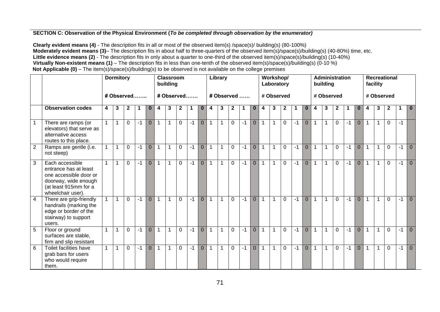# **SECTION C: Observation of the Physical Environment (***To be completed through observation by the enumerator)*

**Clearly evident means (4)** - The description fits in all or most of the observed item(s) /space(s)/ building(s) (80-100%) **Moderately evident means (3)**– The description fits in about half to three-quarters of the observed item(s)/space(s)/building(s) (40-80%) time, etc. Little evidence means (2) - The description fits in only about a quarter to one-third of the observed item(s)/space(s)/building(s) (10-40%) **Virtually Non-existent means (1)** – The description fits in less than one-tenth of the observed item(s)/space(s)/building(s) (0-10 %) **Not Applicable (0)** – The item(s)/space(s)/building(s) to be observed is not available on the college premises

|                 | <b>Dormitory</b>                                                                                                                         |              |                |              | <b>Classroom</b><br>building |                |                |              | Library      |      |                |              | Workshop/<br>Laboratory |                |      | Administration<br>building |              |                |              | <b>Recreational</b><br>facility |                |                |                         |                |      |                |                |                |              |             |              |
|-----------------|------------------------------------------------------------------------------------------------------------------------------------------|--------------|----------------|--------------|------------------------------|----------------|----------------|--------------|--------------|------|----------------|--------------|-------------------------|----------------|------|----------------------------|--------------|----------------|--------------|---------------------------------|----------------|----------------|-------------------------|----------------|------|----------------|----------------|----------------|--------------|-------------|--------------|
|                 |                                                                                                                                          |              |                | # Observed   |                              |                |                |              | # Observed   |      |                |              |                         | # Observed     |      |                            |              | # Observed     |              |                                 |                |                | # Observed              |                |      |                |                |                | # Observed   |             |              |
|                 | <b>Observation codes</b>                                                                                                                 | 4            | 3              | $\mathbf{2}$ | 1                            | $\bf{0}$       | 4              | 3            | $\mathbf{2}$ | 1    | $\bf{0}$       | 4            | $\mathbf{3}$            | $\mathbf{2}$   |      | $\bf{0}$                   | 4            | 3              | $\mathbf{2}$ |                                 | $\bf{0}$       | 4              | 3                       | $\mathbf{2}$   |      | $\bf{0}$       | 4              | 3              | $\mathbf{2}$ | $\mathbf 1$ | $\mathbf{0}$ |
|                 | There are ramps (or<br>elevators) that serve as<br>alternative access<br>routes to this place.                                           |              | $\mathbf{1}$   | $\Omega$     | $-1$                         | $\mathbf{0}$   | $\overline{1}$ | 1            | $\mathbf 0$  | $-1$ | $\mathbf{0}$   | $\mathbf{1}$ | $\mathbf{1}$            | $\mathbf 0$    | $-1$ | $\overline{0}$             | $\mathbf{1}$ | $\overline{1}$ | $\Omega$     | $-1$                            | $\overline{0}$ | $\overline{1}$ | 1                       | $\Omega$       | $-1$ | $\mathbf{0}$   | $\overline{1}$ | $\overline{1}$ | $\mathbf 0$  | $-1$        |              |
| $\overline{2}$  | Ramps are gentle (i.e.<br>not steep)                                                                                                     |              | $\mathbf 1$    | $\Omega$     | $-1$                         | $\overline{0}$ | $\overline{1}$ | 1            | $\mathbf 0$  | $-1$ | $\overline{0}$ | $\mathbf{1}$ | $\mathbf 1$             | $\overline{0}$ | $-1$ | $\overline{0}$             | $\mathbf{1}$ | $\mathbf{1}$   | $\mathbf 0$  | $-1$ .                          | $\Omega$       | $\mathbf{1}$   | 1                       | $\Omega$       | -1   | $\Omega$       | $\overline{1}$ |                | $\Omega$     |             | $-1$ 0       |
| 3               | Each accessible<br>entrance has at least<br>one accessible door or<br>doorway, wide enough<br>(at least 915mm for a<br>wheelchair user). |              | $\overline{1}$ | $\mathbf 0$  | $-1$                         | $\overline{0}$ | $\overline{1}$ | 1            | $\mathbf 0$  | $-1$ | $\overline{0}$ | $\mathbf{1}$ | $\mathbf{1}$            | $\mathbf 0$    | $-1$ | $\mathbf{0}$               | $\mathbf{1}$ | $\mathbf{1}$   | $\Omega$     | $-1$                            | $\overline{0}$ | $\overline{1}$ | $\overline{\mathbf{1}}$ | $\Omega$       | -1   | $\mathbf{0}$   | 1              |                | $\Omega$     |             | $-1$ 0       |
| $\overline{4}$  | There are grip-friendly<br>handrails (marking the<br>edge or border of the<br>stairway) to support<br>users.                             |              |                | $\Omega$     | $-1$                         | $\overline{0}$ | $\mathbf 1$    | 1            | $\mathbf 0$  | $-1$ | $\overline{0}$ | $\mathbf{1}$ | $\mathbf 1$             | $\overline{0}$ | $-1$ | $\mathbf{0}$               | $\mathbf{1}$ | $\mathbf{1}$   | $\mathbf 0$  | $-1$                            | $\overline{0}$ | $\mathbf{1}$   | 1                       | $\Omega$       | -1   | $\mathbf{0}$   | 1              |                | $\Omega$     |             | $-1$ 0       |
| $5\overline{)}$ | Floor or ground<br>surfaces are stable,<br>firm and slip resistant                                                                       |              | $\mathbf{1}$   | $\mathbf 0$  | $-1$                         | $\mathbf{0}$   | $\mathbf{1}$   | 1            | $\mathbf 0$  | $-1$ | $\mathbf{0}$   | $\mathbf{1}$ | $\mathbf{1}$            | $\mathbf 0$    | $-1$ | $\overline{0}$             | $\mathbf{1}$ | $\mathbf{1}$   | $\mathbf 0$  | $-1$                            | $\overline{0}$ | $\mathbf{1}$   | $\mathbf 1$             | $\Omega$       | $-1$ | $\overline{0}$ | $\overline{1}$ | $\overline{1}$ | $\mathbf 0$  |             | $-1$ 0       |
| 6               | Toilet facilities have<br>grab bars for users<br>who would require<br>them.                                                              | $\mathbf{1}$ | $\mathbf{1}$   | $\mathbf 0$  | $-1$                         | $\overline{0}$ | $\overline{1}$ | $\mathbf{1}$ | $\mathbf 0$  | $-1$ | $\mathbf{0}$   | $\mathbf{1}$ | $\mathbf{1}$            | $\overline{0}$ | $-1$ | $\overline{0}$             | $\mathbf{1}$ | $\mathbf{1}$   | $\mathbf 0$  | $-1$                            | $\overline{0}$ | $\overline{1}$ | $\mathbf{1}$            | $\overline{0}$ | $-1$ | $\Omega$       | $\overline{1}$ | $\overline{1}$ | $\mathbf 0$  |             | $-1$ 0       |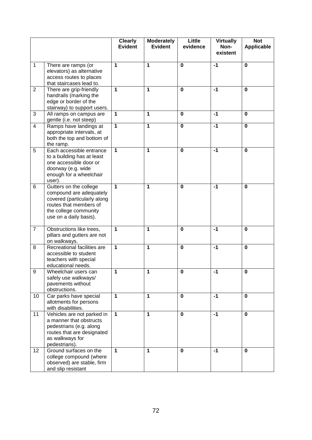|                |                                                                                                                                                               | <b>Clearly</b><br><b>Evident</b> | <b>Moderately</b><br><b>Evident</b> | Little<br>evidence      | <b>Virtually</b><br>Non-<br>existent | <b>Not</b><br><b>Applicable</b> |
|----------------|---------------------------------------------------------------------------------------------------------------------------------------------------------------|----------------------------------|-------------------------------------|-------------------------|--------------------------------------|---------------------------------|
| 1              | There are ramps (or<br>elevators) as alternative<br>access routes to places<br>that staircases lead to.                                                       | $\mathbf{1}$                     | $\mathbf{1}$                        | $\mathbf 0$             | $-1$                                 | $\mathbf 0$                     |
| $\overline{2}$ | There are grip-friendly<br>handrails (marking the<br>edge or border of the<br>stairway) to support users.                                                     | 1                                | 1                                   | $\mathbf 0$             | $-1$                                 | $\mathbf 0$                     |
| 3              | All ramps on campus are<br>gentle (i.e. not steep)                                                                                                            | 1                                | $\mathbf 1$                         | $\mathbf 0$             | $-1$                                 | $\mathbf 0$                     |
| 4              | Ramps have landings at<br>appropriate intervals, at<br>both the top and bottom of<br>the ramp.                                                                | 1                                | 1                                   | $\mathbf 0$             | $-1$                                 | $\mathbf 0$                     |
| 5              | Each accessible entrance<br>to a building has at least<br>one accessible door or<br>doorway (e.g. wide<br>enough for a wheelchair<br>user).                   | $\mathbf{1}$                     | 1                                   | $\bf{0}$                | $-1$                                 | $\mathbf 0$                     |
| 6              | Gutters on the college<br>compound are adequately<br>covered (particularly along<br>routes that members of<br>the college community<br>use on a daily basis). | 1                                | 1                                   | $\bf{0}$                | $-1$                                 | $\bf{0}$                        |
| $\overline{7}$ | Obstructions like trees,<br>pillars and gutters are not<br>on walkways.                                                                                       | 1                                | 1                                   | $\bf{0}$                | $-1$                                 | $\mathbf 0$                     |
| 8              | Recreational facilities are<br>accessible to student<br>teachers with special<br>educational needs.                                                           | $\mathbf{1}$                     | 1                                   | $\bf{0}$                | $-1$                                 | $\mathbf 0$                     |
| 9              | Wheelchair users can<br>safely use walkways/<br>pavements without<br>obstructions.                                                                            | 1                                | $\blacktriangleleft$                | $\overline{\mathbf{0}}$ | $-1$                                 | $\overline{\mathbf{0}}$         |
| 10             | Car parks have special<br>allotments for persons<br>with disabilities.                                                                                        | $\mathbf{1}$                     | $\mathbf{1}$                        | $\mathbf 0$             | $-1$                                 | $\mathbf 0$                     |
| 11             | Vehicles are not parked in<br>a manner that obstructs<br>pedestrians (e.g. along<br>routes that are designated<br>as walkways for<br>pedestrians).            | $\mathbf{1}$                     | $\mathbf{1}$                        | $\mathbf 0$             | $-1$                                 | $\mathbf 0$                     |
| 12             | Ground surfaces on the<br>college compound (where<br>observed) are stable, firm<br>and slip resistant                                                         | $\mathbf{1}$                     | 1                                   | $\mathbf 0$             | $-1$                                 | $\mathbf 0$                     |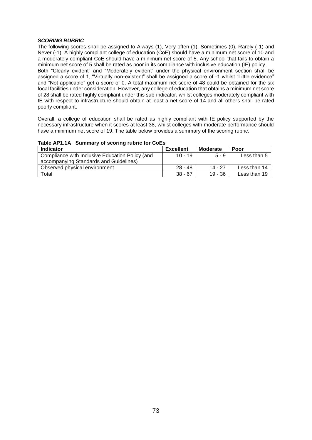## *SCORING RUBRIC*

The following scores shall be assigned to Always (1), Very often (1), Sometimes (0), Rarely (-1) and Never (-1). A highly compliant college of education (CoE) should have a minimum net score of 10 and a moderately compliant CoE should have a minimum net score of 5. Any school that fails to obtain a minimum net score of 5 shall be rated as poor in its compliance with inclusive education (IE) policy. Both "Clearly evident" and "Moderately evident" under the physical environment section shall be assigned a score of 1, "Virtually non-existent" shall be assigned a score of -1 whilst "Little evidence" and "Not applicable" get a score of 0. A total maximum net score of 48 could be obtained for the six focal facilities under consideration. However, any college of education that obtains a minimum net score of 28 shall be rated highly compliant under this sub-indicator, whilst colleges moderately compliant with IE with respect to infrastructure should obtain at least a net score of 14 and all others shall be rated poorly compliant.

Overall, a college of education shall be rated as highly compliant with IE policy supported by the necessary infrastructure when it scores at least 38, whilst colleges with moderate performance should have a minimum net score of 19. The table below provides a summary of the scoring rubric.

| <b>Indicator</b>                                | <b>Excellent</b> | Moderate  | Poor         |
|-------------------------------------------------|------------------|-----------|--------------|
| Compliance with Inclusive Education Policy (and | $10 - 19$        | $5 - 9$   | Less than 5  |
| accompanying Standards and Guidelines)          | $28 - 48$        | 14 - 27   |              |
| Observed physical environment                   |                  |           | Less than 14 |
| Total                                           | $38 - 67$        | $19 - 36$ | Less than 19 |

### **Table AP1.1A Summary of scoring rubric for CoEs**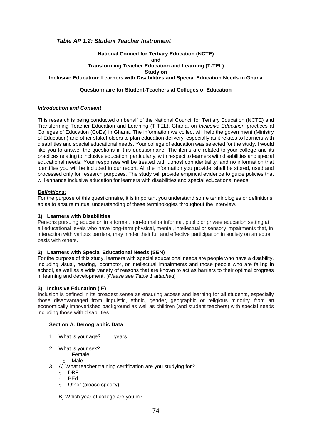# *Table AP 1.2: Student Teacher Instrument*

# **National Council for Tertiary Education (NCTE) and Transforming Teacher Education and Learning (T-TEL) Study on Inclusive Education: Learners with Disabilities and Special Education Needs in Ghana**

# **Questionnaire for Student-Teachers at Colleges of Education**

### *Introduction and Consent*

This research is being conducted on behalf of the National Council for Tertiary Education (NCTE) and Transforming Teacher Education and Learning (T-TEL), Ghana, on *Inclusive Education* practices at Colleges of Education (CoEs) in Ghana. The information we collect will help the government (Ministry of Education) and other stakeholders to plan education delivery, especially as it relates to learners with disabilities and special educational needs. Your college of education was selected for the study. I would like you to answer the questions in this questionnaire. The items are related to your college and its practices relating to inclusive education, particularly, with respect to learners with disabilities and special educational needs. Your responses will be treated with utmost confidentiality, and no information that identifies you will be included in our report. All the information you provide, shall be stored, used and processed only for research purposes. The study will provide empirical evidence to guide policies that will enhance inclusive education for learners with disabilities and special educational needs.

### *Definitions:*

For the purpose of this questionnaire, it is important you understand some terminologies or definitions so as to ensure mutual understanding of these terminologies throughout the interview.

### **1) Learners with Disabilities**

Persons pursuing education in a formal, non-formal or informal, public or private education setting at all educational levels who have long-term physical, mental, intellectual or sensory impairments that, in interaction with various barriers, may hinder their full and effective participation in society on an equal basis with others.

#### **2) Learners with Special Educational Needs (SEN)**

For the purpose of this study, learners with special educational needs are people who have a disability, including visual, hearing, locomotor, or intellectual impairments and those people who are failing in school, as well as a wide variety of reasons that are known to act as barriers to their optimal progress in learning and development. [*Please see Table 1 attached*]

# **3) Inclusive Education (IE)**

Inclusion is defined in its broadest sense as ensuring access and learning for all students, especially those disadvantaged from linguistic, ethnic, gender, geographic or religious minority, from an economically impoverished background as well as children (and student teachers) with special needs including those with disabilities.

#### **Section A: Demographic Data**

- 1. What is your age? …… years
- 2. What is your sex?
	- o Female
	- o Male
- 3. A) What teacher training certification are you studying for?
	- o DBE
	- o BEd
	- o Other (please specify) ……………..
	- B) Which year of college are you in?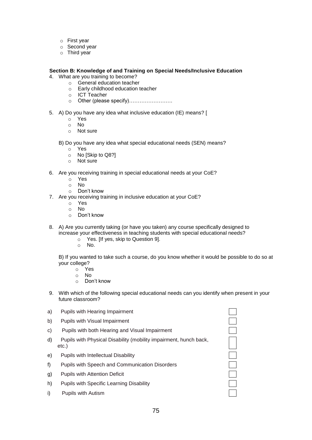- o First year
- o Second year
- o Third year

## **Section B: Knowledge of and Training on Special Needs/Inclusive Education**

- 4. What are you training to become?
	- o General education teacher
	- o Early childhood education teacher
	- o ICT Teacher
	- o Other (please specify)…………………….
- 5. A) Do you have any idea what inclusive education (IE) means? [
	- o Yes
	- o No
	- o Not sure
	- B) Do you have any idea what special educational needs (SEN) means?
		- o Yes
		- o No [Skip to Q8?]
		- o Not sure
- 6. Are you receiving training in special educational needs at your CoE?
	- o Yes
	- o No
	- o Don't know
- 7. Are you receiving training in inclusive education at your CoE?
	- o Yes
	- o No
	- o Don't know
- 8. A) Are you currently taking (or have you taken) any course specifically designed to increase your effectiveness in teaching students with special educational needs?
	- o Yes. [If yes, skip to Question 9].
	- o No.

B) If you wanted to take such a course, do you know whether it would be possible to do so at your college?

- o Yes
- o No
- o Don't know
- 9. With which of the following special educational needs can you identify when present in your future classroom?
- a) Pupils with Hearing Impairment b) Pupils with Visual Impairment c) Pupils with both Hearing and Visual Impairment d) Pupils with Physical Disability (mobility impairment, hunch back, etc.) e) Pupils with Intellectual Disability f) Pupils with Speech and Communication Disorders g) Pupils with Attention Deficit h) Pupils with Specific Learning Disability i) Pupils with Autism

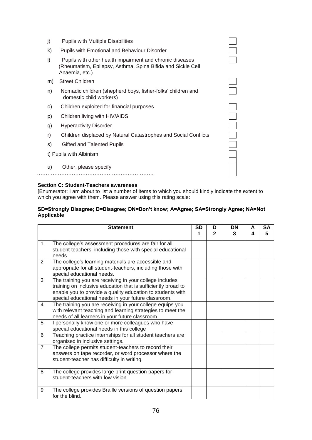| j) | <b>Pupils with Multiple Disabilities</b>                                                                                                  |  |
|----|-------------------------------------------------------------------------------------------------------------------------------------------|--|
| k) | Pupils with Emotional and Behaviour Disorder                                                                                              |  |
| I) | Pupils with other health impairment and chronic diseases<br>(Rheumatism, Epilepsy, Asthma, Spina Bifida and Sickle Cell<br>Anaemia, etc.) |  |
| m) | <b>Street Children</b>                                                                                                                    |  |
| n) | Nomadic children (shepherd boys, fisher-folks' children and<br>domestic child workers)                                                    |  |
| O) | Children exploited for financial purposes                                                                                                 |  |
| p) | Children living with HIV/AIDS                                                                                                             |  |
| q) | <b>Hyperactivity Disorder</b>                                                                                                             |  |
| r) | Children displaced by Natural Catastrophes and Social Conflicts                                                                           |  |
| s) | Gifted and Talented Pupils                                                                                                                |  |
|    | t) Pupils with Albinism                                                                                                                   |  |
| u) | Other, please specify                                                                                                                     |  |

## **Section C: Student-Teachers awareness**

[Enumerator: I am about to list a number of items to which you should kindly indicate the extent to which you agree with them. Please answer using this rating scale:

# **SD=Strongly Disagree; D=Disagree; DN=Don't know; A=Agree; SA=Strongly Agree; NA=Not Applicable**

|                | <b>Statement</b>                                                                                                                                                                                                                              | <b>SD</b> | D<br>$\mathbf{2}$ | <b>DN</b><br>3 | A<br>4 | <b>SA</b><br>5 |
|----------------|-----------------------------------------------------------------------------------------------------------------------------------------------------------------------------------------------------------------------------------------------|-----------|-------------------|----------------|--------|----------------|
| $\mathbf 1$    | The college's assessment procedures are fair for all<br>student teachers, including those with special educational<br>needs.                                                                                                                  |           |                   |                |        |                |
| $\overline{2}$ | The college's learning materials are accessible and<br>appropriate for all student-teachers, including those with<br>special educational needs.                                                                                               |           |                   |                |        |                |
| 3              | The training you are receiving in your college includes<br>training on inclusive education that is sufficiently broad to<br>enable you to provide a quality education to students with<br>special educational needs in your future classroom. |           |                   |                |        |                |
| 4              | The training you are receiving in your college equips you<br>with relevant teaching and learning strategies to meet the<br>needs of all learners in your future classroom.                                                                    |           |                   |                |        |                |
| 5              | I personally know one or more colleagues who have<br>special educational needs in this college                                                                                                                                                |           |                   |                |        |                |
| 6              | Teaching practice internships for all student teachers are<br>organised in inclusive settings.                                                                                                                                                |           |                   |                |        |                |
| $\overline{7}$ | The college permits student-teachers to record their<br>answers on tape recorder, or word processor where the<br>student-teacher has difficulty in writing.                                                                                   |           |                   |                |        |                |
| 8              | The college provides large print question papers for<br>student-teachers with low vision.                                                                                                                                                     |           |                   |                |        |                |
| 9              | The college provides Braille versions of question papers<br>for the blind.                                                                                                                                                                    |           |                   |                |        |                |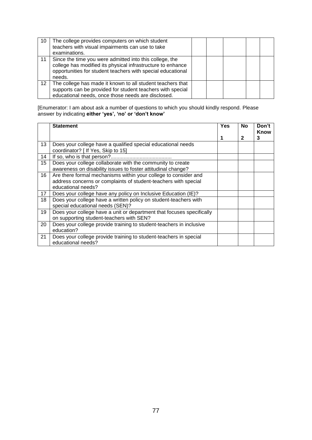| 10 | The college provides computers on which student<br>teachers with visual impairments can use to take<br>examinations.                                                                            |  |  |  |
|----|-------------------------------------------------------------------------------------------------------------------------------------------------------------------------------------------------|--|--|--|
| 11 | Since the time you were admitted into this college, the<br>college has modified its physical infrastructure to enhance<br>opportunities for student teachers with special educational<br>needs. |  |  |  |
| 12 | The college has made it known to all student teachers that<br>supports can be provided for student teachers with special<br>educational needs, once those needs are disclosed.                  |  |  |  |

[Enumerator: I am about ask a number of questions to which you should kindly respond. Please answer by indicating **either 'yes', 'no' or 'don't know'** 

|    | <b>Statement</b>                                                      | Yes | <b>No</b> | Don't<br>Know |
|----|-----------------------------------------------------------------------|-----|-----------|---------------|
|    |                                                                       | 1   | 2         | 3             |
| 13 | Does your college have a qualified special educational needs          |     |           |               |
|    | coordinator? [ If Yes, Skip to 15]                                    |     |           |               |
| 14 |                                                                       |     |           |               |
| 15 | Does your college collaborate with the community to create            |     |           |               |
|    | awareness on disability issues to foster attitudinal change?          |     |           |               |
| 16 | Are there formal mechanisms within your college to consider and       |     |           |               |
|    | address concerns or complaints of student-teachers with special       |     |           |               |
|    | educational needs?                                                    |     |           |               |
| 17 | Does your college have any policy on Inclusive Education (IE)?        |     |           |               |
| 18 | Does your college have a written policy on student-teachers with      |     |           |               |
|    | special educational needs (SEN)?                                      |     |           |               |
| 19 | Does your college have a unit or department that focuses specifically |     |           |               |
|    | on supporting student-teachers with SEN?                              |     |           |               |
| 20 | Does your college provide training to student-teachers in inclusive   |     |           |               |
|    | education?                                                            |     |           |               |
| 21 | Does your college provide training to student-teachers in special     |     |           |               |
|    | educational needs?                                                    |     |           |               |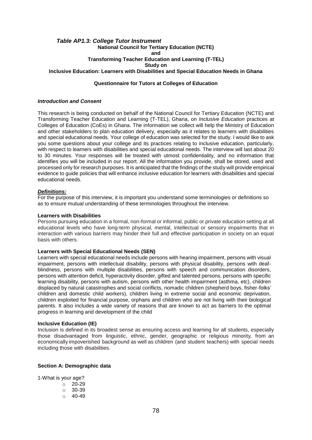# *Table AP1.3: College Tutor Instrument* **National Council for Tertiary Education (NCTE) and Transforming Teacher Education and Learning (T-TEL) Study on Inclusive Education: Learners with Disabilities and Special Education Needs in Ghana**

# **Questionnaire for Tutors at Colleges of Education**

#### *Introduction and Consent*

This research is being conducted on behalf of the National Council for Tertiary Education (NCTE) and Transforming Teacher Education and Learning (T-TEL), Ghana, on *Inclusive Education* practices at Colleges of Education (CoEs) in Ghana. The information we collect will help the Ministry of Education and other stakeholders to plan education delivery, especially as it relates to learners with disabilities and special educational needs. Your college of education was selected for the study. I would like to ask you some questions about your college and its practices relating to inclusive education, particularly, with respect to learners with disabilities and special educational needs. The interview will last about 20 to 30 minutes. Your responses will be treated with utmost confidentiality, and no information that identifies you will be included in our report. All the information you provide, shall be stored, used and processed only for research purposes. It is anticipated that the findings of the study will provide empirical evidence to guide policies that will enhance inclusive education for learners with disabilities and special educational needs.

#### *Definitions:*

For the purpose of this interview, it is important you understand some terminologies or definitions so as to ensure mutual understanding of these terminologies throughout the interview.

#### **Learners with Disabilities**

Persons pursuing education in a formal, non-formal or informal, public or private education setting at all educational levels who have long-term physical, mental, intellectual or sensory impairments that in interaction with various barriers may hinder their full and effective participation in society on an equal basis with others.

#### **Learners with Special Educational Needs (SEN)**

Learners with special educational needs include persons with hearing impairment, persons with visual impairment, persons with intellectual disability, persons with physical disability, persons with deafblindness, persons with multiple disabilities, persons with speech and communication disorders, persons with attention deficit, hyperactivity disorder, gifted and talented persons, persons with specific learning disability, persons with autism, persons with other health impairment (asthma, etc), children displaced by natural catastrophes and social conflicts, nomadic children (shepherd boys, fisher-folks' children and domestic child workers), children living in extreme social and economic deprivation, children exploited for financial purpose, orphans and children who are not living with their biological parents. It also includes a wide variety of reasons that are known to act as barriers to the optimal progress in learning and development of the child

#### **Inclusive Education (IE)**

Inclusion is defined in its broadest sense as ensuring access and learning for all students, especially those disadvantaged from linguistic, ethnic, gender, geographic or religious minority, from an economically impoverished background as well as children (and student teachers) with special needs including those with disabilities.

#### **Section A: Demographic data**

1-What is your age?

- o 20-29
- o 30-39
- $\circ$  40-49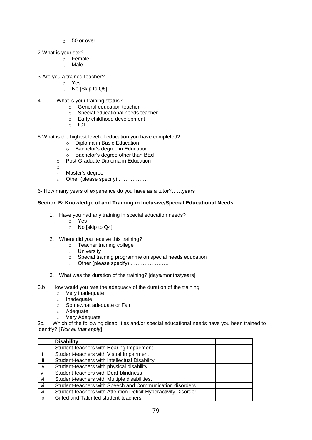- o 50 or over
- 2-What is your sex?
	- o Female
	- o Male

3-Are you a trained teacher?

- o Yes
- o No [Skip to Q5]
- 4 What is your training status?
	- o General education teacher
	- o Special educational needs teacher
	- o Early childhood development
	- o ICT

5-What is the highest level of education you have completed?

- o Diploma in Basic Education<br>
o Bachelor's degree in Educat
- 
- Bachelor's degree in Education<br>○ Bachelor's degree other than BE Bachelor's degree other than BEd
- o Post-Graduate Diploma in Education
- o
- o Master's degree
- $\circ$  Other (please specify) .................

6- How many years of experience do you have as a tutor?……years

# **Section B: Knowledge of and Training in Inclusive/Special Educational Needs**

- 1. Have you had any training in special education needs?
	- o Yes
	- o No [skip to Q4]
- 2. Where did you receive this training?
	- o Teacher training college
	- o University
	- o Special training programme on special needs education
	- o Other (please specify) ………………….
- 3. What was the duration of the training? [days/months/years]
- 3.b How would you rate the adequacy of the duration of the training
	- o Very inadequate
	- o Inadequate
	- o Somewhat adequate or Fair
	- o Adequate
	- o Very Adequate

3c. Which of the following disabilities and/or special educational needs have you been trained to identify? [*Tick all that apply*]

|              | <b>Disability</b>                                              |  |
|--------------|----------------------------------------------------------------|--|
|              | Student-teachers with Hearing Impairment                       |  |
| ji           | Student-teachers with Visual Impairment                        |  |
| iii          | Student-teachers with Intellectual Disability                  |  |
| iv           | Student-teachers with physical disability                      |  |
| $\mathsf{V}$ | Student-teachers with Deaf-blindness                           |  |
| vi           | Student-teachers with Multiple disabilities.                   |  |
| vii          | Student-teachers with Speech and Communication disorders       |  |
| viii         | Student-teachers with Attention Deficit Hyperactivity Disorder |  |
| iх           | Gifted and Talented student-teachers                           |  |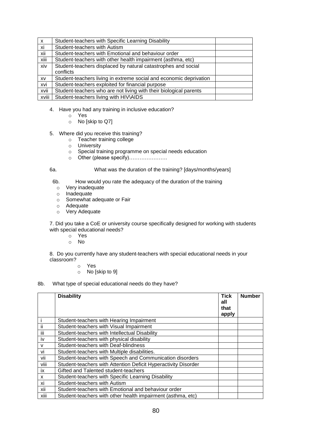| $\mathsf{x}$ | Student-teachers with Specific Learning Disability                 |  |
|--------------|--------------------------------------------------------------------|--|
| xi           | Student-teachers with Autism                                       |  |
| xii          | Student-teachers with Emotional and behaviour order                |  |
| xiii         | Student-teachers with other health impairment (asthma, etc)        |  |
| xiv          | Student-teachers displaced by natural catastrophes and social      |  |
|              | conflicts                                                          |  |
| XV           | Student-teachers living in extreme social and economic deprivation |  |
| xvi          | Student-teachers exploited for financial purpose                   |  |
| xvii         | Student-teachers who are not living with their biological parents  |  |
| xviii        | Student-teachers living with HIV\AIDS                              |  |

- 4. Have you had any training in inclusive education?
	- o Yes
	- o No [skip to Q7]
- 5. Where did you receive this training?
	- o Teacher training college
	- o University
	- o Special training programme on special needs education
	- o Other (please specify)………………….

6a. What was the duration of the training? [days/months/years]

6b. How would you rate the adequacy of the duration of the training

- o Very inadequate
- o Inadequate
- o Somewhat adequate or Fair
- o Adequate
- o Very Adequate

7. Did you take a CoE or university course specifically designed for working with students with special educational needs?

- o Yes
- o No

8. Do you currently have any student-teachers with special educational needs in your classroom?

- o Yes
- o No [skip to 9]
- 8b. What type of special educational needs do they have?

|                           | <b>Disability</b>                                              | <b>Tick</b><br>all<br>that<br>apply | <b>Number</b> |
|---------------------------|----------------------------------------------------------------|-------------------------------------|---------------|
|                           | Student-teachers with Hearing Impairment                       |                                     |               |
| ji                        | Student-teachers with Visual Impairment                        |                                     |               |
| iii                       | Student-teachers with Intellectual Disability                  |                                     |               |
| iv                        | Student-teachers with physical disability                      |                                     |               |
| v                         | Student-teachers with Deaf-blindness                           |                                     |               |
| vi                        | Student-teachers with Multiple disabilities.                   |                                     |               |
| vii                       | Student-teachers with Speech and Communication disorders       |                                     |               |
| viii                      | Student-teachers with Attention Deficit Hyperactivity Disorder |                                     |               |
| iх                        | Gifted and Talented student-teachers                           |                                     |               |
| $\boldsymbol{\mathsf{x}}$ | Student-teachers with Specific Learning Disability             |                                     |               |
| xi                        | Student-teachers with Autism                                   |                                     |               |
| XII                       | Student-teachers with Emotional and behaviour order            |                                     |               |
| xiii                      | Student-teachers with other health impairment (asthma, etc)    |                                     |               |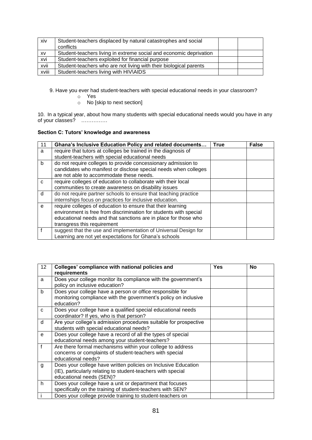| xiv       | Student-teachers displaced by natural catastrophes and social      |  |
|-----------|--------------------------------------------------------------------|--|
|           | conflicts                                                          |  |
| <b>XV</b> | Student-teachers living in extreme social and economic deprivation |  |
| xvi       | Student-teachers exploited for financial purpose                   |  |
| xvii      | Student-teachers who are not living with their biological parents  |  |
| xviii     | Student-teachers living with HIV\AIDS                              |  |

9. Have you ever had student-teachers with special educational needs in your classroom?

- o Yes
- o No [skip to next section]

10. In a typical year, about how many students with special educational needs would you have in any of your classes? ……………

# **Section C: Tutors' knowledge and awareness**

| 11           | Ghana's Inclusive Education Policy and related documents          | <b>True</b> | <b>False</b> |
|--------------|-------------------------------------------------------------------|-------------|--------------|
| a            | require that tutors at colleges be trained in the diagnosis of    |             |              |
|              | student-teachers with special educational needs                   |             |              |
| $\mathsf{h}$ | do not require colleges to provide concessionary admission to     |             |              |
|              | candidates who manifest or disclose special needs when colleges   |             |              |
|              | are not able to accommodate these needs.                          |             |              |
| $\mathsf{C}$ | require colleges of education to collaborate with their local     |             |              |
|              | communities to create awareness on disability issues              |             |              |
| d            | do not require partner schools to ensure that teaching practice   |             |              |
|              | internships focus on practices for inclusive education.           |             |              |
| e            | require colleges of education to ensure that their learning       |             |              |
|              | environment is free from discrimination for students with special |             |              |
|              | educational needs and that sanctions are in place for those who   |             |              |
|              | transgress this requirement                                       |             |              |
|              | suggest that the use and implementation of Universal Design for   |             |              |
|              | Learning are not yet expectations for Ghana's schools             |             |              |

| 12           | Colleges' compliance with national policies and                                                          | <b>Yes</b> | No |
|--------------|----------------------------------------------------------------------------------------------------------|------------|----|
|              | requirements                                                                                             |            |    |
| a            | Does your college monitor its compliance with the government's                                           |            |    |
|              | policy on inclusive education?                                                                           |            |    |
| b            | Does your college have a person or office responsible for                                                |            |    |
|              | monitoring compliance with the government's policy on inclusive                                          |            |    |
|              | education?                                                                                               |            |    |
| C            | Does your college have a qualified special educational needs<br>coordinator? If yes, who is that person? |            |    |
| <sub>d</sub> | Are your college's admission procedures suitable for prospective                                         |            |    |
|              | students with special educational needs?                                                                 |            |    |
| e            | Does your college have a record of all the types of special                                              |            |    |
|              | educational needs among your student-teachers?                                                           |            |    |
| f            | Are there formal mechanisms within your college to address                                               |            |    |
|              | concerns or complaints of student-teachers with special                                                  |            |    |
|              | educational needs?                                                                                       |            |    |
| g            | Does your college have written policies on Inclusive Education                                           |            |    |
|              | (IE), particularly relating to student-teachers with special                                             |            |    |
|              | educational needs (SEN)?                                                                                 |            |    |
| h.           | Does your college have a unit or department that focuses                                                 |            |    |
|              | specifically on the training of student-teachers with SEN?                                               |            |    |
|              | Does your college provide training to student-teachers on                                                |            |    |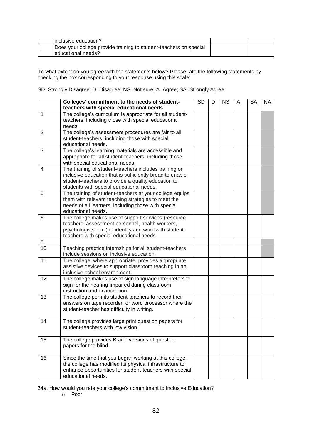| inclusive education?                                              |  |
|-------------------------------------------------------------------|--|
| Does your college provide training to student-teachers on special |  |
| educational needs?                                                |  |

To what extent do you agree with the statements below? Please rate the following statements by checking the box corresponding to your response using this scale:

SD=Strongly Disagree; D=Disagree; NS=Not sure; A=Agree; SA=Strongly Agree

|                | Colleges' commitment to the needs of student-                                                                 | <b>SD</b> | D | <b>NS</b> | Α | <b>SA</b> | <b>NA</b> |
|----------------|---------------------------------------------------------------------------------------------------------------|-----------|---|-----------|---|-----------|-----------|
|                | teachers with special educational needs                                                                       |           |   |           |   |           |           |
| $\mathbf{1}$   | The college's curriculum is appropriate for all student-                                                      |           |   |           |   |           |           |
|                | teachers, including those with special educational                                                            |           |   |           |   |           |           |
|                | needs.                                                                                                        |           |   |           |   |           |           |
| $\overline{2}$ | The college's assessment procedures are fair to all                                                           |           |   |           |   |           |           |
|                | student-teachers, including those with special                                                                |           |   |           |   |           |           |
|                | educational needs.                                                                                            |           |   |           |   |           |           |
| 3              | The college's learning materials are accessible and                                                           |           |   |           |   |           |           |
|                | appropriate for all student-teachers, including those                                                         |           |   |           |   |           |           |
|                | with special educational needs.                                                                               |           |   |           |   |           |           |
| 4              | The training of student-teachers includes training on                                                         |           |   |           |   |           |           |
|                | inclusive education that is sufficiently broad to enable                                                      |           |   |           |   |           |           |
|                | student-teachers to provide a quality education to                                                            |           |   |           |   |           |           |
|                | students with special educational needs.                                                                      |           |   |           |   |           |           |
| 5              | The training of student-teachers at your college equips                                                       |           |   |           |   |           |           |
|                | them with relevant teaching strategies to meet the                                                            |           |   |           |   |           |           |
|                | needs of all learners, including those with special                                                           |           |   |           |   |           |           |
|                | educational needs.                                                                                            |           |   |           |   |           |           |
| 6              | The college makes use of support services (resource                                                           |           |   |           |   |           |           |
|                | teachers, assessment personnel, health workers,                                                               |           |   |           |   |           |           |
|                | psychologists, etc.) to identify and work with student-                                                       |           |   |           |   |           |           |
|                | teachers with special educational needs.                                                                      |           |   |           |   |           |           |
| 9<br>10        |                                                                                                               |           |   |           |   |           |           |
|                | Teaching practice internships for all student-teachers<br>include sessions on inclusive education.            |           |   |           |   |           |           |
| 11             |                                                                                                               |           |   |           |   |           |           |
|                | The college, where appropriate, provides appropriate<br>assistive devices to support classroom teaching in an |           |   |           |   |           |           |
|                | inclusive school environment.                                                                                 |           |   |           |   |           |           |
| 12             | The college makes use of sign language interpreters to                                                        |           |   |           |   |           |           |
|                | sign for the hearing-impaired during classroom                                                                |           |   |           |   |           |           |
|                | instruction and examination.                                                                                  |           |   |           |   |           |           |
| 13             | The college permits student-teachers to record their                                                          |           |   |           |   |           |           |
|                | answers on tape recorder, or word processor where the                                                         |           |   |           |   |           |           |
|                | student-teacher has difficulty in writing.                                                                    |           |   |           |   |           |           |
|                |                                                                                                               |           |   |           |   |           |           |
| 14             | The college provides large print question papers for                                                          |           |   |           |   |           |           |
|                | student-teachers with low vision.                                                                             |           |   |           |   |           |           |
|                |                                                                                                               |           |   |           |   |           |           |
| 15             | The college provides Braille versions of question                                                             |           |   |           |   |           |           |
|                | papers for the blind.                                                                                         |           |   |           |   |           |           |
|                |                                                                                                               |           |   |           |   |           |           |
| 16             | Since the time that you began working at this college,                                                        |           |   |           |   |           |           |
|                | the college has modified its physical infrastructure to                                                       |           |   |           |   |           |           |
|                | enhance opportunities for student-teachers with special                                                       |           |   |           |   |           |           |
|                | educational needs.                                                                                            |           |   |           |   |           |           |

34a. How would you rate your college's commitment to Inclusive Education?

o Poor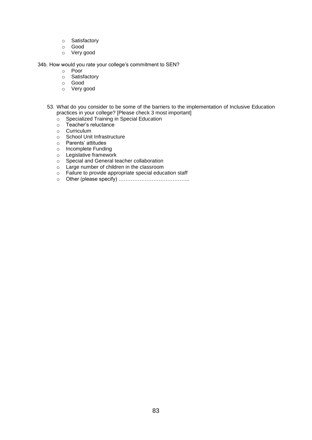- o Satisfactory
- o Good
- o Very good

34b. How would you rate your college's commitment to SEN?

- o Poor
- o Satisfactory
- o Good
- o Very good
- 53. What do you consider to be some of the barriers to the implementation of Inclusive Education practices in your college? [Please check 3 most important]
	- o Specialized Training in Special Education
	- o Teacher's reluctance
	- o Curriculum
	- o School Unit Infrastructure
	- o Parents' attitudes
	- o Incomplete Funding
	-
	- **Information**<br>
	 Legislative framework<br>
	 Special and General te
	- Large number of children in the classroom
	- ⊙ Special and General teacher collaboration<br>
	 Large number of children in the classroom<br>
	 Failure to provide appropriate special educ Failure to provide appropriate special education staff
	- o Other (please specify) …………………………………..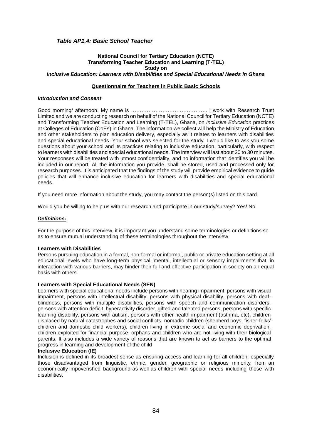# *Table AP1.4: Basic School Teacher*

# **National Council for Tertiary Education (NCTE) Transforming Teacher Education and Learning (T-TEL) Study on** *Inclusive Education: Learners with Disabilities and Special Educational Needs in Ghana*

# **Questionnaire for Teachers in Public Basic Schools**

#### *Introduction and Consent*

Good morning/ afternoon. My name is …………………………………….. I work with Research Trust Limited and we are conducting research on behalf of the National Council for Tertiary Education (NCTE) and Transforming Teacher Education and Learning (T-TEL), Ghana, on *Inclusive Education* practices at Colleges of Education (CoEs) in Ghana. The information we collect will help the Ministry of Education and other stakeholders to plan education delivery, especially as it relates to learners with disabilities and special educational needs. Your school was selected for the study. I would like to ask you some questions about your school and its practices relating to inclusive education, particularly, with respect to learners with disabilities and special educational needs. The interview will last about 20 to 30 minutes. Your responses will be treated with utmost confidentiality, and no information that identifies you will be included in our report. All the information you provide, shall be stored, used and processed only for research purposes. It is anticipated that the findings of the study will provide empirical evidence to guide policies that will enhance inclusive education for learners with disabilities and special educational needs.

If you need more information about the study, you may contact the person(s) listed on this card.

Would you be willing to help us with our research and participate in our study/survey? Yes/ No.

#### *Definitions:*

For the purpose of this interview, it is important you understand some terminologies or definitions so as to ensure mutual understanding of these terminologies throughout the interview.

#### **Learners with Disabilities**

Persons pursuing education in a formal, non-formal or informal, public or private education setting at all educational levels who have long-term physical, mental, intellectual or sensory impairments that, in interaction with various barriers, may hinder their full and effective participation in society on an equal basis with others.

#### **Learners with Special Educational Needs (SEN)**

Learners with special educational needs include persons with hearing impairment, persons with visual impairment, persons with intellectual disability, persons with physical disability, persons with deafblindness, persons with multiple disabilities, persons with speech and communication disorders, persons with attention deficit, hyperactivity disorder, gifted and talented persons, persons with specific learning disability, persons with autism, persons with other health impairment (asthma, etc), children displaced by natural catastrophes and social conflicts, nomadic children (shepherd boys, fisher-folks' children and domestic child workers), children living in extreme social and economic deprivation, children exploited for financial purpose, orphans and children who are not living with their biological parents. It also includes a wide variety of reasons that are known to act as barriers to the optimal progress in learning and development of the child

#### **Inclusive Education (IE)**

Inclusion is defined in its broadest sense as ensuring access and learning for all children: especially those disadvantaged from linguistic, ethnic, gender, geographic or religious minority, from an economically impoverished background as well as children with special needs including those with disabilities.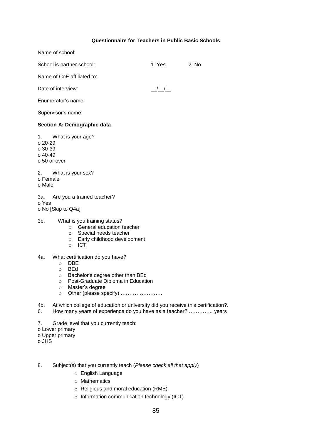# **Questionnaire for Teachers in Public Basic Schools**

|                                       | Name of school:                                                                                                                                                                                                                                |                   |       |
|---------------------------------------|------------------------------------------------------------------------------------------------------------------------------------------------------------------------------------------------------------------------------------------------|-------------------|-------|
|                                       | School is partner school:                                                                                                                                                                                                                      | 1. Yes            | 2. No |
|                                       | Name of CoE affiliated to:                                                                                                                                                                                                                     |                   |       |
|                                       | Date of interview:                                                                                                                                                                                                                             | $\frac{\mu}{\mu}$ |       |
|                                       | Enumerator's name:                                                                                                                                                                                                                             |                   |       |
|                                       | Supervisor's name:                                                                                                                                                                                                                             |                   |       |
|                                       | Section A: Demographic data                                                                                                                                                                                                                    |                   |       |
| 1.<br>$020-29$<br>$030-39$<br>o 40-49 | What is your age?<br>o 50 or over                                                                                                                                                                                                              |                   |       |
| 2.<br>o Female<br>o Male              | What is your sex?                                                                                                                                                                                                                              |                   |       |
| 3а.<br>o Yes                          | Are you a trained teacher?<br>o No [Skip to Q4a]                                                                                                                                                                                               |                   |       |
| 3b.                                   | What is you training status?<br>General education teacher<br>$\circ$<br>○ Special needs teacher<br>o Early childhood development<br><b>ICT</b><br>$\circ$                                                                                      |                   |       |
| 4a.                                   | What certification do you have?<br><b>DBE</b><br>$\circ$<br><b>BEd</b><br>$\circ$<br>Bachelor's degree other than BEd<br>O<br>Post-Graduate Diploma in Education<br>$\circ$<br>Master's degree<br>$\circ$<br>Other (please specify)<br>$\circ$ |                   |       |
| 4b.<br>6.                             | At which college of education or university did you receive this certification?.<br>How many years of experience do you have as a teacher?  years                                                                                              |                   |       |
| 7.                                    | Grade level that you currently teach:<br>o Lower primary                                                                                                                                                                                       |                   |       |

- o Upper primary o JHS
- 
- 8. Subject(s) that you currently teach (*Please check all that apply*)
	- o English Language
	- o Mathematics
	- o Religious and moral education (RME)
	- o Information communication technology (ICT)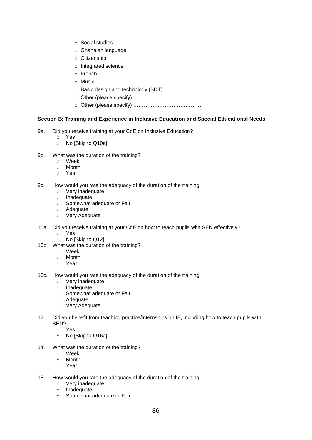- o Social studies
- o Ghanaian language
- o Citizenship
- o Integrated science
- o French
- o Music
- o Basic design and technology (BDT)
- o Other (please specify) …………………………………
- o Other (please specify) …………………………………

# **Section B: Training and Experience in Inclusive Education and Special Educational Needs**

- 9a. Did you receive training at your CoE on Inclusive Education?
	- o Yes
	- o No [Skip to Q10a]
- 9b. What was the duration of the training?
	- o Week
	- o Month
	- o Year
- 9c. How would you rate the adequacy of the duration of the training
	- o Very inadequate
	- o Inadequate
	- o Somewhat adequate or Fair
	- o Adequate
	- o Very Adequate
- 10a. Did you receive training at your CoE on how to teach pupils with SEN effectively?
	- o Yes
	- o No [Skip to Q12]
- 10b. What was the duration of the training?
	- o Week
	- o Month
	- o Year
- 10c. How would you rate the adequacy of the duration of the training
	- o Very inadequate
	- o Inadequate
	- o Somewhat adequate or Fair
	- o Adequate
	- o Very Adequate
- 12. Did you benefit from teaching practice/internships on IE, including how to teach pupils with SEN?
	- o Yes
	- o No [Skip to Q16a]
- 14. What was the duration of the training?
	- o Week
	- o Month
	- o Year
- 15. How would you rate the adequacy of the duration of the training
	- o Very inadequate<br>
	o Inadequate
	- Inadequate
	- o Somewhat adequate or Fair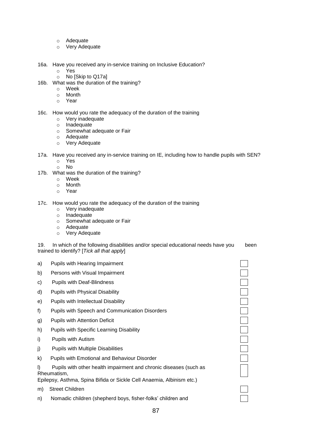- o Adequate
- o Very Adequate
- 16a. Have you received any in-service training on Inclusive Education?
	- o Yes
		- o No [Skip to Q17a]
- 16b. What was the duration of the training?
	- o Week
	- o Month
	- o Year
- 16c. How would you rate the adequacy of the duration of the training
	- o Very inadequate
	- o Inadequate
	- o Somewhat adequate or Fair
	- o Adequate
	- o Very Adequate
- 17a. Have you received any in-service training on IE, including how to handle pupils with SEN?
	- o Yes
	- o No
- 17b. What was the duration of the training?
	- o Week
	- o Month
	- o Year
- 17c. How would you rate the adequacy of the duration of the training
	- o Very inadequate
	- o Inadequate
	- o Somewhat adequate or Fair
	- o Adequate
	- o Very Adequate

19. In which of the following disabilities and/or special educational needs have you been trained to identify? [*Tick all that apply*]

- a) Pupils with Hearing Impairment
- b) Persons with Visual Impairment
- c) Pupils with Deaf-Blindness
- d) Pupils with Physical Disability
- e) Pupils with Intellectual Disability
- f) Pupils with Speech and Communication Disorders
- g) Pupils with Attention Deficit
- h) Pupils with Specific Learning Disability
- i) Pupils with Autism
- j) Pupils with Multiple Disabilities
- k) Pupils with Emotional and Behaviour Disorder

l) Pupils with other health impairment and chronic diseases (such as Rheumatism,

Epilepsy, Asthma, Spina Bifida or Sickle Cell Anaemia, Albinism etc.)

m) Street Children

n) Nomadic children (shepherd boys, fisher-folks' children and

| e you | b) |
|-------|----|
|       |    |
|       |    |
|       |    |
|       |    |
|       |    |
|       |    |
|       |    |
|       |    |
|       |    |
|       |    |
|       |    |
|       |    |
|       |    |
|       |    |
|       |    |
|       |    |
|       |    |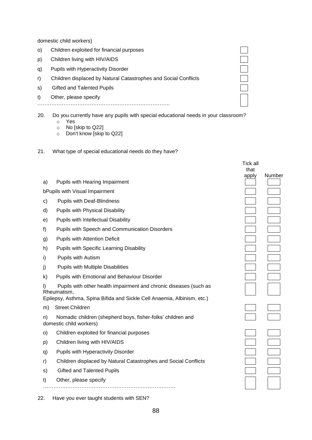domestic child workers)

- o) Children exploited for financial purposes
- p) Children living with HIV/AIDS
- q) Pupils with Hyperactivity Disorder
- r) Children displaced by Natural Catastrophes and Social Conflicts
- s) Gifted and Talented Pupils
- t) Other, please specify
- ………………………………………………………………….

20. Do you currently have any pupils with special educational needs in your classroom?

- o Yes
- o No [skip to Q22]
- o Don't know [skip to Q22]
- 21. What type of special educational needs do they have?
- Tick all that apply Number a) Pupils with Hearing Impairment bPupils with Visual Impairment c) Pupils with Deaf-Blindness d) Pupils with Physical Disability e) Pupils with Intellectual Disability f) Pupils with Speech and Communication Disorders g) Pupils with Attention Deficit h) Pupils with Specific Learning Disability i) Pupils with Autism j) Pupils with Multiple Disabilities k) Pupils with Emotional and Behaviour Disorder l) Pupils with other health impairment and chronic diseases (such as Rheumatism, Epilepsy, Asthma, Spina Bifida and Sickle Cell Anaemia, Albinism, etc.) m) Street Children n) Nomadic children (shepherd boys, fisher-folks' children and domestic child workers) o) Children exploited for financial purposes p) Children living with HIV/AIDS q) Pupils with Hyperactivity Disorder r) Children displaced by Natural Catastrophes and Social Conflicts s) Gifted and Talented Pupils t) Other, please specify

22. Have you ever taught students with SEN?

………………………………………………………………….

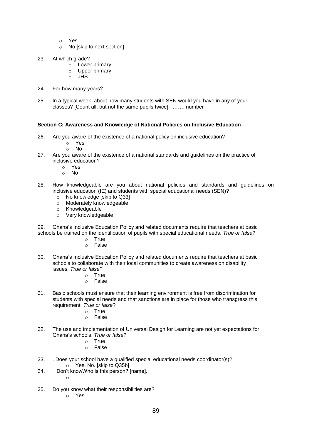- o Yes
- o No [skip to next section]
- 23. At which grade?
	- o Lower primary
	- o Upper primary
	- o JHS
- 24. For how many years? …….
- 25. In a typical week, about how many students with SEN would you have in any of your classes? [Count all, but not the same pupils twice]. ……. number

### **Section C: Awareness and Knowledge of National Policies on Inclusive Education**

- 26. Are you aware of the existence of a national policy on inclusive education?
	- o Yes
	- o No
- 27. Are you aware of the existence of a national standards and guidelines on the practice of inclusive education?
	- o Yes
	- o No
- 28. How knowledgeable are you about national policies and standards and guidelines on inclusive education (IE) and students with special educational needs (SEN)?
	- o No knowledge [skip to Q33]
	- o Moderately knowledgeable
	- o Knowledgeable
	- o Very knowledgeable

29. Ghana's Inclusive Education Policy and related documents require that teachers at basic schools be trained on the identification of pupils with special educational needs. *True or false*?

- o True
- o False
- 30. Ghana's Inclusive Education Policy and related documents require that teachers at basic schools to collaborate with their local communities to create awareness on disability issues. *True or false*?
	- o True
	- o False
- 31. Basic schools must ensure that their learning environment is free from discrimination for students with special needs and that sanctions are in place for those who transgress this requirement. *True or false*?
	- o True
	- o False
- 32. The use and implementation of Universal Design for Learning are not yet expectations for Ghana's schools. *True or false*?
	- o True
	- o False
- 33. . Does your school have a qualified special educational needs coordinator(s)? o Yes. No. [skip to Q35b]
- 34. Don't knowWho is this person? [name]. o
- 35. Do you know what their responsibilities are?
	- o Yes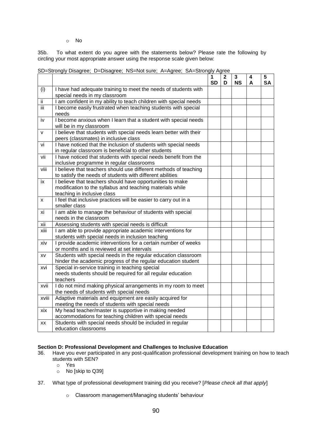o No

35b. To what extent do you agree with the statements below? Please rate the following by circling your most appropriate answer using the response scale given below:

|       |                                                                                                                                                       | $\overline{1}$<br><b>SD</b> | $\mathbf 2$<br>D | 3<br><b>NS</b> | 4<br>A | 5<br><b>SA</b> |
|-------|-------------------------------------------------------------------------------------------------------------------------------------------------------|-----------------------------|------------------|----------------|--------|----------------|
| (i)   | I have had adequate training to meet the needs of students with                                                                                       |                             |                  |                |        |                |
|       | special needs in my classroom                                                                                                                         |                             |                  |                |        |                |
| ii    | I am confident in my ability to teach children with special needs                                                                                     |                             |                  |                |        |                |
| Ϊiί   | I become easily frustrated when teaching students with special<br>needs                                                                               |                             |                  |                |        |                |
| iv    | I become anxious when I learn that a student with special needs<br>will be in my classroom                                                            |                             |                  |                |        |                |
| v     | I believe that students with special needs learn better with their<br>peers (classmates) in inclusive class                                           |                             |                  |                |        |                |
| vi    | I have noticed that the inclusion of students with special needs<br>in regular classroom is beneficial to other students                              |                             |                  |                |        |                |
| vii   | I have noticed that students with special needs benefit from the<br>inclusive programme in regular classrooms                                         |                             |                  |                |        |                |
| viii  | I believe that teachers should use different methods of teaching<br>to satisfy the needs of students with different abilities                         |                             |                  |                |        |                |
| ix    | I believe that teachers should have opportunities to make<br>modification to the syllabus and teaching materials while<br>teaching in inclusive class |                             |                  |                |        |                |
| X     | I feel that inclusive practices will be easier to carry out in a<br>smaller class                                                                     |                             |                  |                |        |                |
| хi    | I am able to manage the behaviour of students with special<br>needs in the classroom                                                                  |                             |                  |                |        |                |
| xii   | Assessing students with special needs is difficult                                                                                                    |                             |                  |                |        |                |
| xiii  | I am able to provide appropriate academic interventions for<br>students with special needs in inclusion teaching                                      |                             |                  |                |        |                |
| xiv   | I provide academic interventions for a certain number of weeks<br>or months and is reviewed at set intervals                                          |                             |                  |                |        |                |
| XV    | Students with special needs in the regular education classroom<br>hinder the academic progress of the regular education student                       |                             |                  |                |        |                |
| xvi   | Special in-service training in teaching special<br>needs students should be required for all regular education<br>teachers                            |                             |                  |                |        |                |
| xvii  | I do not mind making physical arrangements in my room to meet<br>the needs of students with special needs                                             |                             |                  |                |        |                |
| xviii | Adaptive materials and equipment are easily acquired for<br>meeting the needs of students with special needs                                          |                             |                  |                |        |                |
| xix   | My head teacher/master is supportive in making needed<br>accommodations for teaching children with special needs                                      |                             |                  |                |        |                |
| XX    | Students with special needs should be included in regular<br>education classrooms                                                                     |                             |                  |                |        |                |

SD=Strongly Disagree; D=Disagree; NS=Not sure; A=Agree; SA=Strongly Agree

# **Section D: Professional Development and Challenges to Inclusive Education**

- 36. Have you ever participated in any post-qualification professional development training on how to teach students with SEN?
	- o Yes o No [skip to Q39]
- 37. What type of professional development training did you receive? [*Please check all that apply*]
	- o Classroom management/Managing students' behaviour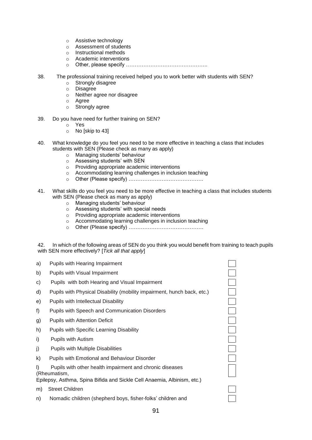- o Assistive technology
- o Assessment of students
- o Instructional methods
- o Academic interventions
- o Other, please specify ………………………………………..
- 38. The professional training received helped you to work better with students with SEN?
	- o Strongly disagree
	- o Disagree
	- o Neither agree nor disagree
	- o Agree
	- o Strongly agree
- 39. Do you have need for further training on SEN?
	- o Yes
	- o No [skip to 43]
- 40. What knowledge do you feel you need to be more effective in teaching a class that includes students with SEN (Please check as many as apply)
	- o Managing students' behaviour
	- o Assessing students' with SEN
	- o Providing appropriate academic interventions
	- o Accommodating learning challenges in inclusion teaching
	- o Other (Please specify) …………………………………….
- 41. What skills do you feel you need to be more effective in teaching a class that includes students with SEN (Please check as many as apply)
	- o Managing students' behaviour
	- o Assessing students' with special needs
	- o Providing appropriate academic interventions
	- o Accommodating learning challenges in inclusion teaching
	- o Other (Please specify) …………………………………….

42. In which of the following areas of SEN do you think you would benefit from training to teach pupils with SEN more effectively? [*Tick all that apply*]

- a) Pupils with Hearing Impairment
- b) Pupils with Visual Impairment
- c) Pupils with both Hearing and Visual Impairment
- d) Pupils with Physical Disability (mobility impairment, hunch back, etc.)
- e) Pupils with Intellectual Disability
- f) Pupils with Speech and Communication Disorders
- g) Pupils with Attention Deficit
- h) Pupils with Specific Learning Disability
- i) Pupils with Autism
- j) Pupils with Multiple Disabilities
- k) Pupils with Emotional and Behaviour Disorder

l) Pupils with other health impairment and chronic diseases

(Rheumatism,

Epilepsy, Asthma, Spina Bifida and Sickle Cell Anaemia, Albinism, etc.)

m) Street Children

n) Nomadic children (shepherd boys, fisher-folks' children and

 $\overline{\mathbb{I}}$  $\Box$  $\overline{\Box}$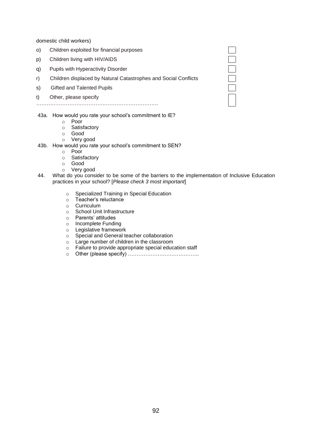domestic child workers)

- o) Children exploited for financial purposes
- p) Children living with HIV/AIDS
- q) Pupils with Hyperactivity Disorder
- r) Children displaced by Natural Catastrophes and Social Conflicts
- s) Gifted and Talented Pupils
- t) Other, please specify
- …………………………………………………………………
- 43a. How would you rate your school's commitment to IE?
	- o Poor
	- o Satisfactory
	- o Good
	- o Very good
- 43b. How would you rate your school's commitment to SEN?
	- o Poor
	- o Satisfactory
	- o Good
	- o Very good
- 44. What do you consider to be some of the barriers to the implementation of Inclusive Education practices in your school? [*Please check 3 most important*]
	- o Specialized Training in Special Education
	- o Teacher's reluctance
	- o Curriculum
	- o School Unit Infrastructure
	- o Parents' attitudes
	- o Incomplete Funding
	- o Legislative framework
	- o Special and General teacher collaboration
	- o Large number of children in the classroom
	- o Failure to provide appropriate special education staff
	- o Other (please specify) …………………………………..

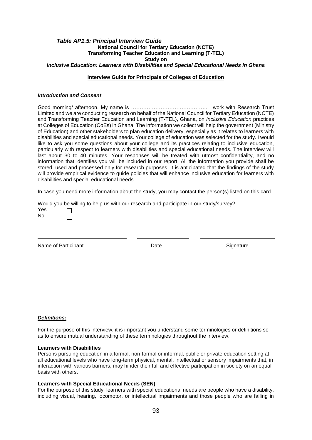#### *Table AP1.5: Principal Interview Guide* **National Council for Tertiary Education (NCTE) Transforming Teacher Education and Learning (T-TEL) Study on** *Inclusive Education: Learners with Disabilities and Special Educational Needs in Ghana*

### **Interview Guide for Principals of Colleges of Education**

#### *Introduction and Consent*

Good morning/ afternoon. My name is …………………………………….. I work with Research Trust Limited and we are conducting research on behalf of the National Council for Tertiary Education (NCTE) and Transforming Teacher Education and Learning (T-TEL), Ghana, on *Inclusive Education* practices at Colleges of Education (CoEs) in Ghana. The information we collect will help the government (Ministry of Education) and other stakeholders to plan education delivery, especially as it relates to learners with disabilities and special educational needs. Your college of education was selected for the study. I would like to ask you some questions about your college and its practices relating to inclusive education, particularly with respect to learners with disabilities and special educational needs. The interview will last about 30 to 40 minutes. Your responses will be treated with utmost confidentiality, and no information that identifies you will be included in our report. All the information you provide shall be stored, used and processed only for research purposes. It is anticipated that the findings of the study will provide empirical evidence to guide policies that will enhance inclusive education for learners with disabilities and special educational needs.

In case you need more information about the study, you may contact the person(s) listed on this card.

Would you be willing to help us with our research and participate in our study/survey? Yes No П

Name of Participant Date Signature

#### *Definitions:*

For the purpose of this interview, it is important you understand some terminologies or definitions so as to ensure mutual understanding of these terminologies throughout the interview.

#### **Learners with Disabilities**

Persons pursuing education in a formal, non-formal or informal, public or private education setting at all educational levels who have long-term physical, mental, intellectual or sensory impairments that, in interaction with various barriers, may hinder their full and effective participation in society on an equal basis with others.

#### **Learners with Special Educational Needs (SEN)**

For the purpose of this study, learners with special educational needs are people who have a disability, including visual, hearing, locomotor, or intellectual impairments and those people who are failing in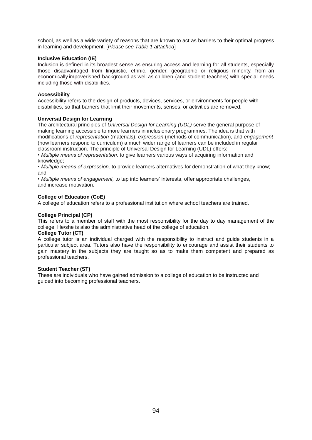school, as well as a wide variety of reasons that are known to act as barriers to their optimal progress in learning and development. [*Please see Table 1 attached*]

## **Inclusive Education (IE)**

Inclusion is defined in its broadest sense as ensuring access and learning for all students, especially those disadvantaged from linguistic, ethnic, gender, geographic or religious minority, from an economically impoverished background as well as children (and student teachers) with special needs including those with disabilities.

### **Accessibility**

Accessibility refers to the design of products, devices, services, or environments for people with disabilities, so that barriers that limit their movements, senses, or activities are removed.

### **Universal Design for Learning**

The architectural principles of *Universal Design for Learning (UDL)* serve the general purpose of making learning accessible to more learners in inclusionary programmes. The idea is that with modifications of *representation* (materials), *expression* (methods of communication), and *engagement* (how learners respond to curriculum) a much wider range of learners can be included in regular classroom instruction. The principle of Universal Design for Learning (UDL) offers:

*• Multiple means of representation,* to give learners various ways of acquiring information and knowledge;

*• Multiple means of expression,* to provide learners alternatives for demonstration of what they know; and

*• Multiple means of engagement,* to tap into learners' interests, offer appropriate challenges, and increase motivation.

# **College of Education (CoE)**

A college of education refers to a professional institution where school teachers are trained.

### **College Principal (CP)**

This refers to a member of staff with the most responsibility for the day to day management of the college. He/she is also the administrative head of the college of education.

### **College Tutor (CT)**

A college tutor is an individual charged with the responsibility to instruct and guide students in a particular subject area. Tutors also have the responsibility to encourage and assist their students to gain mastery in the subjects they are taught so as to make them competent and prepared as professional teachers.

#### **Student Teacher (ST)**

These are individuals who have gained admission to a college of education to be instructed and guided into becoming professional teachers.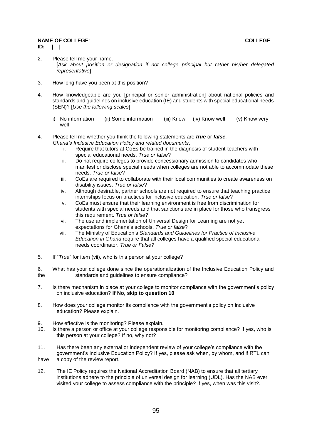|     | <b>COLLEGE</b> |
|-----|----------------|
| ID: |                |

- 2. Please tell me your name. [*Ask about position or designation if not college principal but rather his/her delegated representative*]
- 3. How long have you been at this position?
- 4. How knowledgeable are you [principal or senior administration] about national policies and standards and guidelines on inclusive education (IE) and students with special educational needs (SEN)? [*Use the following scales*]
	- i) No information (ii) Some information (iii) Know (iv) Know well (v) Know very well
- 4. Please tell me whether you think the following statements are *true* or *false*. *Ghana's Inclusive Education Policy and related documents*,
	- i. Require that tutors at CoEs be trained in the diagnosis of student-teachers with special educational needs. *True or false*?
	- ii. Do not require colleges to provide concessionary admission to candidates who manifest or disclose special needs when colleges are not able to accommodate these needs. *True or false*?
	- iii. CoEs are required to collaborate with their local communities to create awareness on disability issues. *True or false*?
	- iv. Although desirable, partner schools are not required to ensure that teaching practice internships focus on practices for inclusive education. *True or false*?
	- v. CoEs must ensure that their learning environment is free from discrimination for students with special needs and that sanctions are in place for those who transgress this requirement. *True or false*?
	- vi. The use and implementation of Universal Design for Learning are not yet expectations for Ghana's schools. *True or false*?
	- vii. The Ministry of Education's *Standards and Guidelines for Practice of Inclusive Education in Ghana* require that all colleges have a qualified special educational needs coordinator. *True or False?*
- 5. If "*True*" for item (vii), who is this person at your college?

6. What has your college done since the operationalization of the Inclusive Education Policy and the standards and guidelines to ensure compliance?

- 7. Is there mechanism in place at your college to monitor compliance with the government's policy on inclusive education? **If No, skip to question 10**
- 8. How does your college monitor its compliance with the government's policy on inclusive education? Please explain.
- 9. How effective is the monitoring? Please explain.
- 10. Is there a person or office at your college responsible for monitoring compliance? If yes, who is this person at your college? If no, why not?
- 11. Has there been any external or independent review of your college's compliance with the government's Inclusive Education Policy? If yes, please ask when, by whom, and if RTL can
- have a copy of the review report.
- 12. The IE Policy requires the National Accreditation Board (NAB) to ensure that all tertiary institutions adhere to the principle of universal design for learning (UDL). Has the NAB ever visited your college to assess compliance with the principle? If yes, when was this visit?.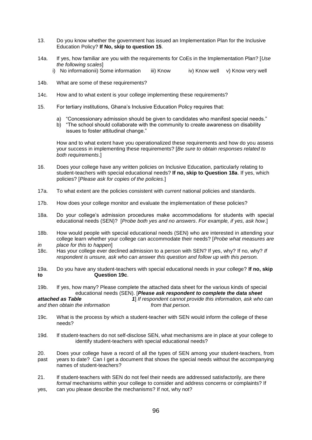- 13. Do you know whether the government has issued an Implementation Plan for the Inclusive Education Policy? **If No, skip to question 15**.
- 14a. If yes, how familiar are you with the requirements for CoEs in the Implementation Plan? [*Use the following scales*]
	- i) No informationii) Some information iii) Know iv) Know well v) Know very well
- 14b. What are some of these requirements?
- 14c. How and to what extent is your college implementing these requirements?
- 15. For tertiary institutions, Ghana's Inclusive Education Policy requires that:
	- a) "Concessionary admission should be given to candidates who manifest special needs."
	- b) "The school should collaborate with the community to create awareness on disability issues to foster attitudinal change."

How and to what extent have you operationalized these requirements and how do you assess your success in implementing these requirements? [*Be sure to obtain responses related to both requirements*.]

- 16. Does your college have any written policies on Inclusive Education, particularly relating to student-teachers with special educational needs? **If no, skip to Question 18a**. If yes, which policies? [*Please ask for copies of the policies*.]
- 17a. To what extent are the policies consistent with *current* national policies and standards.
- 17b. How does your college monitor and evaluate the implementation of these policies?
- 18a. Do your college's admission procedures make accommodations for students with special educational needs (SEN)? [*Probe both yes and no answers*. *For example, if yes, ask how*.]
- 18b. How would people with special educational needs (SEN) who are interested in attending your college learn whether your college can accommodate their needs? [*Probe what measures are in place for this to happen*]
- 18c. Has your college ever declined admission to a person with SEN? If yes, why? If no, why? *If respondent is unsure, ask who can answer this question and follow up with this person.*

19a. Do you have any student-teachers with special educational needs in your college? **If no, skip to Question 19c**.

19b. If yes, how many? Please complete the attached data sheet for the various kinds of special educational needs (SEN). [*Please ask respondent to complete the data sheet attached as Table 1*] *If respondent cannot provide this information, ask who can* 

and then obtain the information **from** that person.

- 19c. What is the process by which a student-teacher with SEN would inform the college of these needs?
- 19d. If student-teachers do not self-disclose SEN, what mechanisms are in place at your college to identify student-teachers with special educational needs?
- 20. Does your college have a record of all the types of SEN among your student-teachers, from past years to date? Can I get a document that shows the special needs without the accompanying names of student-teachers?
- 21. If student-teachers with SEN do not feel their needs are addressed satisfactorily, are there *formal* mechanisms within your college to consider and address concerns or complaints? If yes, can you please describe the mechanisms? If not, why not?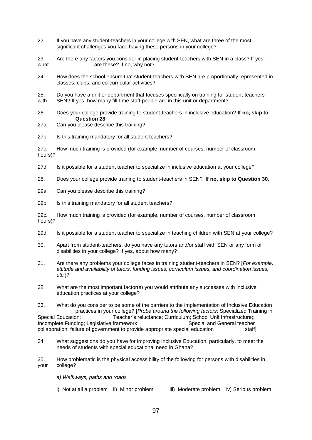- 22. If you have any student-teachers in your college with SEN, what are three of the most significant challenges you face having these persons in your college?
- 23. Are there any factors you consider in placing student-teachers with SEN in a class? If yes, what are these? If no, why not?
- 24. How does the school ensure that student-teachers with SEN are proportionally represented in classes, clubs, and co-curricular activities?
- 25. Do you have a unit or department that focuses specifically on training for student-teachers with SEN? If yes, how many fill-time staff people are in this unit or department?
- 26. Does your college provide training to student-teachers in inclusive education? **If no, skip to Question 28**.
- 27a. Can you please describe this training?
- 27b. Is this training mandatory for all student teachers?

27c. How much training is provided (for example, number of courses, number of classroom hours)?

- 27d. Is it possible for a student teacher to specialize in inclusive education at your college?
- 28. Does your college provide training to student-teachers in SEN? **If no, skip to Question 30**.
- 29a. Can you please describe this training?
- 29b. Is this training mandatory for all student teachers?

29c. How much training is provided (for example, number of courses, number of classroom hours)?

- 29d. Is it possible for a student teacher to specialize in teaching children with SEN at your college?
- 30. Apart from student-teachers, do you have any tutors and/or staff with SEN or any form of disabilities in your college? If yes, about how many?
- 31. Are there any problems your college faces in training student-teachers in SEN? [*For example, attitude and availability of tutors, funding issues, curriculum issues, and coordination issues, etc.*]?
- 32. What are the most important factor(s) you would attribute any successes with inclusive education practices at your college?

33. What do you consider to be some of the barriers to the implementation of Inclusive Education practices in your college? [*Probe around the following factors*: Specialized Training in Special Education; Teacher's reluctance; Curriculum; School Unit Infrastructure;;<br>Incomplete Funding; Legislative framework; Special and General teacher Incomplete Funding; Legislative framework; collaboration; failure of government to provide appropriate special education staff]

- 34. What suggestions do you have for improving Inclusive Education, particularly, to meet the needs of students with special educational need in Ghana?
- 35. How problematic is the physical accessibility of the following for persons with disabilities in your college?
	- *a) Walkways, paths and roads*
	- i) Not at all a problem ii) Minor problem iii) Moderate problem iv) Serious problem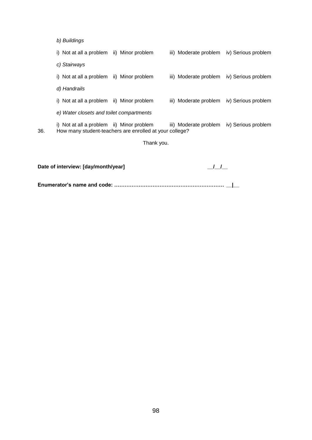*b) Buildings*  i) Not at all a problem ii) Minor problem iii) Moderate problem iv) Serious problem *c) Stairways*  i) Not at all a problem ii) Minor problem iii) Moderate problem iv) Serious problem *d) Handrails*  i) Not at all a problem ii) Minor problem iii) Moderate problem iv) Serious problem *e) Water closets and toilet compartments*  i) Not at all a problem ii) Minor problem iii) Moderate problem iv) Serious problem 36. How many student-teachers are enrolled at your college? Thank you.

Date of interview: [day/month/year] **Date of interview: [day/month/year]** 

**Enumerator's name and code: ……………………………………………………… \_\_|\_\_**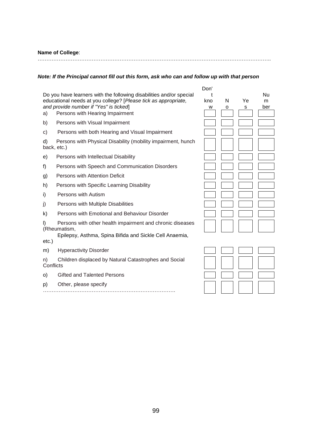**Name of College**:

### *Note: If the Principal cannot fill out this form, ask who can and follow up with that person*

……………………………………………………………………………………………………………………..

|                                                                                                         | Don'     |
|---------------------------------------------------------------------------------------------------------|----------|
| Do you have learners with the following disabilities and/or special                                     |          |
| educational needs at you college? [Please tick as appropriate,<br>and provide number if "Yes" is ticked | kno<br>w |
| a)<br>Persons with Hearing Impairment                                                                   |          |
| Persons with Visual Impairment<br>b)                                                                    |          |
| Persons with both Hearing and Visual Impairment<br>C)                                                   |          |
| d)<br>Persons with Physical Disability (mobility impairment, hunch<br>back, etc.)                       |          |
| Persons with Intellectual Disability<br>e)                                                              |          |
| Persons with Speech and Communication Disorders<br>f)                                                   |          |
| Persons with Attention Deficit<br>g)                                                                    |          |
| h)<br>Persons with Specific Learning Disability                                                         |          |
| Persons with Autism<br>i)                                                                               |          |
| Persons with Multiple Disabilities<br>j)                                                                |          |
| k)<br>Persons with Emotional and Behaviour Disorder                                                     |          |
| Persons with other health impairment and chronic diseases<br>I)<br>(Rheumatism,                         |          |
| Epilepsy, Asthma, Spina Bifida and Sickle Cell Anaemia,                                                 |          |
| $etc.$ )                                                                                                |          |
| <b>Hyperactivity Disorder</b><br>m)                                                                     |          |
| Children displaced by Natural Catastrophes and Social<br>n)<br>Conflicts                                |          |
| Gifted and Talented Persons<br>$\circ)$                                                                 |          |
| Other, please specify<br>p)                                                                             |          |
|                                                                                                         |          |

| on' |              |    |     |
|-----|--------------|----|-----|
| t   |              |    | Nu  |
| no) | N            | Ye | m   |
| W   | $\mathsf{o}$ | S  | ber |
|     |              |    |     |
|     |              |    |     |
|     |              |    |     |
|     |              |    |     |
|     |              |    |     |
|     |              |    |     |
|     |              |    |     |
|     |              |    |     |
|     |              |    |     |
|     |              |    |     |
|     |              |    |     |
|     |              |    |     |
|     |              |    |     |
|     |              |    |     |
|     |              |    |     |
|     |              |    |     |
|     |              |    |     |
|     |              |    |     |
|     |              |    |     |
|     |              |    |     |
|     |              |    |     |
|     |              |    |     |
|     |              |    |     |
|     |              |    |     |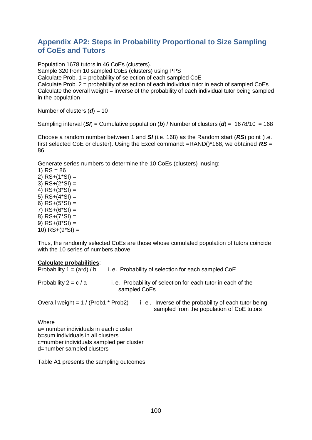## **Appendix AP2: Steps in Probability Proportional to Size Sampling of CoEs and Tutors**

Population 1678 tutors in 46 CoEs (clusters). Sample 320 from 10 sampled CoEs (clusters) using PPS Calculate Prob. 1 = probability of selection of each sampled CoE Calculate Prob. 2 = probability of selection of each individual tutor in each of sampled CoEs Calculate the overall weight = inverse of the probability of each individual tutor being sampled in the population

Number of clusters (*d*) = 10

Sampling interval (*SI*) = Cumulative population (*b*) / Number of clusters (*d*) = 1678/10 = 168

Choose a random number between 1 and *SI* (i.e. 168) as the Random start (*RS*) point (i.e. first selected CoE or cluster). Using the Excel command: =RAND()\*168, we obtained *RS* = 86

Generate series numbers to determine the 10 CoEs (clusters) inusing:

1)  $RS = 86$ 2) RS+(1\*SI) = 3) RS+(2\*SI) = 4)  $RS+(3*S)$  = 5)  $RS+(4*SI) =$ 6) RS+(5\*SI) = 7)  $RS+(6*SI) =$ 8)  $RS+(7*S) =$ 9) RS+(8\*SI) = 10)  $RS+(9*SI) =$ 

Thus, the randomly selected CoEs are those whose cumulated population of tutors coincide with the 10 series of numbers above.

#### **Calculate probabilities**:

| Probability $1 = (a^*d) / b$           | i.e. Probability of selection for each sampled CoE |                                                                                                  |
|----------------------------------------|----------------------------------------------------|--------------------------------------------------------------------------------------------------|
| Probability $2 = c/a$                  |                                                    | i.e. Probability of selection for each tutor in each of the<br>sampled CoEs                      |
| Overall weight = $1 / (Prob1 * Prob2)$ |                                                    | i.e. Inverse of the probability of each tutor being<br>sampled from the population of CoE tutors |

**Where** a= number individuals in each cluster b=sum individuals in all clusters c=number individuals sampled per cluster d=number sampled clusters

Table A1 presents the sampling outcomes.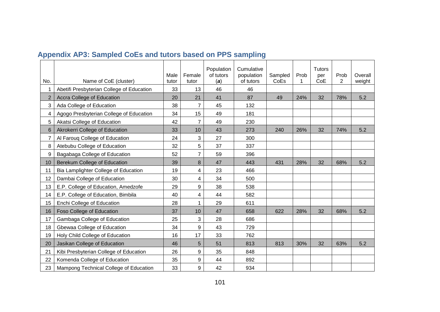| <b>Appendix AP3: Sampled CoEs and tutors based on PPS sampling</b> |  |  |  |  |  |  |  |  |  |  |
|--------------------------------------------------------------------|--|--|--|--|--|--|--|--|--|--|
|--------------------------------------------------------------------|--|--|--|--|--|--|--|--|--|--|

| No.             | Name of CoE (cluster)                     | Male<br>tutor | Female<br>tutor | Population<br>of tutors<br>(a) | Cumulative<br>population<br>of tutors | Sampled<br>CoEs | Prob | <b>Tutors</b><br>per<br>CoE | Prob<br>2 | Overall<br>weight |
|-----------------|-------------------------------------------|---------------|-----------------|--------------------------------|---------------------------------------|-----------------|------|-----------------------------|-----------|-------------------|
| 1               | Abetifi Presbyterian College of Education | 33            | 13              | 46                             | 46                                    |                 |      |                             |           |                   |
| $\overline{2}$  | Accra College of Education                | 20            | 21              | 41                             | 87                                    | 49              | 24%  | 32                          | 78%       | 5.2               |
| 3               | Ada College of Education                  | 38            | $\overline{7}$  | 45                             | 132                                   |                 |      |                             |           |                   |
| 4               | Agogo Presbyterian College of Education   | 34            | 15              | 49                             | 181                                   |                 |      |                             |           |                   |
| 5               | Akatsi College of Education               | 42            | $\overline{7}$  | 49                             | 230                                   |                 |      |                             |           |                   |
| 6               | Akrokerri College of Education            | 33            | 10              | 43                             | 273                                   | 240             | 26%  | 32                          | 74%       | 5.2               |
| 7               | Al Farouq College of Education            | 24            | 3               | 27                             | 300                                   |                 |      |                             |           |                   |
| 8               | Atebubu College of Education              | 32            | 5               | 37                             | 337                                   |                 |      |                             |           |                   |
| 9               | Bagabaga College of Education             | 52            | $\overline{7}$  | 59                             | 396                                   |                 |      |                             |           |                   |
| 10 <sup>1</sup> | Berekum College of Education              | 39            | 8               | 47                             | 443                                   | 431             | 28%  | 32                          | 68%       | 5.2               |
| 11              | Bia Lamplighter College of Education      | 19            | 4               | 23                             | 466                                   |                 |      |                             |           |                   |
| 12              | Dambai College of Education               | 30            | 4               | 34                             | 500                                   |                 |      |                             |           |                   |
| 13              | E.P. College of Education, Amedzofe       | 29            | 9               | 38                             | 538                                   |                 |      |                             |           |                   |
| 14              | E.P. College of Education, Bimbila        | 40            | 4               | 44                             | 582                                   |                 |      |                             |           |                   |
| 15              | Enchi College of Education                | 28            | 1               | 29                             | 611                                   |                 |      |                             |           |                   |
| 16              | Foso College of Education                 | 37            | 10              | 47                             | 658                                   | 622             | 28%  | 32                          | 68%       | 5.2               |
| 17              | Gambaga College of Education              | 25            | 3               | 28                             | 686                                   |                 |      |                             |           |                   |
| 18              | Gbewaa College of Education               | 34            | 9               | 43                             | 729                                   |                 |      |                             |           |                   |
| 19              | Holy Child College of Education           | 16            | 17              | 33                             | 762                                   |                 |      |                             |           |                   |
| 20              | Jasikan College of Education              | 46            | 5               | 51                             | 813                                   | 813             | 30%  | 32                          | 63%       | 5.2               |
| 21              | Kibi Presbyterian College of Education    | 26            | 9               | 35                             | 848                                   |                 |      |                             |           |                   |
| 22              | Komenda College of Education              | 35            | 9               | 44                             | 892                                   |                 |      |                             |           |                   |
| 23              | Mampong Technical College of Education    | 33            | 9               | 42                             | 934                                   |                 |      |                             |           |                   |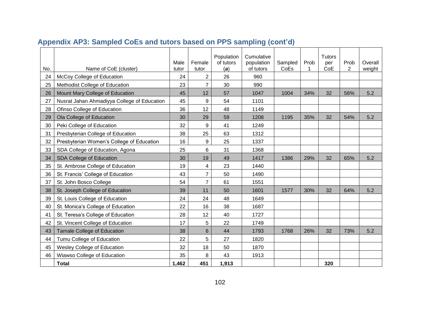|     |                                             | Male  | Female         | Population<br>of tutors | Cumulative<br>population | Sampled | Prob | <b>Tutors</b><br>per | Prob | Overall |
|-----|---------------------------------------------|-------|----------------|-------------------------|--------------------------|---------|------|----------------------|------|---------|
| No. | Name of CoE (cluster)                       | tutor | tutor          | (a)                     | of tutors                | CoEs    |      | CoE                  | 2    | weight  |
| 24  | McCoy College of Education                  | 24    | $\overline{2}$ | 26                      | 960                      |         |      |                      |      |         |
| 25  | Methodist College of Education              | 23    | $\overline{7}$ | 30                      | 990                      |         |      |                      |      |         |
| 26  | Mount Mary College of Education             | 45    | 12             | 57                      | 1047                     | 1004    | 34%  | 32                   | 56%  | 5.2     |
| 27  | Nusrat Jahan Ahmadiyya College of Education | 45    | 9              | 54                      | 1101                     |         |      |                      |      |         |
| 28  | Ofinso College of Education                 | 36    | 12             | 48                      | 1149                     |         |      |                      |      |         |
| 29  | Ola College of Education                    | 30    | 29             | 59                      | 1208                     | 1195    | 35%  | 32                   | 54%  | 5.2     |
| 30  | Peki College of Education                   | 32    | 9              | 41                      | 1249                     |         |      |                      |      |         |
| 31  | Presbyterian College of Education           | 38    | 25             | 63                      | 1312                     |         |      |                      |      |         |
| 32  | Presbyterian Women's College of Education   | 16    | 9              | 25                      | 1337                     |         |      |                      |      |         |
| 33  | SDA College of Education, Agona             | 25    | 6              | 31                      | 1368                     |         |      |                      |      |         |
| 34  | SDA College of Education                    | 30    | 19             | 49                      | 1417                     | 1386    | 29%  | 32                   | 65%  | 5.2     |
| 35  | St. Ambrose College of Education            | 19    | 4              | 23                      | 1440                     |         |      |                      |      |         |
| 36  | St. Francis' College of Education           | 43    | $\overline{7}$ | 50                      | 1490                     |         |      |                      |      |         |
| 37  | St. John Bosco College                      | 54    | $\overline{7}$ | 61                      | 1551                     |         |      |                      |      |         |
| 38  | St. Joseph College of Education             | 39    | 11             | 50                      | 1601                     | 1577    | 30%  | 32                   | 64%  | 5.2     |
| 39  | St. Louis College of Education              | 24    | 24             | 48                      | 1649                     |         |      |                      |      |         |
| 40  | St. Monica's College of Education           | 22    | 16             | 38                      | 1687                     |         |      |                      |      |         |
| 41  | St. Teresa's College of Education           | 28    | 12             | 40                      | 1727                     |         |      |                      |      |         |
| 42  | St. Vincent College of Education            | 17    | 5              | 22                      | 1749                     |         |      |                      |      |         |
| 43  | <b>Tamale College of Education</b>          | 38    | 6              | 44                      | 1793                     | 1768    | 26%  | 32                   | 73%  | 5.2     |
| 44  | Tumu College of Education                   | 22    | 5              | 27                      | 1820                     |         |      |                      |      |         |
| 45  | Wesley College of Education                 | 32    | 18             | 50                      | 1870                     |         |      |                      |      |         |
| 46  | Wiawso College of Education                 | 35    | 8              | 43                      | 1913                     |         |      |                      |      |         |
|     | <b>Total</b>                                | 1,462 | 451            | 1,913                   |                          |         |      | 320                  |      |         |

# **Appendix AP3: Sampled CoEs and tutors based on PPS sampling (cont'd)**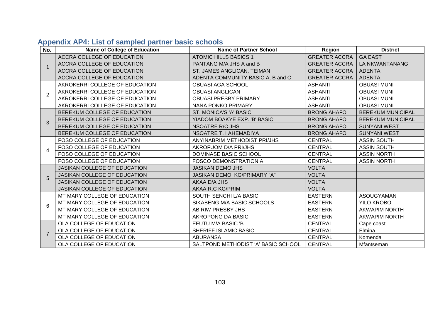| No.            | <b>Appointed At 4. Electron Sumpled purtinel MasterSonools</b><br><b>Name of College of Education</b> | <b>Name of Partner School</b>       | Region               | <b>District</b>          |
|----------------|-------------------------------------------------------------------------------------------------------|-------------------------------------|----------------------|--------------------------|
|                | ACCRA COLLEGE OF EDUCATION                                                                            | <b>ATOMIC HILLS BASICS 1</b>        | <b>GREATER ACCRA</b> | <b>GA EAST</b>           |
|                | ACCRA COLLEGE OF EDUCATION                                                                            | PANTANG M/A JHS A and B             | <b>GREATER ACCRA</b> | LA NKWANTANANG           |
|                | ACCRA COLLEGE OF EDUCATION                                                                            | ST. JAMES ANGLICAN, TEIMAN          | <b>GREATER ACCRA</b> | <b>ADENTA</b>            |
|                | <b>ACCRA COLLEGE OF EDUCATION</b>                                                                     | ADENTA COMMUNITY BASIC A, B and C   | <b>GREATER ACCRA</b> | <b>ADENTA</b>            |
|                | AKROKERRI COLLEGE OF EDUCATION                                                                        | <b>OBUASI AGA SCHOOL</b>            | <b>ASHANTI</b>       | <b>OBUASI MUNI</b>       |
| $\overline{2}$ | AKROKERRI COLLEGE OF EDUCATION                                                                        | <b>OBUASI ANGLICAN</b>              | <b>ASHANTI</b>       | <b>OBUASI MUNI</b>       |
|                | AKROKERRI COLLEGE OF EDUCATION                                                                        | <b>OBUASI PRESBY PRIMARY</b>        | <b>ASHANTI</b>       | <b>OBUASI MUNI</b>       |
|                | AKROKERRI COLLEGE OF EDUCATION                                                                        | <b>NANA PONKO PRIMARY</b>           | <b>ASHANTI</b>       | <b>OBUASI MUNI</b>       |
|                | BEREKUM COLLEGE OF EDUCATION                                                                          | ST. MONICA'S 'A' BASIC              | <b>BRONG AHAFO</b>   | <b>BEREKUM MUNICIPAL</b> |
|                | BEREKUM COLLEGE OF EDUCATION                                                                          | YIADOM BOAKYE EXP. 'B' BASIC        | <b>BRONG AHAFO</b>   | <b>BEREKUM MUNICIPAL</b> |
| 3              | BEREKUM COLLEGE OF EDUCATION                                                                          | NSOATRE R/C JHS                     | <b>BRONG AHAFO</b>   | <b>SUNYANI WEST</b>      |
|                | BEREKUM COLLEGE OF EDUCATION                                                                          | NSOATRE T. I AHEMADIYA              | <b>BRONG AHAFO</b>   | <b>SUNYANI WEST</b>      |
|                | FOSO COLLEGE OF EDUCATION                                                                             | ANYINABRIM METHODIST PRI/JHS        | <b>CENTRAL</b>       | <b>ASSIN SOUTH</b>       |
| 4              | FOSO COLLEGE OF EDUCATION                                                                             | AKROFUOM D/A PRI/JHS                | <b>CENTRAL</b>       | <b>ASSIN SOUTH</b>       |
|                | FOSO COLLEGE OF EDUCATION                                                                             | DOMINASE BASIC SCHOOL               | <b>CENTRAL</b>       | <b>ASSIN NORTH</b>       |
|                | FOSO COLLEGE OF EDUCATION                                                                             | <b>FOSCO DEMONSTRATION A</b>        | <b>CENTRAL</b>       | <b>ASSIN NORTH</b>       |
|                | <b>JASIKAN COLLEGE OF EDUCATION</b>                                                                   | <b>JASIKAN DEMO JHS</b>             | <b>VOLTA</b>         |                          |
| 5              | JASIKAN COLLEGE OF EDUCATION                                                                          | JASIKAN DEMO. KG/PRIMARY "A"        | <b>VOLTA</b>         |                          |
|                | <b>JASIKAN COLLEGE OF EDUCATION</b>                                                                   | AKAA D/A JHS                        | <b>VOLTA</b>         |                          |
|                | JASIKAN COLLEGE OF EDUCATION                                                                          | AKAA R.C KG/PRIM                    | <b>VOLTA</b>         |                          |
|                | MT MARY COLLEGE OF EDUCATION                                                                          | SOUTH SENCHI L/A BASIC              | <b>EASTERN</b>       | <b>ASOUGYAMAN</b>        |
| 6              | MT MARY COLLEGE OF EDUCATION                                                                          | SIKABENG M/A BASIC SCHOOLS          | <b>EASTERN</b>       | <b>YILO KROBO</b>        |
|                | MT MARY COLLEGE OF EDUCATION                                                                          | ABIRIW PRESBY JHS                   | <b>EASTERN</b>       | <b>AKWAPIM NORTH</b>     |
|                | MT MARY COLLEGE OF EDUCATION                                                                          | AKROPONG DA BASIC                   | <b>EASTERN</b>       | <b>AKWAPIM NORTH</b>     |
|                | OLA COLLEGE OF EDUCATION                                                                              | EFUTU M/A BASIC 'B'                 | <b>CENTRAL</b>       | Cape coast               |
| $\overline{7}$ | OLA COLLEGE OF EDUCATION                                                                              | SHERIFF ISLAMIC BASIC               | <b>CENTRAL</b>       | Elmina                   |
|                | OLA COLLEGE OF EDUCATION                                                                              | <b>ABURANSA</b>                     | <b>CENTRAL</b>       | Komenda                  |
|                | OLA COLLEGE OF EDUCATION                                                                              | SALTPOND METHODIST 'A' BASIC SCHOOL | <b>CENTRAL</b>       | Mfantseman               |

## **Appendix AP4: List of sampled partner basic schools**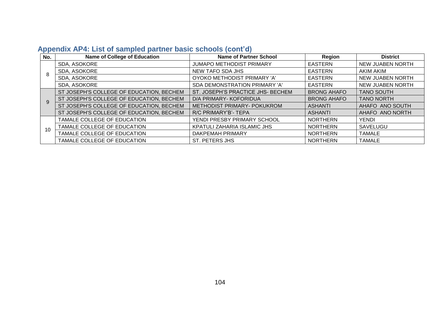| No.          | <b>Name of College of Education</b>      | <b>Name of Partner School</b>     | Region             | <b>District</b>         |
|--------------|------------------------------------------|-----------------------------------|--------------------|-------------------------|
|              | SDA, ASOKORE                             | <b>JUMAPO METHODIST PRIMARY</b>   | <b>EASTERN</b>     | <b>NEW JUABEN NORTH</b> |
| 8            | SDA, ASOKORE                             | NEW TAFO SDA JHS                  | <b>EASTERN</b>     | AKIM AKIM               |
|              | SDA, ASOKORE                             | OYOKO METHODIST PRIMARY 'A'       | <b>EASTERN</b>     | <b>NEW JUABEN NORTH</b> |
|              | SDA, ASOKORE                             | SDA DEMONSTRATION PRIMARY 'A'     | <b>EASTERN</b>     | <b>NEW JUABEN NORTH</b> |
|              | ST JOSEPH'S COLLEGE OF EDUCATION, BECHEM | ST. JOSEPH'S PRACTICE JHS- BECHEM | <b>BRONG AHAFO</b> | <b>TANO SOUTH</b>       |
| $\mathbf{Q}$ | ST JOSEPH'S COLLEGE OF EDUCATION, BECHEM | D/A PRIMARY- KOFORIDUA            | <b>BRONG AHAFO</b> | <b>TANO NORTH</b>       |
|              | ST JOSEPH'S COLLEGE OF EDUCATION, BECHEM | METHODIST PRIMARY- POKUKROM       | <b>ASHANTI</b>     | AHAFO ANO SOUTH         |
|              | ST JOSEPH'S COLLEGE OF EDUCATION, BECHEM | R/C PRIMARY'B'- TEPA              | <b>ASHANTI</b>     | AHAFO ANO NORTH         |
|              | TAMALE COLLEGE OF EDUCATION              | YENDI PRESBY PRIMARY SCHOOL       | <b>NORTHERN</b>    | <b>YENDI</b>            |
| 10           | TAMALE COLLEGE OF EDUCATION              | KPATULI ZAHARIA ISLAMIC JHS       | <b>NORTHERN</b>    | SAVELUGU                |
|              | TAMALE COLLEGE OF EDUCATION              | DAKPEMAH PRIMARY                  | <b>NORTHERN</b>    | <b>TAMALE</b>           |
|              | TAMALE COLLEGE OF EDUCATION              | ST. PETERS JHS                    | <b>NORTHERN</b>    | <b>TAMALE</b>           |

## **Appendix AP4: List of sampled partner basic schools (cont'd)**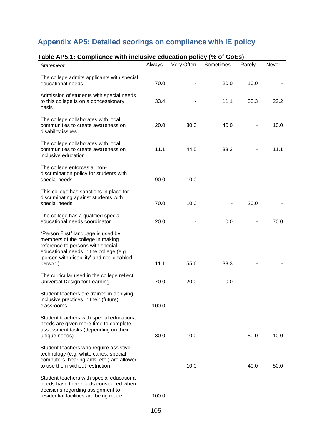# **Appendix AP5: Detailed scorings on compliance with IE policy**

| anoo waa morasiyo caabaasi ponoy<br><b>Statement</b>                                                                                                                                                             | Always | Very Often | $\sqrt{2}$<br>Sometimes | Rarely | Never |
|------------------------------------------------------------------------------------------------------------------------------------------------------------------------------------------------------------------|--------|------------|-------------------------|--------|-------|
| The college admits applicants with special<br>educational needs.                                                                                                                                                 | 70.0   |            | 20.0                    | 10.0   |       |
| Admission of students with special needs<br>to this college is on a concessionary<br>basis.                                                                                                                      | 33.4   |            | 11.1                    | 33.3   | 22.2  |
| The college collaborates with local<br>communities to create awareness on<br>disability issues.                                                                                                                  | 20.0   | 30.0       | 40.0                    |        | 10.0  |
| The college collaborates with local<br>communities to create awareness on<br>inclusive education.                                                                                                                | 11.1   | 44.5       | 33.3                    |        | 11.1  |
| The college enforces a non-<br>discrimination policy for students with<br>special needs                                                                                                                          | 90.0   | 10.0       |                         |        |       |
| This college has sanctions in place for<br>discriminating against students with<br>special needs                                                                                                                 | 70.0   | 10.0       |                         | 20.0   |       |
| The college has a qualified special<br>educational needs coordinator                                                                                                                                             | 20.0   |            | 10.0                    |        | 70.0  |
| "Person First" language is used by<br>members of the college in making<br>reference to persons with special<br>educational needs in the college (e.g.<br>'person with disability' and not 'disabled<br>person'). | 11.1   | 55.6       | 33.3                    |        |       |
| The curricular used in the college reflect<br>Universal Design for Learning                                                                                                                                      | 70.0   | 20.0       | 10.0                    |        |       |
| Student teachers are trained in applying<br>inclusive practices in their (future)<br>classrooms                                                                                                                  | 100.0  |            |                         |        |       |
| Student teachers with special educational<br>needs are given more time to complete<br>assessment tasks (depending on their<br>unique needs)                                                                      | 30.0   | 10.0       |                         | 50.0   | 10.0  |
| Student teachers who require assistive<br>technology (e.g. white canes, special<br>computers, hearing aids, etc.) are allowed<br>to use them without restriction                                                 |        | 10.0       |                         | 40.0   | 50.0  |
| Student teachers with special educational<br>needs have their needs considered when<br>decisions regarding assignment to<br>residential facilities are being made                                                | 100.0  |            |                         |        |       |

### **Table AP5.1: Compliance with inclusive education policy (% of CoEs)**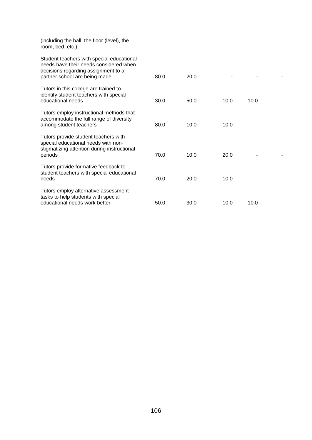| (including the hall, the floor (level), the<br>room, bed, etc.)                                                                                             |      |      |      |      |  |
|-------------------------------------------------------------------------------------------------------------------------------------------------------------|------|------|------|------|--|
| Student teachers with special educational<br>needs have their needs considered when<br>decisions regarding assignment to a<br>partner school are being made | 80.0 | 20.0 |      |      |  |
| Tutors in this college are trained to<br>identify student teachers with special<br>educational needs                                                        | 30.0 | 50.0 | 10.0 | 10.0 |  |
| Tutors employ instructional methods that<br>accommodate the full range of diversity<br>among student teachers                                               | 80.0 | 10.0 | 10.0 |      |  |
| Tutors provide student teachers with<br>special educational needs with non-<br>stigmatizing attention during instructional<br>periods                       | 70.0 | 10.0 | 20.0 |      |  |
| Tutors provide formative feedback to<br>student teachers with special educational<br>needs                                                                  | 70.0 | 20.0 | 10.0 |      |  |
| Tutors employ alternative assessment<br>tasks to help students with special<br>educational needs work better                                                | 50.0 | 30.0 | 10.0 | 10.0 |  |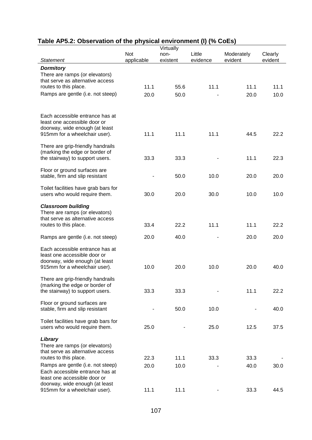| <u>unan umumum</u><br>Virtually                                                                                                             |                   |                  |                    |                       |                    |  |  |  |
|---------------------------------------------------------------------------------------------------------------------------------------------|-------------------|------------------|--------------------|-----------------------|--------------------|--|--|--|
| <b>Statement</b>                                                                                                                            | Not<br>applicable | non-<br>existent | Little<br>evidence | Moderately<br>evident | Clearly<br>evident |  |  |  |
| <b>Dormitory</b>                                                                                                                            |                   |                  |                    |                       |                    |  |  |  |
| There are ramps (or elevators)<br>that serve as alternative access<br>routes to this place.<br>Ramps are gentle (i.e. not steep)            | 11.1<br>20.0      | 55.6<br>50.0     | 11.1               | 11.1<br>20.0          | 11.1<br>10.0       |  |  |  |
|                                                                                                                                             |                   |                  |                    |                       |                    |  |  |  |
| Each accessible entrance has at<br>least one accessible door or<br>doorway, wide enough (at least<br>915mm for a wheelchair user).          | 11.1              | 11.1             | 11.1               | 44.5                  | 22.2               |  |  |  |
| There are grip-friendly handrails<br>(marking the edge or border of<br>the stairway) to support users.                                      | 33.3              | 33.3             |                    | 11.1                  | 22.3               |  |  |  |
| Floor or ground surfaces are<br>stable, firm and slip resistant                                                                             |                   | 50.0             | 10.0               | 20.0                  | 20.0               |  |  |  |
| Toilet facilities have grab bars for<br>users who would require them.                                                                       | 30.0              | 20.0             | 30.0               | 10.0                  | 10.0               |  |  |  |
| <b>Classroom building</b><br>There are ramps (or elevators)<br>that serve as alternative access<br>routes to this place.                    | 33.4              | 22.2             | 11.1               | 11.1                  | 22.2               |  |  |  |
| Ramps are gentle (i.e. not steep)                                                                                                           | 20.0              | 40.0             |                    | 20.0                  | 20.0               |  |  |  |
| Each accessible entrance has at<br>least one accessible door or<br>doorway, wide enough (at least<br>915mm for a wheelchair user).          | 10.0              | 20.0             | 10.0               | 20.0                  | 40.0               |  |  |  |
| There are grip-friendly handrails<br>(marking the edge or border of<br>the stairway) to support users.                                      | 33.3              | 33.3             |                    | 11.1                  | 22.2               |  |  |  |
| Floor or ground surfaces are<br>stable, firm and slip resistant                                                                             |                   | 50.0             | 10.0               |                       | 40.0               |  |  |  |
| Toilet facilities have grab bars for<br>users who would require them.                                                                       | 25.0              |                  | 25.0               | 12.5                  | 37.5               |  |  |  |
| Library<br>There are ramps (or elevators)<br>that serve as alternative access<br>routes to this place.<br>Ramps are gentle (i.e. not steep) | 22.3<br>20.0      | 11.1<br>10.0     | 33.3               | 33.3<br>40.0          | 30.0               |  |  |  |
| Each accessible entrance has at<br>least one accessible door or<br>doorway, wide enough (at least<br>915mm for a wheelchair user).          | 11.1              | 11.1             |                    | 33.3                  | 44.5               |  |  |  |

### **Table AP5.2: Observation of the physical environment (I) (% CoEs)**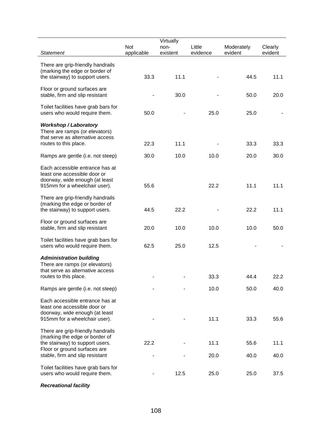| <b>Statement</b>                                                                                                                       | Not<br>applicable | Virtually<br>non-<br>existent | Little<br>evidence | Moderately<br>evident | Clearly<br>evident |
|----------------------------------------------------------------------------------------------------------------------------------------|-------------------|-------------------------------|--------------------|-----------------------|--------------------|
| There are grip-friendly handrails<br>(marking the edge or border of<br>the stairway) to support users.                                 | 33.3              | 11.1                          |                    | 44.5                  | 11.1               |
| Floor or ground surfaces are<br>stable, firm and slip resistant                                                                        |                   | 30.0                          |                    | 50.0                  | 20.0               |
| Toilet facilities have grab bars for<br>users who would require them.                                                                  | 50.0              |                               | 25.0               | 25.0                  |                    |
| <b>Workshop / Laboratory</b><br>There are ramps (or elevators)<br>that serve as alternative access<br>routes to this place.            | 22.3              | 11.1                          |                    | 33.3                  | 33.3               |
| Ramps are gentle (i.e. not steep)                                                                                                      | 30.0              | 10.0                          | 10.0               | 20.0                  | 30.0               |
| Each accessible entrance has at<br>least one accessible door or<br>doorway, wide enough (at least<br>915mm for a wheelchair user).     | 55.6              |                               | 22.2               | 11.1                  | 11.1               |
| There are grip-friendly handrails<br>(marking the edge or border of<br>the stairway) to support users.                                 | 44.5              | 22.2                          |                    | 22.2                  | 11.1               |
| Floor or ground surfaces are<br>stable, firm and slip resistant                                                                        | 20.0              | 10.0                          | 10.0               | 10.0                  | 50.0               |
| Toilet facilities have grab bars for<br>users who would require them.                                                                  | 62.5              | 25.0                          | 12.5               |                       |                    |
| <b>Administration building</b><br>There are ramps (or elevators)<br>that serve as alternative access<br>routes to this place.          |                   |                               | 33.3               | 44.4                  | 22.2               |
| Ramps are gentle (i.e. not steep)                                                                                                      |                   |                               | 10.0               | 50.0                  | 40.0               |
| Each accessible entrance has at<br>least one accessible door or<br>doorway, wide enough (at least<br>915mm for a wheelchair user).     |                   |                               | 11.1               | 33.3                  | 55.6               |
| There are grip-friendly handrails<br>(marking the edge or border of<br>the stairway) to support users.<br>Floor or ground surfaces are | 22.2              |                               | 11.1               | 55.6                  | 11.1               |
| stable, firm and slip resistant                                                                                                        |                   |                               | 20.0               | 40.0                  | 40.0               |
| Toilet facilities have grab bars for<br>users who would require them.                                                                  |                   | 12.5                          | 25.0               | 25.0                  | 37.5               |

#### *Recreational facility*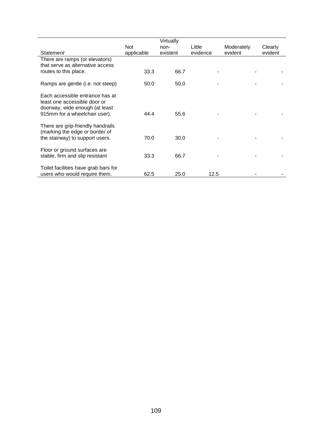|                                                                                                   |            | Virtually |          |            |         |
|---------------------------------------------------------------------------------------------------|------------|-----------|----------|------------|---------|
|                                                                                                   | Not        | non-      | Little   | Moderately | Clearly |
| <b>Statement</b>                                                                                  | applicable | existent  | evidence | evident    | evident |
| There are ramps (or elevators)<br>that serve as alternative access                                |            |           |          |            |         |
| routes to this place.                                                                             | 33.3       | 66.7      |          |            |         |
| Ramps are gentle (i.e. not steep)                                                                 | 50.0       | 50.0      |          |            |         |
| Each accessible entrance has at<br>least one accessible door or<br>doorway, wide enough (at least |            |           |          |            |         |
| 915mm for a wheelchair user).                                                                     | 44.4       | 55.6      |          |            |         |
| There are grip-friendly handrails<br>(marking the edge or border of                               |            |           |          |            |         |
| the stairway) to support users.                                                                   | 70.0       | 30.0      |          |            |         |
| Floor or ground surfaces are<br>stable, firm and slip resistant                                   | 33.3       | 66.7      |          |            |         |
| Toilet facilities have grab bars for                                                              |            |           |          |            |         |
| users who would require them.                                                                     | 62.5       | 25.0      | 12.5     |            |         |